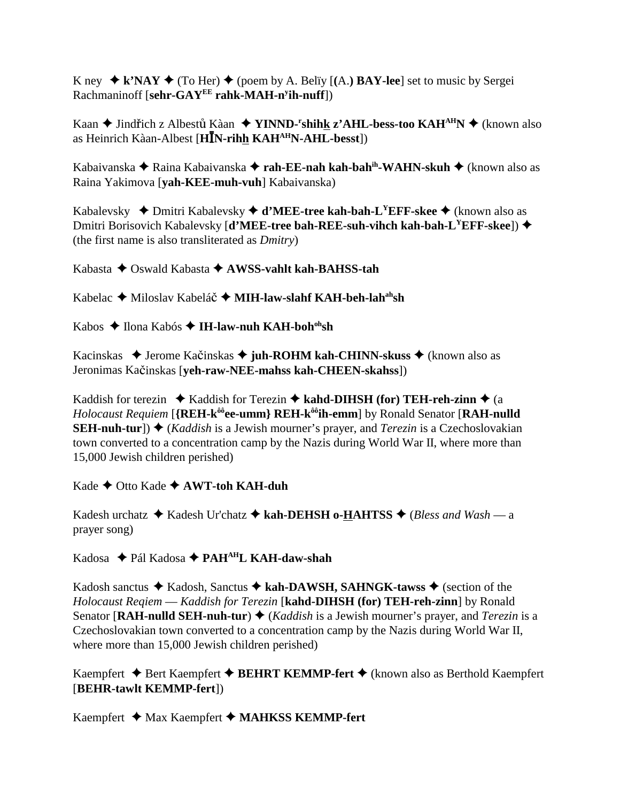K ney  $\blacklozenge$  k'NAY  $\blacklozenge$  (To Her)  $\blacklozenge$  (poem by A. Belïy [(A.) **BAY-lee**] set to music by Sergei Rachmaninoff [**sehr-GAYEE rahk-MAH-ny ih-nuff**])

Kaan ◆ Jindřich z Albestů Kàan ◆ **YINND-<sup>r</sup>shih<u>k</u> z'AHL-bess-too KAH<sup>AH</sup>N ◆** (known also as Heinrich Kàan-Albest [**HN-rihh KAHAHN-AHL-besst**])

Kabaiyanska ◆ Raina Kabaiyanska ◆ **rah-EE-nah kah-bah<sup>ih</sup>-WAHN-skuh** ◆ (known also as Raina Yakimova [**yah-KEE-muh-vuh**] Kabaivanska)

Kabalevsky ◆ Dmitri Kabalevsky ◆ **d'MEE-tree kah-bah-L<sup>Y</sup>EFF-skee ◆** (known also as Dmitri Borisovich Kabalevsky [**d'MEE-tree bah-REE-suh-vihch kah-bah-LYEFF-skee**]) (the first name is also transliterated as *Dmitry*)

Kabasta Oswald Kabasta **AWSS-vahlt kah-BAHSS-tah**

Kabelac **→** Miloslav Kabeláč → MIH-law-slahf KAH-beh-lah<sup>ah</sup>sh

Kabos ◆ Ilona Kabós ◆ I**H-law-nuh KAH-boh<sup>oh</sup>sh** 

Kacinskas ◆ Jerome Kačinskas ◆ juh-ROHM kah-CHINN-skuss ◆ (known also as Jeronimas Kačinskas [**yeh-raw-NEE-mahss kah-CHEEN-skahss**])

Kaddish for terezin  $\triangleleft$  Kaddish for Terezin  $\triangleleft$  kahd-DIHSH (for) TEH-reh-zinn  $\triangleleft$  (a *Holocaust Requiem* [**{REH-kôôee-umm} REH-kôôih-emm**] by Ronald Senator [**RAH-nulld SEH-nuh-tur**]) ♦ (*Kaddish* is a Jewish mourner's prayer, and *Terezin* is a Czechoslovakian town converted to a concentration camp by the Nazis during World War II, where more than 15,000 Jewish children perished)

Kade ◆ Otto Kade ◆ **AWT-toh KAH-duh** 

Kadesh urchatz  $\triangle$  Kadesh Ur'chatz  $\triangle$  kah-DEHSH o-HAHTSS  $\triangle$  (*Bless and Wash — a* prayer song)

Kadosa Pál Kadosa **PAHAHL KAH-daw-shah**

Kadosh sanctus  $\blacklozenge$  Kadosh, Sanctus  $\blacklozenge$  kah-DAWSH, SAHNGK-tawss  $\blacklozenge$  (section of the *Holocaust Reqiem* — *Kaddish for Terezin* [**kahd-DIHSH (for) TEH-reh-zinn**] by Ronald Senator [RAH-nulld SEH-nuh-tur)  $\blacklozenge$  (*Kaddish* is a Jewish mourner's prayer, and *Terezin* is a Czechoslovakian town converted to a concentration camp by the Nazis during World War II, where more than 15,000 Jewish children perished)

Kaempfert **→** Bert Kaempfert **→ BEHRT KEMMP-fert** → (known also as Berthold Kaempfert [**BEHR-tawlt KEMMP-fert**])

Kaempfert ◆ Max Kaempfert ◆ MAHKSS KEMMP-fert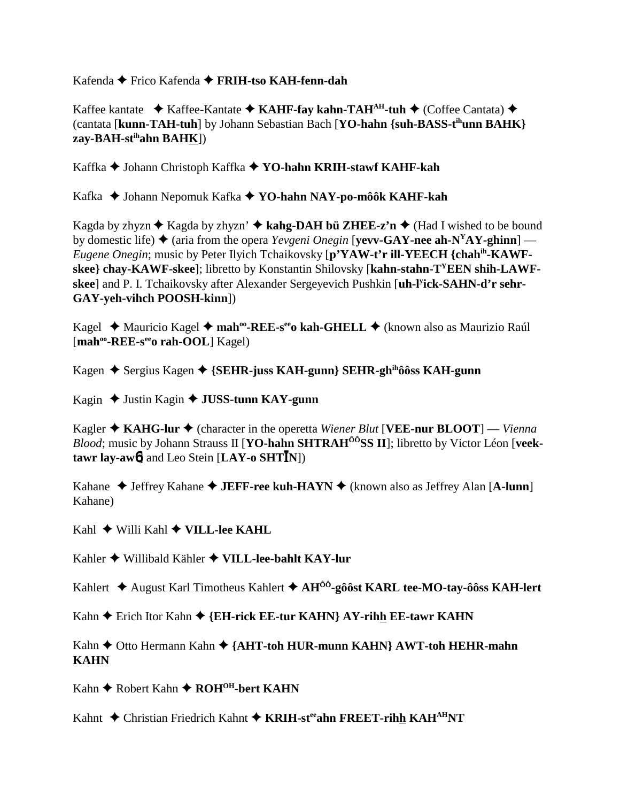Kafenda Frico Kafenda **FRIH-tso KAH-fenn-dah**

Kaffee kantate  **↑ Kaffee-Kantate ◆ KAHF-fay kahn-TAH**<sup>AH</sup>-tuh ◆ (Coffee Cantata) ◆ (cantata [**kunn-TAH-tuh**] by Johann Sebastian Bach [**YO-hahn {suh-BASS-tihunn BAHK} zay-BAH-stihahn BAHK**])

Kaffka Johann Christoph Kaffka **YO-hahn KRIH-stawf KAHF-kah**

Kafka Johann Nepomuk Kafka **YO-hahn NAY-po-môôk KAHF-kah**

Kagda by zhyzn  $\triangle$  Kagda by zhyzn'  $\triangle$  kahg-DAH bü ZHEE-z'n  $\triangle$  (Had I wished to be bound by domestic life)  $\triangle$  (aria from the opera *Yevgeni Onegin* [**vevv-GAY-nee ah-N<sup>Y</sup>AY-ghinn**] — *Eugene Onegin*; music by Peter Ilyich Tchaikovsky [**p'YAW-t'r ill-YEECH {chahih-KAWF**skee} chay-KAWF-skee]; libretto by Konstantin Shilovsky [kahn-stahn-T<sup>Y</sup>EEN shih-LAWF**skee**] and P. I. Tchaikovsky after Alexander Sergeyevich Pushkin [**uh-ly ick-SAHN-d'r sehr-GAY-yeh-vihch POOSH-kinn**])

Kagel ◆ Mauricio Kagel ◆ mah<sup>oo</sup>-REE-s<sup>ee</sup>o kah-GHELL ◆ (known also as Maurizio Raúl [mah<sup>oo</sup>-REE-s<sup>ee</sup>o rah-OOL] Kagel)

Kagen ◆ Sergius Kagen ◆ {**SEHR-juss KAH-gunn**} **SEHR-gh<sup>ih</sup>ôôss KAH-gunn** 

Kagin ◆ Justin Kagin ◆ **JUSS-tunn KAY-gunn** 

Kagler  $\triangle$  KAHG-lur  $\triangle$  (character in the operetta *Wiener Blut* [VEE-nur BLOOT] — *Vienna Blood*; music by Johann Strauss II [**YO-hahn SHTRAH<sup>ÔÔ</sup>SS II**]; libretto by Victor Léon [**veektawr lay-aw**6] and Leo Stein [**LAY-o SHTN**])

Kahane ◆ Jeffrey Kahane ◆ **JEFF-ree kuh-HAYN** ◆ (known also as Jeffrey Alan [A-lunn] Kahane)

Kahl Willi Kahl **VILL-lee KAHL**

Kahler Willibald Kähler **VILL-lee-bahlt KAY-lur**

Kahlert August Karl Timotheus Kahlert **AHÔÔ-gôôst KARL tee-MO-tay-ôôss KAH-lert**

Kahn **←** Erich Itor Kahn ← {EH-rick EE-tur KAHN} AY-rihh EE-tawr KAHN

Kahn ◆ Otto Hermann Kahn ◆ {AHT-toh HUR-munn KAHN} AWT-toh HEHR-mahn **KAHN**

Kahn **← Robert Kahn ← ROH<sup>OH</sup>-bert KAHN** 

Kahnt ◆ Christian Friedrich Kahnt ◆ KRIH-steeahn FREET-rihh KAH<sup>AH</sup>NT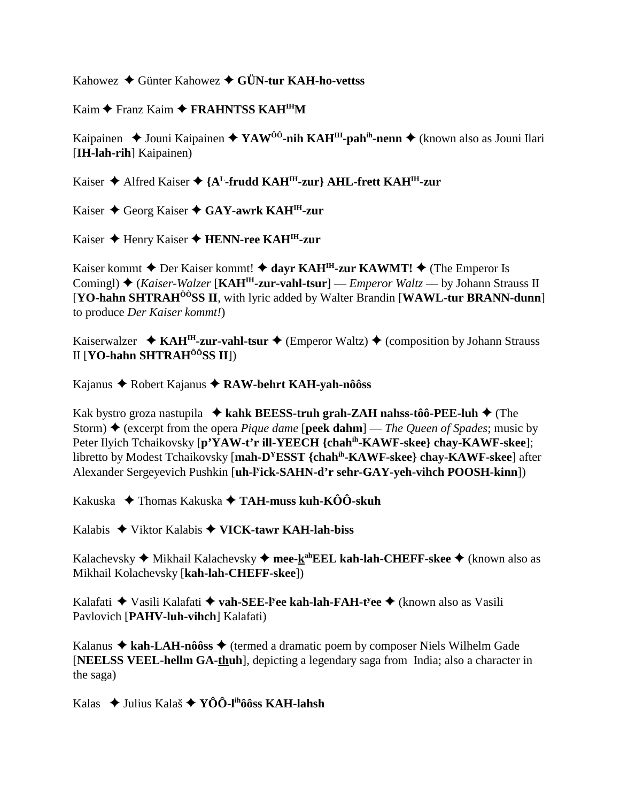Kahowez Günter Kahowez **GÜN-tur KAH-ho-vettss**

Kaim ◆ Franz Kaim ◆ FRAHNTSS KAH<sup>IH</sup>M

Kaipainen **→** Jouni Kaipainen ◆ YAW<sup>ÔÔ</sup>-nih KAH<sup>IH</sup>-pah<sup>ih</sup>-nenn ◆ (known also as Jouni Ilari [**IH-lah-rih**] Kaipainen)

Kaiser ◆ Alfred Kaiser ◆ {A<sup>L</sup>-frudd KAH<sup>IH</sup>-zur} AHL-frett KAH<sup>IH</sup>-zur

Kaiser Georg Kaiser **GAY-awrk KAHIH-zur**

Kaiser ◆ Henry Kaiser ◆ **HENN-ree KAH<sup>IH</sup>-zur** 

Kaiser kommt  $\triangle$  Der Kaiser kommt!  $\triangle$  dayr KAH<sup>IH</sup>-zur KAWMT!  $\triangle$  (The Emperor Is Comingl) ♦ (*Kaiser-Walzer* [**KAH<sup>IH</sup>-zur-vahl-tsur**] — *Emperor Waltz* — by Johann Strauss II [**YO-hahn SHTRAHÔÔSS II**, with lyric added by Walter Brandin [**WAWL-tur BRANN-dunn**] to produce *Der Kaiser kommt!*)

Kaiserwalzer  $\triangleleft$  KAH<sup>IH</sup>-zur-vahl-tsur  $\triangleleft$  (Emperor Waltz)  $\triangleq$  (composition by Johann Strauss II [**YO-hahn SHTRAHÔÔSS II**])

Kajanus Robert Kajanus **RAW-behrt KAH-yah-nôôss**

Kak bystro groza nastupila  $\triangleleft$  kahk BEESS-truh grah-ZAH nahss-tôô-PEE-luh  $\triangleleft$  (The Storm) (excerpt from the opera *Pique dame* [**peek dahm**] — *The Queen of Spades*; music by Peter Ilyich Tchaikovsky [**p'YAW-t'r ill-YEECH {chahih-KAWF-skee} chay-KAWF-skee**]; libretto by Modest Tchaikovsky [**mah-DYESST {chahih-KAWF-skee} chay-KAWF-skee**] after Alexander Sergeyevich Pushkin [**uh-ly ick-SAHN-d'r sehr-GAY-yeh-vihch POOSH-kinn**])

Kakuska Thomas Kakuska **TAH-muss kuh-KÔÔ-skuh**

Kalabis Viktor Kalabis **VICK-tawr KAH-lah-biss**

Kalachevsky ◆ Mikhail Kalachevsky ◆ mee-k<sup>ah</sup>EEL kah-lah-CHEFF-skee ◆ (known also as Mikhail Kolachevsky [**kah-lah-CHEFF-skee**])

Kalafati Vasili Kalafati **vah-SEE-ly ee kah-lah-FAH-ty ee** (known also as Vasili Pavlovich [**PAHV-luh-vihch**] Kalafati)

Kalanus  $\triangle$  kah-LAH-nôôss  $\triangle$  (termed a dramatic poem by composer Niels Wilhelm Gade [**NEELSS VEEL-hellm GA-thuh**], depicting a legendary saga from India; also a character in the saga)

Kalas Julius Kalaš **YÔÔ-lihôôss KAH-lahsh**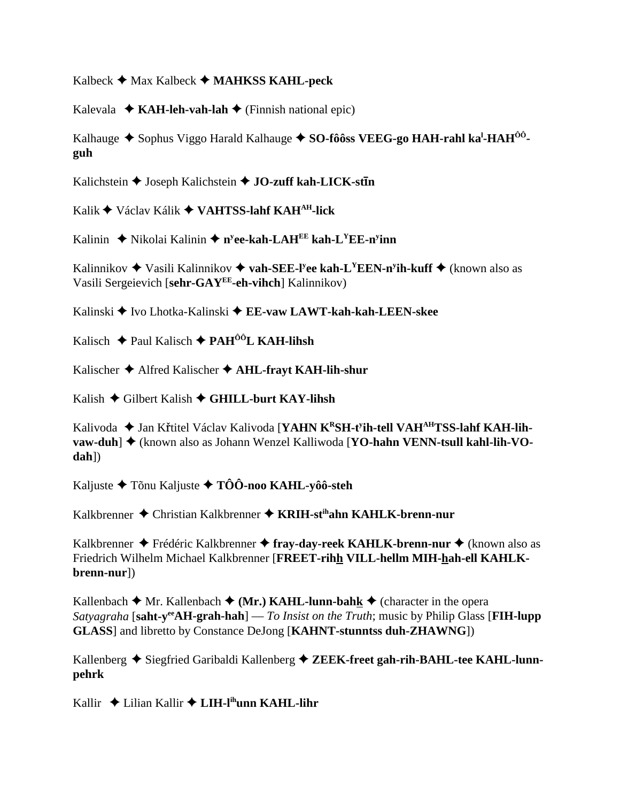Kalbeck Max Kalbeck **MAHKSS KAHL-peck**

Kalevala  $\triangle$  **KAH-leh-vah-lah**  $\triangle$  (Finnish national epic)

Kalhauge ♦ Sophus Viggo Harald Kalhauge ♦ S**O-fôôss VEEG-go HAH-rahl ka<sup>l</sup>-HAH<sup>ôô</sup>guh**

Kalichstein  $\triangle$  Joseph Kalichstein  $\triangle$  JO-zuff kah-LICK-stin

Kalik Václav Kálik **VAHTSS-lahf KAHAH-lick**

Kalinin ◆ Nikolai Kalinin ◆ n<sup>y</sup>ee-kah-LAH<sup>EE</sup> kah-L<sup>Y</sup>EE-n<sup>y</sup>inn

Kalinnikov Vasili Kalinnikov **vah-SEE-ly ee kah-LYEEN-ny ih-kuff** (known also as Vasili Sergeievich [**sehr-GAYEE-eh-vihch**] Kalinnikov)

Kalinski ◆ Ivo Lhotka-Kalinski ◆ EE-vaw LAWT-kah-kah-LEEN-skee

Kalisch Paul Kalisch **PAHÔÔL KAH-lihsh**

Kalischer Alfred Kalischer **AHL-frayt KAH-lih-shur**

Kalish Gilbert Kalish **GHILL-burt KAY-lihsh**

Kalivoda ♦ Jan Křtitel Václav Kalivoda [YAHN K<sup>R</sup>SH-t<sup>y</sup>ih-tell VAH<sup>AH</sup>TSS-lahf KAH-lih**vaw-duh**] ♦ (known also as Johann Wenzel Kalliwoda [YO-hahn VENN-tsull kahl-lih-VO**dah**])

Kaljuste Tõnu Kaljuste **TÔÔ-noo KAHL-yôô-steh**

Kalkbrenner Christian Kalkbrenner **KRIH-stihahn KAHLK-brenn-nur**

Kalkbrenner ◆ Frédéric Kalkbrenner ◆ **fray-day-reek KAHLK-brenn-nur ◆** (known also as Friedrich Wilhelm Michael Kalkbrenner [**FREET-rihh VILL-hellm MIH-hah-ell KAHLKbrenn-nur**])

Kallenbach  $\blacklozenge$  Mr. Kallenbach  $\blacklozenge$  (Mr.) KAHL-lunn-bahk  $\blacklozenge$  (character in the opera *Satyagraha* [**saht-yeeAH-grah-hah**] — *To Insist on the Truth*; music by Philip Glass [**FIH-lupp GLASS**] and libretto by Constance DeJong [**KAHNT-stunntss duh-ZHAWNG**])

Kallenberg ◆ Siegfried Garibaldi Kallenberg ◆ ZEEK-freet gah-rih-BAHL-tee KAHL-lunn**pehrk**

Kallir ◆ Lilian Kallir ◆ **LIH-l<sup>ih</sup>unn KAHL-lihr**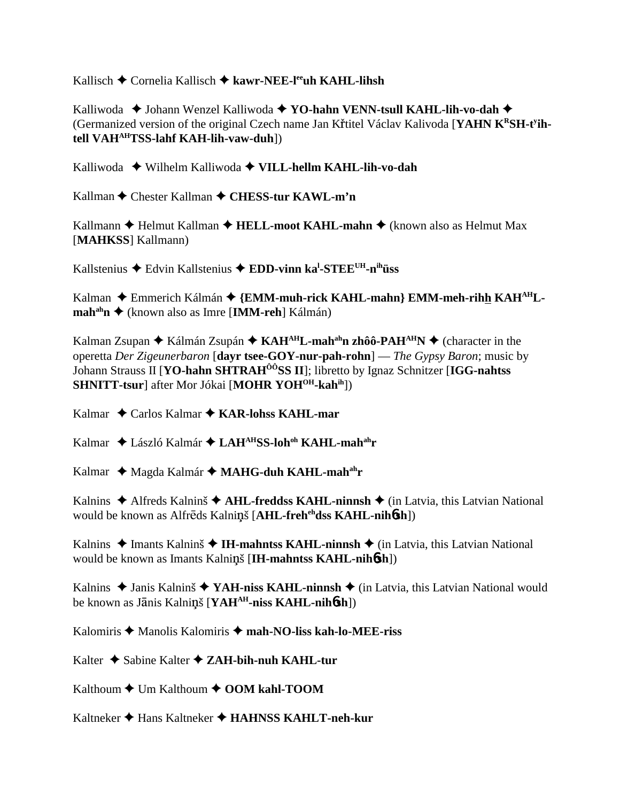Kallisch Cornelia Kallisch **kawr-NEE-leeuh KAHL-lihsh**

Kalliwoda  **→** Johann Wenzel Kalliwoda ◆ **YO-hahn VENN-tsull KAHL-lih-vo-dah** ◆ (Germanized version of the original Czech name Jan Křtitel Václav Kalivoda [YAHN KRSH-t<sup>y</sup>ih**tell VAHAHTSS-lahf KAH-lih-vaw-duh**])

Kalliwoda Wilhelm Kalliwoda **VILL-hellm KAHL-lih-vo-dah**

Kallman **←** Chester Kallman ← CHESS-tur KAWL-m'n

Kallmann **←** Helmut Kallman ← **HELL-moot KAHL-mahn** ← (known also as Helmut Max [**MAHKSS**] Kallmann)

Kallstenius Edvin Kallstenius **EDD-vinn kal -STEEUH-nihüss**

Kalman ◆ Emmerich Kálmán ◆ {EMM-muh-rick KAHL-mahn} EMM-meh-rihh KAH<sup>AH</sup>L**mah<sup>ah</sup>n ♦ (known also as Imre [IMM-reh] Kálmán)** 

Kalman Zsupan ◆ Kálmán Zsupán ◆ KAH<sup>AH</sup>L-mah<sup>ah</sup>n zhôô-PAH<sup>AH</sup>N ◆ (character in the operetta *Der Zigeunerbaron* [**dayr tsee-GOY-nur-pah-rohn**] — *The Gypsy Baron*; music by Johann Strauss II [**YO-hahn SHTRAHÔÔSS II**]; libretto by Ignaz Schnitzer [**IGG-nahtss SHNITT-tsur**] after Mor Jókai [MOHR YOH<sup>OH</sup>-kahih])

Kalmar Carlos Kalmar **KAR-lohss KAHL-mar**

Kalmar László Kalmár **LAHAHSS-lohoh KAHL-mahahr**

Kalmar ◆ Magda Kalmár ◆ MAHG-duh KAHL-mah<sup>ah</sup>r

Kalnins  $\triangle$  Alfreds Kalninš  $\triangle$  **AHL-freddss KAHL-ninnsh**  $\triangle$  (in Latvia, this Latvian National would be known as Alfreds Kalninš [AHL-freh<sup>eh</sup>dss KAHL-nih6sh])

Kalnins  $\triangle$  Imants Kalninš  $\triangle$  **IH-mahntss KAHL-ninnsh**  $\triangle$  (in Latvia, this Latvian National would be known as Imants Kalniš [**IH-mahntss KAHL-nih**6**sh**])

Kalnins  $\triangle$  Janis Kalninš  $\triangle$  YAH-niss KAHL-ninnsh  $\triangle$  (in Latvia, this Latvian National would be known as Jānis Kalninš [**YAH<sup>AH</sup>-niss KAHL-nih6sh**])

Kalomiris Manolis Kalomiris **mah-NO-liss kah-lo-MEE-riss**

Kalter **→** Sabine Kalter **→ ZAH-bih-nuh KAHL-tur** 

Kalthoum ◆ Um Kalthoum ◆ OOM kahl-TOOM

Kaltneker Hans Kaltneker **HAHNSS KAHLT-neh-kur**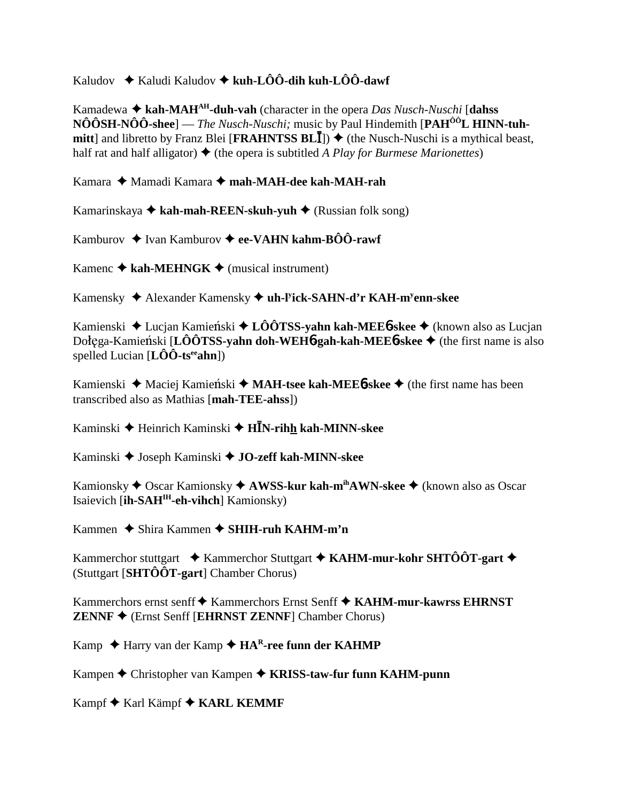# Kaludov  $\rightarrow$  Kaludi Kaludov  $\rightarrow$  kuh-LÔÔ-dih kuh-LÔÔ-dawf

Kamadewa  $\triangle$  kah-MAH<sup>AH</sup>-duh-vah (character in the opera *Das Nusch-Nuschi* [dahss] NÔÔSH-NÔÔ-shee] — *The Nusch-Nuschi;* music by Paul Hindemith [PAH<sup>ÔÔ</sup>L HINN-tuh**mitt**] and libretto by Franz Blei [**FRAHNTSS BL**]]  $\blacklozenge$  (the Nusch-Nuschi is a mythical beast, half rat and half alligator)  $\triangle$  (the opera is subtitled *A Play for Burmese Marionettes*)

Kamara ◆ Mamadi Kamara ◆ mah-MAH-dee kah-MAH-rah

Kamarinskaya **kah-mah-REEN-skuh-yuh** (Russian folk song)

Kamburov **→** Ivan Kamburov ◆ ee-VAHN kahm-BÔÔ-rawf

Kamenc  $\triangle$  kah-MEHNGK  $\triangle$  (musical instrument)

Kamensky Alexander Kamensky **uh-ly ick-SAHN-d'r KAH-my enn-skee**

Kamienski ◆ Lucjan Kamieński ◆ LÔÔTSS-yahn kah-MEE6-skee ◆ (known also as Lucjan Dołega-Kamieński [**LÔÔTSS-yahn doh-WEH6-gah-kah-MEE6-skee ♦** (the first name is also spelled Lucian [**LÔÔ-tseeahn**])

Kamienski ◆ Maciej Kamieński ◆ **MAH-tsee kah-MEE6-skee** ◆ (the first name has been transcribed also as Mathias [**mah-TEE-ahss**])

Kaminski Heinrich Kaminski **HN-rihh kah-MINN-skee**

Kaminski Joseph Kaminski **JO-zeff kah-MINN-skee**

Kamionsky ◆ Oscar Kamionsky ◆ **AWSS-kur kah-m<sup>ih</sup>AWN-skee** ◆ (known also as Oscar Isaievich [**ih-SAHIH-eh-vihch**] Kamionsky)

Kammen **→** Shira Kammen → SHIH-ruh KAHM-m'n

Kammerchor stuttgart **→** Kammerchor Stuttgart **→ KAHM-mur-kohr SHTÔÔT-gart** → (Stuttgart [**SHTÔÔT-gart**] Chamber Chorus)

Kammerchors ernst senff ◆ Kammerchors Ernst Senff ◆ KAHM-mur-kawrss EHRNST **ZENNF** (Ernst Senff [**EHRNST ZENNF**] Chamber Chorus)

Kamp ◆ Harry van der Kamp ◆ HA<sup>R</sup>-ree funn der KAHMP

Kampen **→** Christopher van Kampen → KRISS-taw-fur funn KAHM-punn

Kampf ◆ Karl Kämpf ◆ **KARL KEMMF**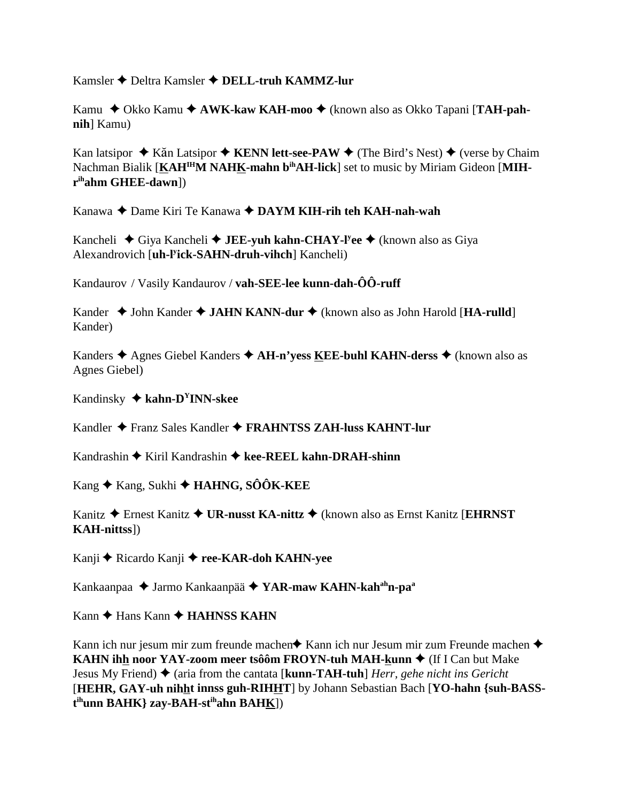Kamsler Deltra Kamsler **DELL-truh KAMMZ-lur**

Kamu ◆ Okko Kamu ◆ AWK-kaw KAH-moo ◆ (known also as Okko Tapani [TAH-pah**nih**] Kamu)

Kan latsipor ◆ Kăn Latsipor ◆ KENN lett-see-PAW ◆ (The Bird's Nest) ◆ (verse by Chaim Nachman Bialik [KAH<sup>IH</sup>M NAHK-mahn b<sup>ih</sup>AH-lick] set to music by Miriam Gideon [MIH**rihahm GHEE-dawn**])

Kanawa Dame Kiri Te Kanawa **DAYM KIH-rih teh KAH-nah-wah**

Kancheli ◆ Giya Kancheli ◆ **JEE-yuh kahn-CHAY-l<sup>y</sup>ee** ◆ (known also as Giya Alexandrovich [**uh-ly ick-SAHN-druh-vihch**] Kancheli)

Kandaurov / Vasily Kandaurov / **vah-SEE-lee kunn-dah-ÔÔ-ruff**

Kander ◆ John Kander ◆ JAHN KANN-dur ◆ (known also as John Harold [**HA-rulld**] Kander)

Kanders ◆ Agnes Giebel Kanders ◆ AH-n'yess KEE-buhl KAHN-derss ◆ (known also as Agnes Giebel)

Kandinsky **kahn-DYINN-skee**

Kandler Franz Sales Kandler **FRAHNTSS ZAH-luss KAHNT-lur**

Kandrashin ◆ Kiril Kandrashin ◆ kee-REEL kahn-DRAH-shinn

Kang ◆ Kang, Sukhi ◆ **HAHNG, SÔÔK-KEE** 

Kanitz Ernest Kanitz **UR-nusst KA-nittz** (known also as Ernst Kanitz [**EHRNST KAH-nittss**])

Kanji ◆ Ricardo Kanji ◆ ree-KAR-doh KAHN-yee

Kankaanpaa Jarmo Kankaanpää **YAR-maw KAHN-kahahn-paa**

Kann ◆ Hans Kann ◆ **HAHNSS KAHN** 

Kann ich nur jesum mir zum freunde machen $\triangle$  Kann ich nur Jesum mir zum Freunde machen  $\triangle$ **KAHN ihh noor YAY-zoom meer tsôôm FROYN-tuh MAH-kunn ♦** (If I Can but Make Jesus My Friend) ♦ (aria from the cantata [**kunn-TAH-tuh**] *Herr, gehe nicht ins Gericht* [**HEHR, GAY-uh nihht innss guh-RIHHT**] by Johann Sebastian Bach [**YO-hahn {suh-BASSt ihunn BAHK} zay-BAH-stihahn BAHK**])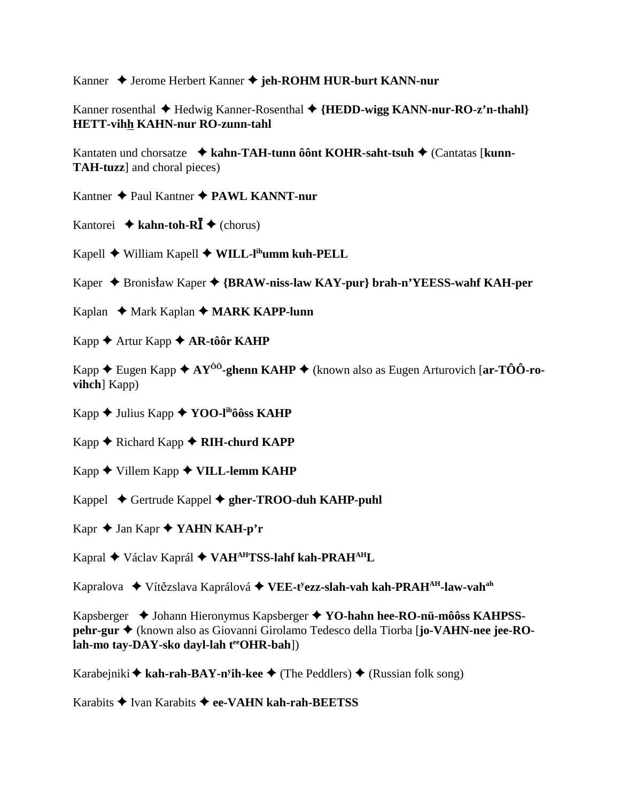Kanner ◆ Jerome Herbert Kanner ◆ jeh-ROHM HUR-burt KANN-nur

Kanner rosenthal ◆ Hedwig Kanner-Rosenthal ◆ {**HEDD-wigg KANN-nur-RO-z'n-thahl**} **HETT-vihh KAHN-nur RO-zunn-tahl**

Kantaten und chorsatze **kahn-TAH-tunn ôônt KOHR-saht-tsuh** (Cantatas [**kunn-TAH-tuzz**] and choral pieces)

Kantner Paul Kantner **PAWL KANNT-nur**

Kantorei  $\triangle$  kahn-toh-R**I**  $\triangle$  (chorus)

Kapell William Kapell **WILL-lihumm kuh-PELL**

Kaper ◆ Bronisław Kaper ◆ {**BRAW-niss-law KAY-pur} brah-n'YEESS-wahf KAH-per** 

Kaplan ◆ Mark Kaplan ◆ **MARK KAPP-lunn** 

Kapp **← Artur Kapp ← AR-tôôr KAHP** 

Kapp  $\triangle$  Eugen Kapp  $\triangle$  AY<sup>ôô</sup>-ghenn KAHP  $\triangle$  (known also as Eugen Arturovich [ar-TÔÔ-ro**vihch**] Kapp)

Kapp **→** Julius Kapp ◆ **YOO-l<sup>ih</sup>ôôss KAHP** 

Kapp ◆ Richard Kapp ◆ **RIH-churd KAPP** 

Kapp ◆ Villem Kapp ◆ **VILL-lemm KAHP** 

Kappel Gertrude Kappel **gher-TROO-duh KAHP-puhl**

Kapr ◆ Jan Kapr ◆ **YAHN KAH-p'r** 

Kapral Václav Kaprál **VAHAHTSS-lahf kah-PRAHAHL**

Kapralova ♦ Vítězslava Kaprálová ◆ VEE-t<sup>y</sup>ezz-sl<mark>ah-vah kah-PRAH<sup>AH</sup>-law-vah<sup>ah</sup></mark>

Kapsberger  $\blacklozenge$  Johann Hieronymus Kapsberger  $\blacklozenge$  **YO-hahn hee-RO-nü-môôss KAHPSSpehr-gur** (known also as Giovanni Girolamo Tedesco della Tiorba [**jo-VAHN-nee jee-RO**lah-mo tay-DAY-sko dayl-lah teeOHR-bah])

Karabejniki **◆ kah-rah-BAY-n<sup>y</sup>ih-kee ◆** (The Peddlers) ◆ (Russian folk song)

Karabits Ivan Karabits **ee-VAHN kah-rah-BEETSS**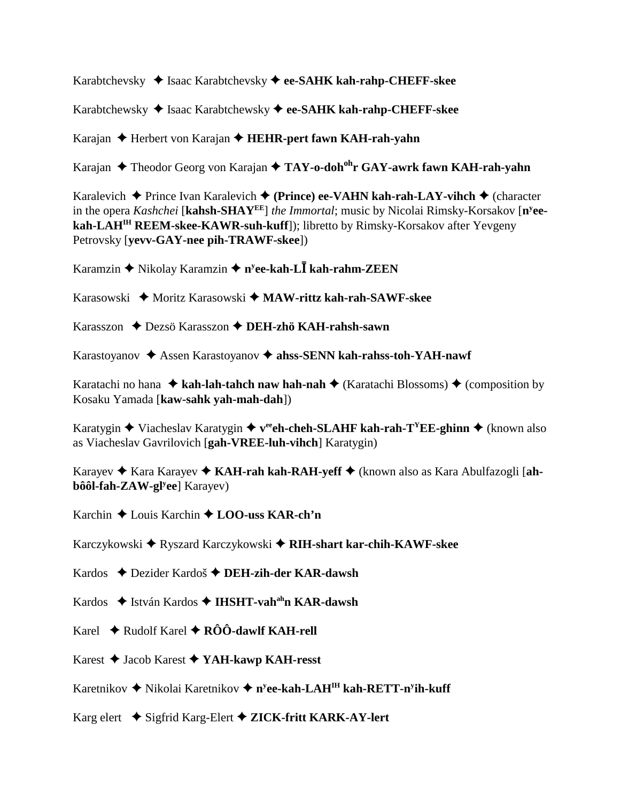Karabtchevsky ◆ Isaac Karabtchevsky ◆ ee-SAHK kah-rahp-CHEFF-skee

Karabtchewsky Isaac Karabtchewsky **ee-SAHK kah-rahp-CHEFF-skee**

Karajan Herbert von Karajan **HEHR-pert fawn KAH-rah-yahn**

Karajan Theodor Georg von Karajan **TAY-o-dohohr GAY-awrk fawn KAH-rah-yahn**

Karalevich **→** Prince Ivan Karalevich ◆ (Prince) ee-VAHN kah-rah-LAY-vihch ◆ (character in the opera *Kashchei* [**kahsh-SHAYEE**] *the Immortal*; music by Nicolai Rimsky-Korsakov [**ny eekah-LAHIH REEM-skee-KAWR-suh-kuff**]); libretto by Rimsky-Korsakov after Yevgeny Petrovsky [**yevv-GAY-nee pih-TRAWF-skee**])

Karamzin Nikolay Karamzin **ny ee-kah-L kah-rahm-ZEEN**

Karasowski ◆ Moritz Karasowski ◆ MAW-rittz kah-rah-SAWF-skee

Karasszon Dezsö Karasszon **DEH-zhö KAH-rahsh-sawn**

Karastoyanov ◆ Assen Karastoyanov ◆ ahss-SENN kah-rahss-toh-YAH-nawf

Karatachi no hana  $\triangleleft$  kah-lah-tahch naw hah-nah  $\triangleleft$  (Karatachi Blossoms)  $\triangleleft$  (composition by Kosaku Yamada [**kaw-sahk yah-mah-dah**])

Karatygin  $\blacklozenge$  Viacheslav Karatygin  $\blacklozenge$  veeh-cheh-SLAHF kah-rah-T<sup>Y</sup>EE-ghinn  $\blacklozenge$  (known also as Viacheslav Gavrilovich [**gah-VREE-luh-vihch**] Karatygin)

Karayev Kara Karayev **KAH-rah kah-RAH-yeff** (known also as Kara Abulfazogli [**ahbôôl-fah-ZAW-gly ee**] Karayev)

Karchin Louis Karchin  **LOO-uss KAR-ch'n**

Karczykowski ◆ Ryszard Karczykowski ◆ RIH-shart kar-chih-KAWF-skee

Kardos Dezider Kardoš **DEH-zih-der KAR-dawsh**

Kardos ◆ István Kardos ◆ IHSHT-vah<sup>ah</sup>n KAR-dawsh

Karel  $\rightarrow$  Rudolf Karel  $\rightarrow$  RÔÔ-dawlf KAH-rell

Karest Jacob Karest **YAH-kawp KAH-resst**

Karetnikov ◆ Nikolai Karetnikov ◆ n<sup>y</sup>ee-kah-LAH<sup>IH</sup> kah-RETT-n<sup>y</sup>ih-kuff

Karg elert Sigfrid Karg-Elert  **ZICK-fritt KARK-AY-lert**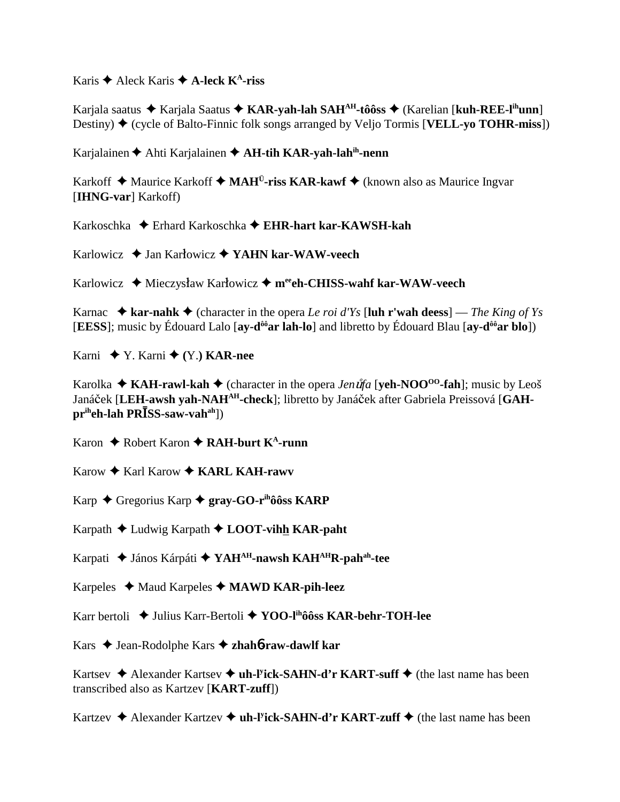Karis  $\triangle$  Aleck Karis  $\triangle$  A-leck K<sup>A</sup>-riss

Karjala saatus ◆ Karjala Saatus ◆ KAR-yah-lah SAH<sup>AH</sup>-tôôss ◆ (Karelian [kuh-REE-l<sup>ih</sup>unn] Destiny) ♦ (cycle of Balto-Finnic folk songs arranged by Veljo Tormis [**VELL-yo TOHR-miss**])

Karjalainen Ahti Karjalainen **AH-tih KAR-yah-lahih-nenn**

Karkoff  $\triangle$  Maurice Karkoff  $\triangle$  MAH<sup>U</sup>-riss KAR-kawf  $\triangle$  (known also as Maurice Ingvar [**IHNG-var**] Karkoff)

Karkoschka Erhard Karkoschka **EHR-hart kar-KAWSH-kah**

Karlowicz **→** Jan Karłowicz **→ YAHN kar-WAW-veech** 

Karlowicz ◆ Mieczysław Karłowicz ◆ m<sup>ee</sup>ch-CHISS-wahf kar-WAW-veech

Karnac  $\triangle$  **kar-nahk**  $\triangle$  (character in the opera *Le roi d'Ys* [luh r'wah deess] — *The King of Ys* [**EESS**]; music by Édouard Lalo [**ay-dôôar lah-lo**] and libretto by Édouard Blau [**ay-dôôar blo**])

Karni ◆ Y. Karni ◆ (Y.) **KAR-nee** 

Karolka  $\triangle$  **KAH-rawl-kah**  $\triangle$  (character in the opera *Jen uta* [**yeh-NOO**<sup>00</sup>-fah]; music by Leoš Janáček [LEH-awsh yah-NAH<sup>AH</sup>-check]; libretto by Janáček after Gabriela Preissová [GAH**priheh-lah PRSS-saw-vahah**])

Karon **→** Robert Karon **→ RAH-burt K<sup>A</sup>-runn** 

Karow ◆ Karl Karow ◆ **KARL KAH-rawv** 

Karp Gregorius Karp **gray-GO-rihôôss KARP**

Karpath Ludwig Karpath **LOOT-vihh KAR-paht**

Karpati János Kárpáti **YAHAH-nawsh KAHAHR-pahah-tee**

Karpeles Maud Karpeles **MAWD KAR-pih-leez**

Karr bertoli ◆ Julius Karr-Bertoli ◆ YOO-l<sup>ih</sup>ôôss KAR-behr-TOH-lee

Kars Jean-Rodolphe Kars **zhah**6**-raw-dawlf kar**

Kartsev ◆ Alexander Kartsev ◆ **uh-l<sup>y</sup>ick-SAHN-d'r KART-suff** ◆ (the last name has been transcribed also as Kartzev [**KART-zuff**])

Kartzev ◆ Alexander Kartzev ◆ **uh-l<sup>y</sup>ick-SAHN-d'r KART-zuff** ◆ (the last name has been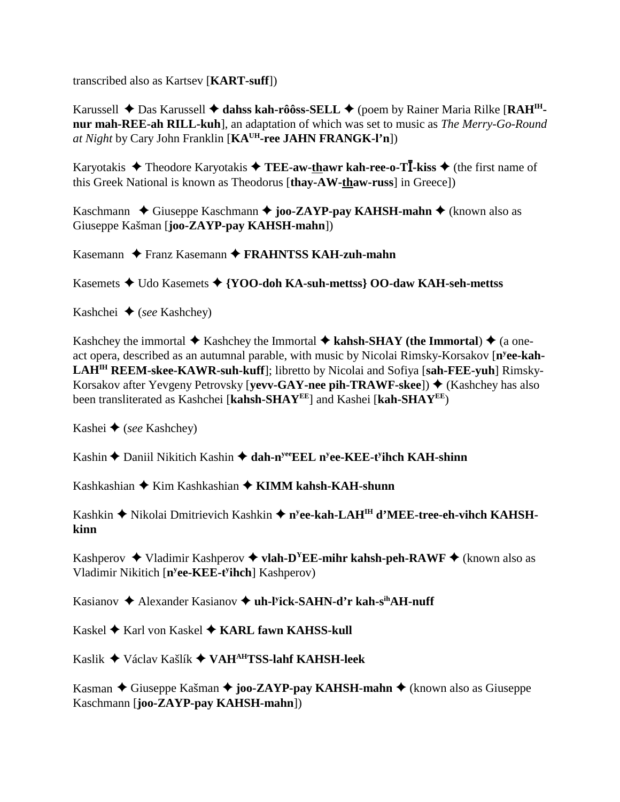transcribed also as Kartsev [**KART-suff**])

Karussell ◆ Das Karussell ◆ dahss kah-rôôss-SELL ◆ (poem by Rainer Maria Rilke [RAH<sup>IH</sup>**nur mah-REE-ah RILL-kuh**], an adaptation of which was set to music as *The Merry-Go-Round at Night* by Cary John Franklin [**KAUH-ree JAHN FRANGK-l'n**])

Karyotakis  $\triangle$  Theodore Karyotakis  $\triangle$  **TEE-aw-thawr kah-ree-o-TI**-kiss  $\triangle$  (the first name of this Greek National is known as Theodorus [**thay-AW-thaw-russ**] in Greece])

Kaschmann ◆ Giuseppe Kaschmann ◆ joo-ZAYP-pay KAHSH-mahn ◆ (known also as Giuseppe Kašman [**joo-ZAYP-pay KAHSH-mahn**])

Kasemann ◆ Franz Kasemann ◆ **FRAHNTSS KAH-zuh-mahn** 

Kasemets Udo Kasemets **{YOO-doh KA-suh-mettss} OO-daw KAH-seh-mettss**

Kashchei (*see* Kashchey)

Kashchey the immortal  $\blacklozenge$  Kashchey the Immortal  $\blacklozenge$  kahsh-SHAY (the Immortal)  $\blacklozenge$  (a oneact opera, described as an autumnal parable, with music by Nicolai Rimsky-Korsakov [n<sup>y</sup>ee-kah-**LAHIH REEM-skee-KAWR-suh-kuff**]; libretto by Nicolai and Sofiya [**sah-FEE-yuh**] Rimsky-Korsakov after Yevgeny Petrovsky [**yevv-GAY-nee pih-TRAWF-skee**]) ♦ (Kashchey has also been transliterated as Kashchei [**kahsh-SHAYEE**] and Kashei [**kah-SHAYEE**)

Kashei **→** (*see* Kashchey)

Kashin ◆ Daniil Nikitich Kashin ◆ dah-n<sup>yee</sup>EEL n<sup>y</sup>ee-KEE-t<sup>y</sup>ihch KAH-shinn

Kashkashian ◆ Kim Kashkashian ◆ **KIMM kahsh-KAH-shunn** 

Kashkin ◆ Nikolai Dmitrievich Kashkin ◆ n<sup>y</sup>ee-kah-LAH<sup>IH</sup> d'MEE-tree-eh-vihch KAHSH**kinn**

Kashperov  $\triangleleft$  Vladimir Kashperov  $\triangleleft$  vlah-D<sup>Y</sup>EE-mihr kahsh-peh-RAWF  $\triangleq$  (known also as Vladimir Nikitich [**ny ee-KEE-ty ihch**] Kashperov)

Kasianov ◆ Alexander Kasianov ◆ uh-l<sup>y</sup>ick-SAHN-d'r kah-s<sup>ih</sup>AH-nuff

Kaskel ◆ Karl von Kaskel ◆ **KARL fawn KAHSS-kull** 

Kaslik Václav Kašlík **VAHAHTSS-lahf KAHSH-leek**

Kasman ◆ Giuseppe Kašman ◆ **joo-ZAYP-pay KAHSH-mahn** ◆ (known also as Giuseppe Kaschmann [**joo-ZAYP-pay KAHSH-mahn**])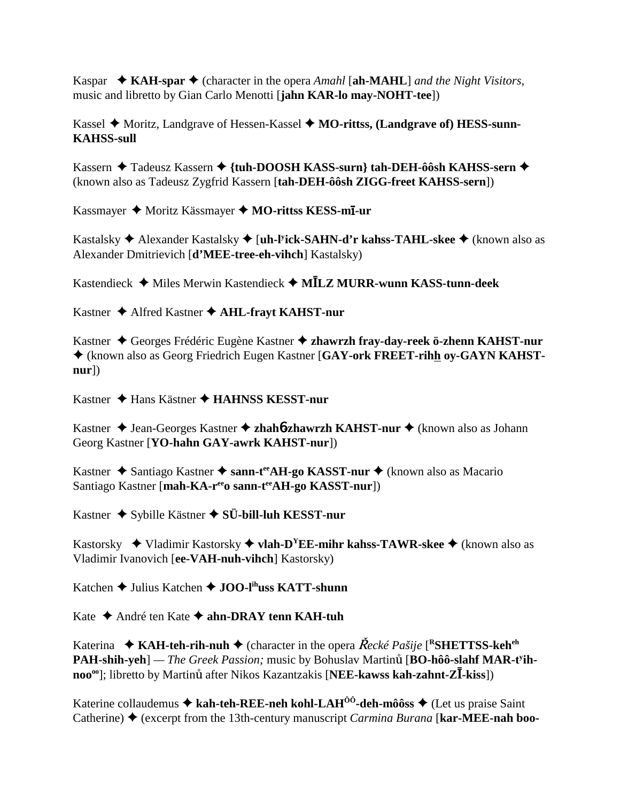Kaspar  $\bullet$  KAH-spar  $\bullet$  (character in the opera Amahl [ah-MAHL] and the Night Visitors, music and libretto by Gian Carlo Menotti [jahn KAR-lo may-NOHT-tee])

Kassel  $\blacklozenge$  Moritz, Landgrave of Hessen-Kassel  $\blacklozenge$  MO-rittss, (Landgrave of) HESS-sunn-**KAHSS-sull** 

Kassern ◆ Tadeusz Kassern ◆ {tuh-DOOSH KASS-surn} tah-DEH-ôôsh KAHSS-sern ◆ (known also as Tadeusz Zygfrid Kassern [tah-DEH-ôôsh ZIGG-freet KAHSS-sern])

Kassmayer ♦ Moritz Kässmayer ♦ MO-rittss KESS-mī-ur

Kastalsky  $\triangle$  Alexander Kastalsky  $\triangle$  [uh-Pick-SAHN-d'r kahss-TAHL-skee  $\triangle$  (known also as Alexander Dmitrievich [d'MEE-tree-eh-vihch] Kastalsky)

Kastendieck ◆ Miles Merwin Kastendieck ◆ MĪLZ MURR-wunn KASS-tunn-deek

Kastner ◆ Alfred Kastner ◆ AHL-frayt KAHST-nur

Kastner ◆ Georges Frédéric Eugène Kastner ◆ zhawrzh frav-dav-reek ö-zhenn KAHST-nur ◆ (known also as Georg Friedrich Eugen Kastner [GAY-ork FREET-rihh oy-GAYN KAHST $n$ url $)$ 

Kastner ◆ Hans Kästner ◆ HAHNSS KESST-nur

Kastner  $\triangle$  Jean-Georges Kastner  $\triangle$  zhaho-zhawrzh KAHST-nur  $\triangle$  (known also as Johann Georg Kastner [YO-hahn GAY-awrk KAHST-nur])

Kastner ◆ Santiago Kastner ◆ sann-t<sup>ee</sup> AH-go KASST-nur ◆ (known also as Macario Santiago Kastner [mah-KA-r<sup>ee</sup>o sann-t<sup>ee</sup>AH-go KASST-nur])

Kastner  $\triangle$  Sybille Kästner  $\triangle$  SÜ-bill-luh KESST-nur

Kastorsky  $\blacklozenge$  Vladimir Kastorsky  $\blacklozenge$  vlah-D<sup>Y</sup>EE-mihr kahss-TAWR-skee  $\blacklozenge$  (known also as Vladimir Ivanovich [ee-VAH-nuh-vihch] Kastorsky)

Katchen  $\triangle$  Julius Katchen  $\triangle$  JOO-l<sup>ih</sup>uss KATT-shunn

Kate  $\triangle$  André ten Kate  $\triangle$  ahn-DRAY tenn KAH-tuh

Katerina  $\star$  KAH-teh-rih-nuh  $\star$  (character in the opera  $\text{Recké Pasü}e$  [<sup>R</sup>SHETTSS-keh<sup>eh</sup>] PAH-shih-yeh] — The Greek Passion; music by Bohuslav Martinů [BO-hôô-slahf MAR-t<sup>y</sup>ihnoo<sup>oo</sup>]; libretto by Martinu after Nikos Kazantzakis [NEE-kawss kah-zahnt-Z**I**-kiss])

Katerine collaudemus  $\triangle$  kah-teh-REE-neh kohl-LAH<sup> $\hat{0}$ ô-deh-môôss  $\triangle$  (Let us praise Saint</sup> Catherine)  $\blacklozenge$  (excerpt from the 13th-century manuscript *Carmina Burana* [**kar-MEE-nah boo-**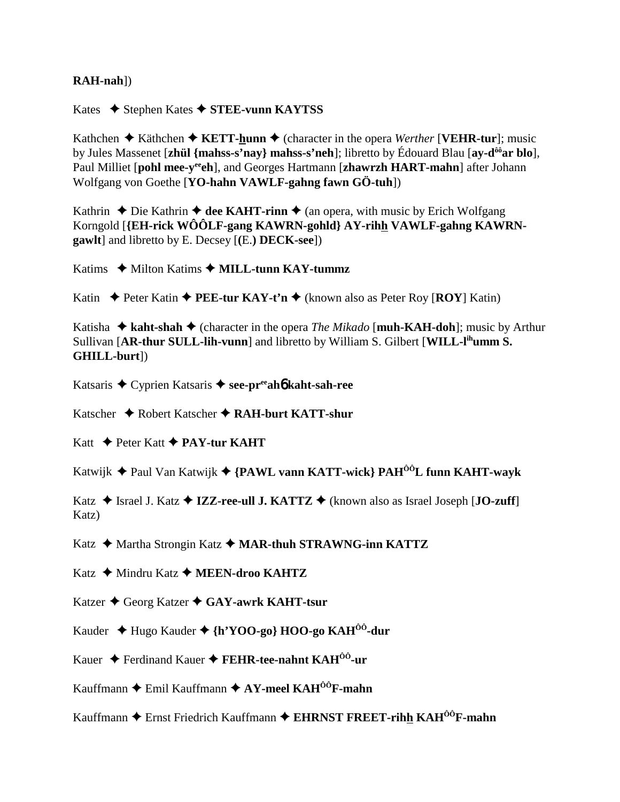## $RAH-nah$ ]

Kates  $\triangle$  Stephen Kates  $\triangle$  STEE-vunn KAYTSS

Kathchen  $\triangle$  Käthchen  $\triangle$  KETT-hunn  $\triangle$  (character in the opera Werther [VEHR-tur]; music by Jules Massenet [zhul {mahss-s'nay} mahss-s'neh]; libretto by Édouard Blau [ay-d<sup>ôô</sup>ar blo], Paul Milliet [pohl mee-v<sup>ee</sup>ch], and Georges Hartmann [zhawrzh HART-mahn] after Johann Wolfgang von Goethe [YO-hahn VAWLF-gahng fawn GÖ-tuh])

Kathrin  $\triangle$  Die Kathrin  $\triangle$  dee KAHT-rinn  $\triangle$  (an opera, with music by Erich Wolfgang Korngold [{EH-rick WOOLF-gang KAWRN-gohld} AY-rihh VAWLF-gahng KAWRN**gawlt** and libretto by E. Decsey [(E.) **DECK-see**])

Katims  $\blacklozenge$  Milton Katims  $\blacklozenge$  MILL-tunn KAY-tummz

Katin  $\triangle$  Peter Katin  $\triangle$  PEE-tur KAY-t'n  $\triangle$  (known also as Peter Roy [ROY] Katin)

Katisha  $\triangle$  kaht-shah  $\triangle$  (character in the opera *The Mikado* [muh-KAH-doh]; music by Arthur Sullivan [AR-thur SULL-lih-vunn] and libretto by William S. Gilbert [WILL-l<sup>ih</sup>umm S. GHILL-burt])

Katsaris ◆ Cyprien Katsaris ◆ see-preah kaht-sah-ree

Katscher  $\bigstar$  Robert Katscher  $\bigstar$  RAH-burt KATT-shur

Katt  $\triangle$  Peter Katt  $\triangle$  PAY-tur KAHT

Katwijk ◆ Paul Van Katwijk ◆ {PAWL vann KATT-wick} PAH<sup>ôô</sup>L funn KAHT-wavk

Katz  $\triangle$  Israel J. Katz  $\triangle$  IZZ-ree-ull J. KATTZ  $\triangle$  (known also as Israel Joseph [JO-zuff] Katz)

Katz ◆ Martha Strongin Katz ◆ MAR-thuh STRAWNG-inn KATTZ

Katz ◆ Mindru Katz ◆ MEEN-droo KAHTZ

Katzer ◆ Georg Katzer ◆ GAY-awrk KAHT-tsur

Kauder → Hugo Kauder → {h'YOO-go} HOO-go KAH<sup>ôô</sup>-dur

Kauer ♦ Ferdinand Kauer ♦ FEHR-tee-nahnt KAH<sup> $00$ </sup>-ur

Kauffmann  $\blacklozenge$  Emil Kauffmann  $\blacklozenge$  AY-meel KAH<sup>ôô</sup>F-mahn

Kauffmann  $\blacklozenge$  Ernst Friedrich Kauffmann  $\blacklozenge$  EHRNST FREET-rihh KAH $^{00}$ F-mahn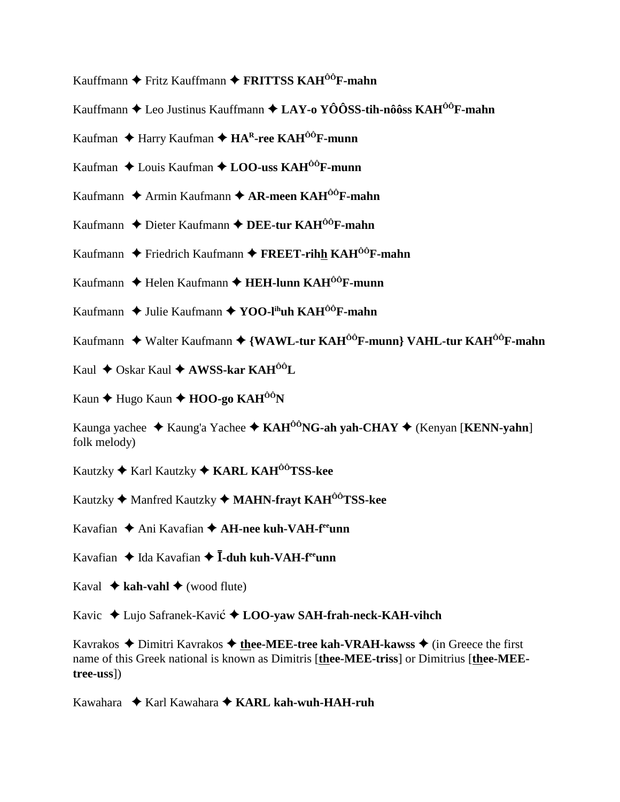- Kauffmann Fritz Kauffmann **FRITTSS KAHÔÔF-mahn**
- Kauffmann Leo Justinus Kauffmann **LAY-o YÔÔSS-tih-nôôss KAHÔÔF-mahn**
- Kaufman ◆ Harry Kaufman ◆ HA<sup>R</sup>-ree KAH<sup>ÔÔ</sup>F-munn
- Kaufman Louis Kaufman **LOO-uss KAHÔÔF-munn**
- Kaufmann ◆ Armin Kaufmann ◆ **AR-meen KAH<sup>ôô</sup>F-mahn**
- Kaufmann ◆ Dieter Kaufmann **◆ DEE-tur KAH<sup>ôô</sup>F-mahn**
- Kaufmann  $\blacklozenge$  Friedrich Kaufmann  $\blacklozenge$  **FREET-rihh KAH<sup>ôô</sup>F-mahn**
- Kaufmann ◆ Helen Kaufmann ◆ HEH-lunn KAH<sup>ÔÔ</sup>F-munn
- Kaufmann **→** Julie Kaufmann → **YOO-l<sup>ih</sup>uh KAH<sup>ÔÔ</sup>F-mahn**
- Kaufmann ◆ Walter Kaufmann ◆ {WAWL-tur KAH<sup>ÔÔ</sup>F-munn} VAHL-tur KAH<sup>ÔÔ</sup>F-mahn
- Kaul ◆ Oskar Kaul **→ AWSS-kar KAH<sup>ôô</sup>L**
- Kaun **→** Hugo Kaun **→ HOO-go KAH<sup>ôô</sup>N**

Kaunga yachee  $\triangleleft$  Kaung'a Yachee  $\triangleleft$  KAH<sup>ôô</sup>NG-ah yah-CHAY  $\triangleleft$  (Kenyan [KENN-yahn] folk melody)

Kautzky Karl Kautzky  **KARL KAHÔÔTSS-kee**

Kautzky Manfred Kautzky **MAHN-frayt KAHÔÔTSS-kee**

Kavafian ◆ Ani Kavafian ◆ **AH-nee kuh-VAH-f<sup>ee</sup>unn** 

- Kavafian  $\triangleq$  Ida Kavafian  $\triangleq$  **I**-duh kuh-VAH-f<sup>ee</sup>unn
- Kaval  $\triangle$  kah-vahl  $\triangle$  (wood flute)

Kavic Lujo Safranek-Kavi **LOO-yaw SAH-frah-neck-KAH-vihch**

Kavrakos  $\triangle$  Dimitri Kavrakos  $\triangle$  thee-MEE-tree kah-VRAH-kawss  $\triangle$  (in Greece the first name of this Greek national is known as Dimitris [**thee-MEE-triss**] or Dimitrius [**thee-MEEtree-uss**])

Kawahara  **← Karl Kawahara ← KARL kah-wuh-HAH-ruh**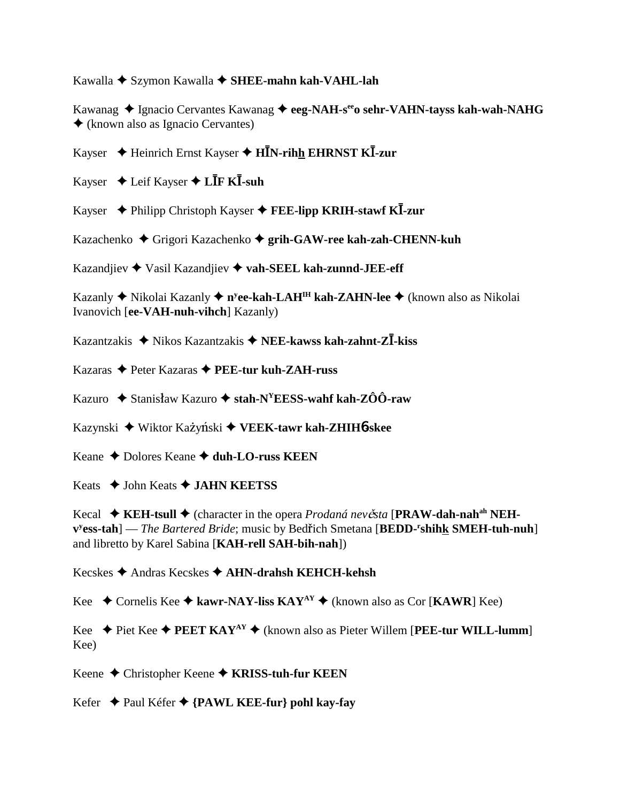Kawalla ◆ Szymon Kawalla ◆ SHEE-mahn kah-VAHL-lah

Kawanag ◆ Ignacio Cervantes Kawanag ◆ eeg-NAH-s<sup>ee</sup>o sehr-VAHN-tayss kah-wah-NAHG (known also as Ignacio Cervantes)

- Kayser Heinrich Ernst Kayser **HN-rihh EHRNST K-zur**
- Kayser  $\triangleleft$  Leif Kayser  $\triangleleft$  L**IF KI**-suh
- Kayser Philipp Christoph Kayser **FEE-lipp KRIH-stawf K-zur**

Kazachenko Grigori Kazachenko **grih-GAW-ree kah-zah-CHENN-kuh**

Kazandjiev Vasil Kazandjiev **vah-SEEL kah-zunnd-JEE-eff**

Kazanly ◆ Nikolai Kazanly ◆ n<sup>y</sup>ee-kah-LAH<sup>IH</sup> kah-ZAHN-lee ◆ (known also as Nikolai Ivanovich [**ee-VAH-nuh-vihch**] Kazanly)

Kazantzakis Nikos Kazantzakis **NEE-kawss kah-zahnt-Z-kiss**

Kazaras Peter Kazaras **PEE-tur kuh-ZAH-russ**

Kazuro  $\triangle$  Stanisław Kazuro  $\triangle$  stah-N<sup>Y</sup>EESS-wahf kah-ZÔÔ-raw

Kazynski ◆ Wiktor Każyński ◆ VEEK-tawr kah-ZHIH6-skee

Keane **←** Dolores Keane **← duh-LO-russ KEEN** 

Keats John Keats **JAHN KEETSS**

Kecal ◆ KEH-tsull ◆ (character in the opera *Prodaná nevěsta* [PRAW-dah-nah<sup>ah</sup> NEH- $\mathbf{v}^{\text{y}}$ ess-tah] — *The Bartered Bride*; music by Bedřich Smetana [BEDD-<sup>r</sup>shihk SMEH-tuh-nuh] and libretto by Karel Sabina [**KAH-rell SAH-bih-nah**])

Kecskes Andras Kecskes **AHN-drahsh KEHCH-kehsh**

Kee  $\blacklozenge$  Cornelis Kee  $\blacklozenge$  kawr-NAY-liss KAY<sup>AY</sup>  $\blacklozenge$  (known also as Cor [KAWR] Kee)

Kee  $\blacklozenge$  Piet Kee  $\blacklozenge$  **PEET KAY<sup>AY</sup>**  $\blacklozenge$  (known also as Pieter Willem [**PEE-tur WILL-lumm**] Kee)

Keene Christopher Keene **KRISS-tuh-fur KEEN**

Kefer Paul Kéfer **{PAWL KEE-fur} pohl kay-fay**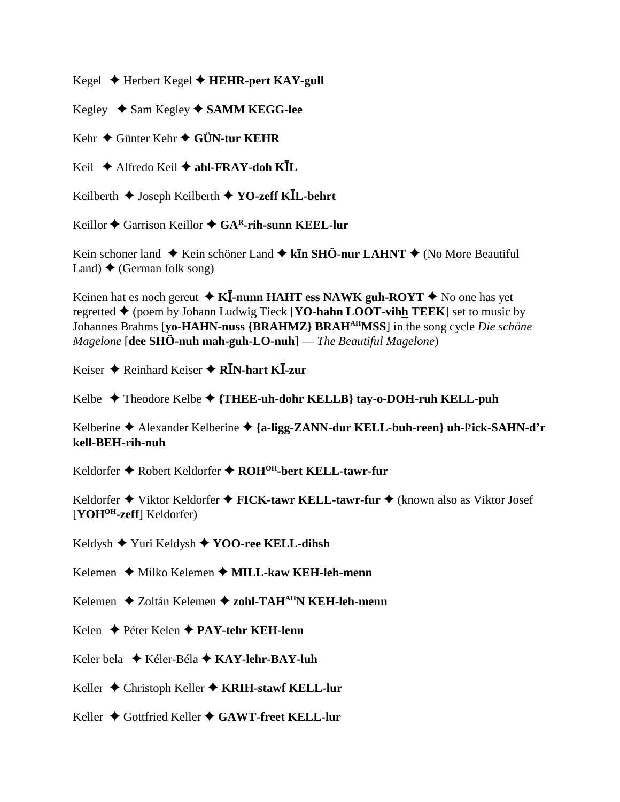Kegel Herbert Kegel **HEHR-pert KAY-gull**

Kegley ◆ Sam Kegley **◆ SAMM KEGG-lee** 

Kehr Günter Kehr **GÜN-tur KEHR**

Keil Alfredo Keil **ahl-FRAY-doh KL**

Keilberth Joseph Keilberth **YO-zeff KL-behrt**

Keillor ◆ Garrison Keillor ◆ GA<sup>R</sup>-rih-sunn KEEL-lur

Kein schoner land ◆ Kein schöner Land ◆ k**īn SHÖ-nur LAHNT** ◆ (No More Beautiful Land)  $\blacklozenge$  (German folk song)

Keinen hat es noch gereut  $\triangleleft K\overline{I}$ -nunn HAHT ess NAWK guh-ROYT  $\triangleq$  No one has yet regretted  $\triangle$  (poem by Johann Ludwig Tieck [**YO-hahn LOOT-vihh TEEK**] set to music by Johannes Brahms [**yo-HAHN-nuss {BRAHMZ} BRAHAHMSS**] in the song cycle *Die schöne Magelone* [**dee SHÖ-nuh mah-guh-LO-nuh**] — *The Beautiful Magelone*)

Keiser Reinhard Keiser **RN-hart K-zur**

Kelbe Theodore Kelbe **{THEE-uh-dohr KELLB} tay-o-DOH-ruh KELL-puh**

Kelberine Alexander Kelberine **{a-ligg-ZANN-dur KELL-buh-reen} uh-ly ick-SAHN-d'r kell-BEH-rih-nuh**

Keldorfer ◆ Robert Keldorfer ◆ ROH<sup>OH</sup>-bert KELL-tawr-fur

Keldorfer ◆ Viktor Keldorfer ◆ **FICK-tawr KELL-tawr-fur** ◆ (known also as Viktor Josef [**YOHOH-zeff**] Keldorfer)

Keldysh Yuri Keldysh **YOO-ree KELL-dihsh**

Kelemen **→** Milko Kelemen → MILL-kaw KEH-leh-menn

Kelemen Zoltán Kelemen **zohl-TAHAHN KEH-leh-menn**

Kelen Péter Kelen **PAY-tehr KEH-lenn**

Keler bela Kéler-Béla **KAY-lehr-BAY-luh**

Keller Christoph Keller **KRIH-stawf KELL-lur**

Keller ◆ Gottfried Keller ◆ GAWT-freet KELL-lur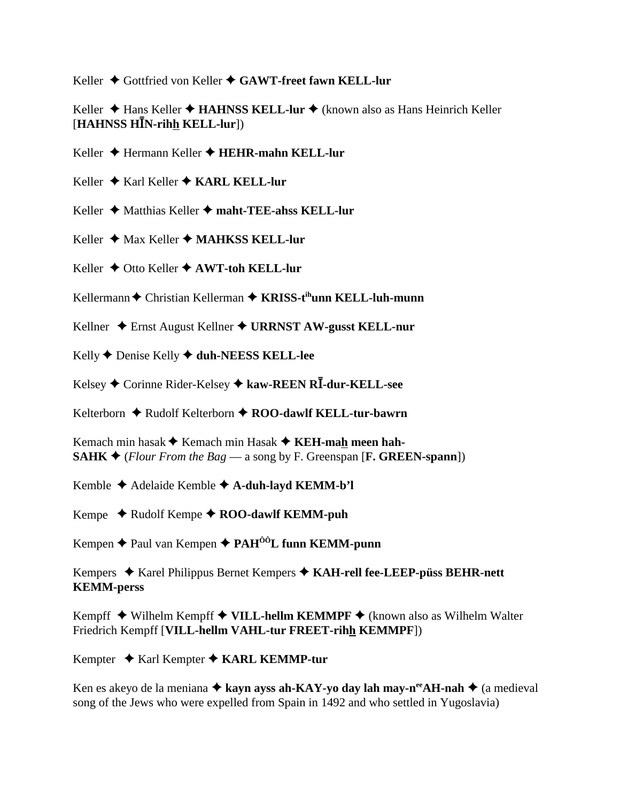Keller ♦ Gottfried von Keller ♦ GAWT-freet fawn KELL-lur

Keller **→** Hans Keller → **HAHNSS KELL-lur →** (known also as Hans Heinrich Keller [**HAHNSS HN-rihh KELL-lur**])

Keller Hermann Keller **HEHR-mahn KELL-lur**

Keller ◆ Karl Keller ◆ **KARL KELL-lur** 

Keller ◆ Matthias Keller ◆ maht-TEE-ahss KELL-lur

Keller **↓** Max Keller ◆ MAHKSS KELL-lur

Keller **→** Otto Keller ◆ AWT-toh KELL-lur

Kellermann ♦ Christian Kellerman ♦ KRISS-t<sup>ih</sup>unn KELL-luh-munn

Kellner Ernst August Kellner **URRNST AW-gusst KELL-nur**

Kelly **↑** Denise Kelly **↑ duh-NEESS KELL-lee** 

Kelsey Corinne Rider-Kelsey **kaw-REEN R-dur-KELL-see**

Kelterborn ♦ Rudolf Kelterborn ♦ ROO-dawlf KELL-tur-bawrn

Kemach min hasak **→** Kemach min Hasak **→ KEH-mah meen hah-SAHK**  $\triangleleft$  (*Flour From the Bag* — a song by F. Greenspan [**F. GREEN-spann**])

Kemble Adelaide Kemble **A-duh-layd KEMM-b'l**

Kempe  $\triangle$  Rudolf Kempe  $\triangle$  ROO-dawlf KEMM-puh

Kempen ◆ Paul van Kempen ◆ PAH<sup>ôô</sup>L funn KEMM-punn

Kempers ◆ Karel Philippus Bernet Kempers ◆ KAH-rell fee-LEEP-püss BEHR-nett **KEMM-perss**

Kempff ◆ Wilhelm Kempff ◆ VILL-hellm KEMMPF ◆ (known also as Wilhelm Walter Friedrich Kempff [**VILL-hellm VAHL-tur FREET-rihh KEMMPF**])

Kempter ◆ Karl Kempter ◆ KARL KEMMP-tur

Ken es akeyo de la meniana  $\triangle$  kayn ayss ah-KAY-yo day lah may-n<sup>ee</sup>AH-nah  $\triangle$  (a medieval song of the Jews who were expelled from Spain in 1492 and who settled in Yugoslavia)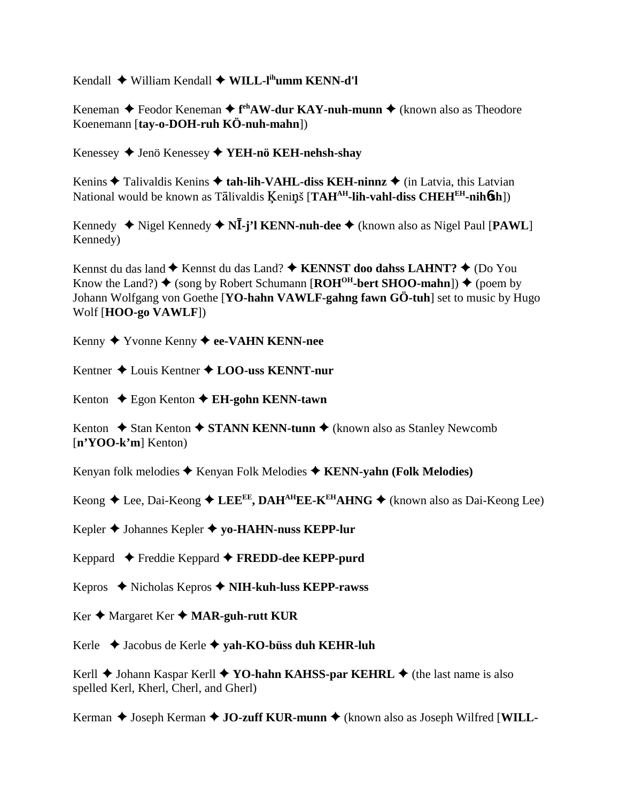Kendall ◆ William Kendall ◆ WILL-l<sup>ih</sup>umm KENN-d'l

Keneman ◆ Feodor Keneman ◆ f<sup>eh</sup>AW-dur KAY-nuh-munn ◆ (known also as Theodore Koenemann [**tay-o-DOH-ruh KÖ-nuh-mahn**])

Kenessey Jenö Kenessey **YEH-nö KEH-nehsh-shay**

Kenins  $\triangle$  Talivaldis Kenins  $\triangle$  tah-lih-VAHL-diss KEH-ninnz  $\triangle$  (in Latvia, this Latvian National would be known as Tālivaldis Keninš [TAH<sup>AH</sup>-lih-vahl-diss CHEH<sup>EH</sup>-nih**6sh**])

Kennedy  $\blacklozenge$  Nigel Kennedy  $\blacklozenge$  N**I**-j'l KENN-nuh-dee  $\blacklozenge$  (known also as Nigel Paul [PAWL] Kennedy)

Kennst du das land  $\blacklozenge$  Kennst du das Land?  $\blacklozenge$  KENNST doo dahss LAHNT?  $\blacklozenge$  (Do You Know the Land?)  $\blacklozenge$  (song by Robert Schumann [**ROH<sup>OH</sup>-bert SHOO-mahn**])  $\blacklozenge$  (poem by Johann Wolfgang von Goethe [**YO-hahn VAWLF-gahng fawn GÖ-tuh**] set to music by Hugo Wolf [**HOO-go VAWLF**])

Kenny Yvonne Kenny **ee-VAHN KENN-nee**

Kentner Louis Kentner **LOO-uss KENNT-nur**

Kenton ◆ Egon Kenton **◆ EH-gohn KENN-tawn** 

Kenton  $\triangle$  Stan Kenton  $\triangle$  **STANN KENN-tunn**  $\triangle$  (known also as Stanley Newcomb [**n'YOO-k'm**] Kenton)

Kenyan folk melodies ◆ Kenyan Folk Melodies ◆ KENN-yahn (Folk Melodies)

Keong  $\triangle$  Lee, Dai-Keong  $\triangle$  LEE<sup>EE</sup>, DAH<sup>AH</sup>EE-K<sup>EH</sup>AHNG  $\triangle$  (known also as Dai-Keong Lee)

Kepler Johannes Kepler **yo-HAHN-nuss KEPP-lur**

Keppard Freddie Keppard **FREDD-dee KEPP-purd**

Kepros Nicholas Kepros **NIH-kuh-luss KEPP-rawss**

Ker **→** Margaret Ker ◆ **MAR-guh-rutt KUR** 

Kerle Jacobus de Kerle **yah-KO-büss duh KEHR-luh**

Kerll  $\blacklozenge$  Johann Kaspar Kerll  $\blacklozenge$  **YO-hahn KAHSS-par KEHRL**  $\blacklozenge$  (the last name is also spelled Kerl, Kherl, Cherl, and Gherl)

Kerman ◆ Joseph Kerman ◆ **JO-zuff KUR-munn** ◆ (known also as Joseph Wilfred [WILL-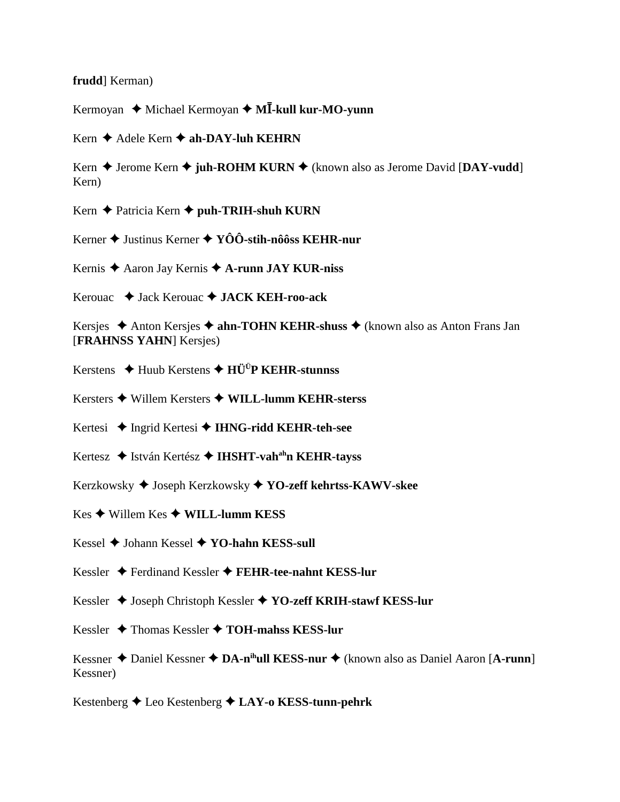#### frudd Kerman)

Kermoyan ♦ Michael Kermoyan ♦ MĪ-kull kur-MO-yunn

Kern  $\triangle$  Adele Kern  $\triangle$  ah-DAY-luh KEHRN

Kern ♦ Jerome Kern ♦ juh-ROHM KURN ♦ (known also as Jerome David [DAY-vudd] Kern)

Kern  $\triangle$  Patricia Kern  $\triangle$  puh-TRIH-shuh KURN

Kerner ♦ Justinus Kerner ♦ YÔÔ-stih-nôôss KEHR-nur

Kernis  $\triangle$  Aaron Jay Kernis  $\triangle$  A-runn JAY KUR-niss

Kerouac ◆ Jack Kerouac ◆ JACK KEH-roo-ack

Kersjes  $\triangle$  Anton Kersjes  $\triangle$  ahn-TOHN KEHR-shuss  $\triangle$  (known also as Anton Frans Jan [FRAHNSS YAHN] Kersjes)

Kerstens  $\triangle$  Huub Kerstens  $\triangle$  HÜ<sup>Ü</sup>P KEHR-stunnss

Kersters  $\triangle$  Willem Kersters  $\triangle$  WILL-lumm KEHR-sterss

Kertesi ◆ Ingrid Kertesi ◆ IHNG-ridd KEHR-teh-see

Kertesz ◆ István Kertész ◆ IHSHT-vah<sup>ah</sup>n KEHR-tavss

Kerzkowsky ♦ Joseph Kerzkowsky ♦ YO-zeff kehrtss-KAWV-skee

 $Kes$   $\blacklozenge$  Willem  $Kes$   $\blacklozenge$  WILL-lumm KESS

Kessel ♦ Johann Kessel ♦ YO-hahn KESS-sull

Kessler  $\blacklozenge$  Ferdinand Kessler  $\blacklozenge$  FEHR-tee-nahnt KESS-lur

Kessler ♦ Joseph Christoph Kessler ♦ YO-zeff KRIH-stawf KESS-lur

Kessler ◆ Thomas Kessler ◆ TOH-mahss KESS-lur

Kessner  $\triangle$  Daniel Kessner  $\triangle$  DA-n<sup>ih</sup>ull KESS-nur  $\triangle$  (known also as Daniel Aaron [A-runn] Kessner)

Kestenberg ♦ Leo Kestenberg ♦ LAY-o KESS-tunn-pehrk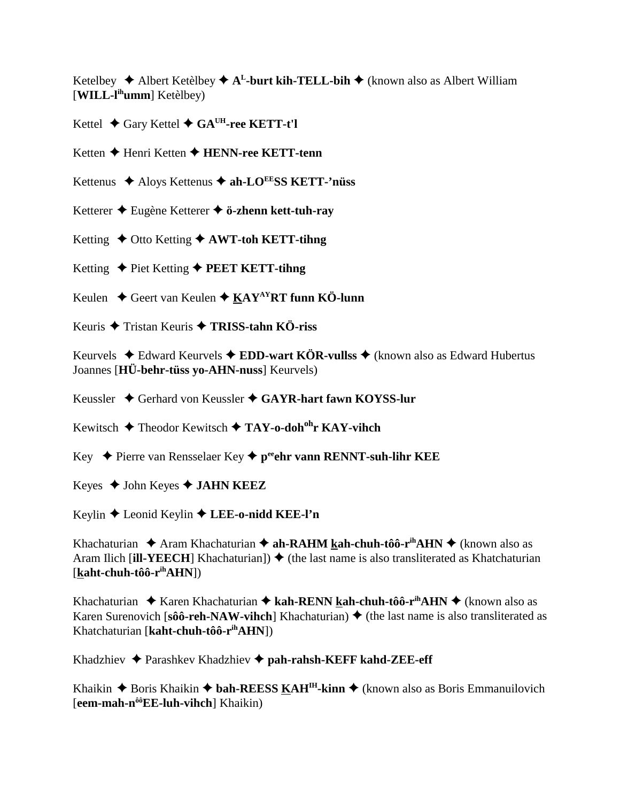Ketelbey  $\triangle$  Albert Ketèlbey  $\triangle$  A<sup>L</sup>-burt kih-TELL-bih  $\triangle$  (known also as Albert William [**WILL-lihumm**] Ketèlbey)

Kettel  $\triangle$  Gary Kettel  $\triangle$  GA<sup>UH</sup>-ree KETT-t'l

Ketten **←** Henri Ketten ← HENN-ree KETT-tenn

Kettenus ◆ Aloys Kettenus ◆ ah-LO<sup>EE</sup>SS KETT-'nüss

Ketterer Eugène Ketterer **ö-zhenn kett-tuh-ray**

Ketting  $\triangle$  Otto Ketting  $\triangle$  AWT-toh KETT-tihng

Ketting ◆ Piet Ketting ◆ **PEET KETT-tihng** 

Keulen **↓** Geert van Keulen ◆ KAY<sup>AY</sup>RT funn KÖ-lunn

Keuris Tristan Keuris **TRISS-tahn KÖ-riss**

Keurvels  $\triangle$  Edward Keurvels  $\triangle$  **EDD-wart KÖR-vullss**  $\triangle$  (known also as Edward Hubertus Joannes [**HÜ-behr-tüss yo-AHN-nuss**] Keurvels)

Keussler ◆ Gerhard von Keussler ◆ GAYR-hart fawn KOYSS-lur

Kewitsch Theodor Kewitsch **TAY-o-dohohr KAY-vihch**

Key **→** Pierre van Rensselaer Key → peehr vann RENNT-suh-lihr KEE

Keyes John Keyes **JAHN KEEZ**

Keylin Leonid Keylin **LEE-o-nidd KEE-l'n**

Khachaturian  $\triangle$  Aram Khachaturian  $\triangle$  ah-RAHM kah-chuh-tôô-r<sup>ih</sup>AHN  $\triangle$  (known also as Aram Ilich [**ill-YEECH**] Khachaturian])  $\blacklozenge$  (the last name is also transliterated as Khatchaturian [**kaht-chuh-tôô-rihAHN**])

Khachaturian  $\triangle$  Karen Khachaturian  $\triangle$  kah-RENN kah-chuh-tôô-r<sup>ih</sup>AHN  $\triangle$  (known also as Karen Surenovich [ $\hat{s}$ **ôô-reh-NAW-vihch**] Khachaturian)  $\blacklozenge$  (the last name is also transliterated as Khatchaturian [**kaht-chuh-tôô-rihAHN**])

Khadzhiev Parashkev Khadzhiev **pah-rahsh-KEFF kahd-ZEE-eff**

Khaikin  $\triangle$  Boris Khaikin  $\triangle$  bah-REESS KAH<sup>IH</sup>-kinn  $\triangle$  (known also as Boris Emmanuilovich [**eem-mah-nôôEE-luh-vihch**] Khaikin)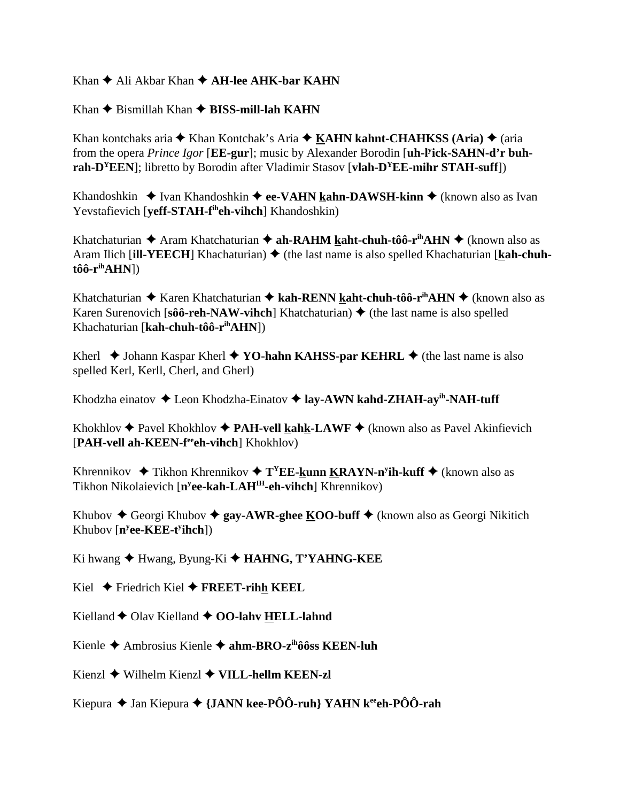Khan  $\triangle$  Ali Akbar Khan  $\triangle$  **AH-lee AHK-bar KAHN** 

 $Khan \triangle B$ ismillah Khan  $\triangle BISS$ -mill-lah KAHN

Khan kontchaks aria  $\triangle$  Khan Kontchak's Aria  $\triangle$  KAHN kahnt-CHAHKSS (Aria)  $\triangle$  (aria from the opera *Prince Igor* [**EE-gur**]; music by Alexander Borodin [**uh-ly ick-SAHN-d'r buhrah-DYEEN**]; libretto by Borodin after Vladimir Stasov [**vlah-DYEE-mihr STAH-suff**])

Khandoshkin **→** Ivan Khandoshkin ◆ ee-VAHN kahn-DAWSH-kinn ◆ (known also as Ivan Yevstafievich [**yeff-STAH-f<sup>ih</sup>eh-vihch**] Khandoshkin)

Khatchaturian  $\triangle$  Aram Khatchaturian  $\triangle$  ah-RAHM kaht-chuh-tôô-r<sup>ih</sup>AHN  $\triangle$  (known also as Aram Ilich [**ill-YEECH**] Khachaturian) ♦ (the last name is also spelled Khachaturian [**kah-chuhtôô-rihAHN**])

Khatchaturian  $\triangle$  Karen Khatchaturian  $\triangle$  kah-RENN kaht-chuh-tôô-r<sup>ih</sup>AHN  $\triangle$  (known also as Karen Surenovich  $\lceil \hat{\textbf{s}} \hat{\textbf{o}} \cdot \textbf{reh-} \cdot \textbf{NAW-} \cdot \textbf{v} \cdot \textbf{ihch} \rceil$  Khatchaturian)  $\blacklozenge$  (the last name is also spelled Khachaturian [**kah-chuh-tôô-rihAHN**])

Kherl  $\triangle$  Johann Kaspar Kherl  $\triangle$  YO-hahn KAHSS-par KEHRL  $\triangle$  (the last name is also spelled Kerl, Kerll, Cherl, and Gherl)

Khodzha einatov ◆ Leon Khodzha-Einatov ◆ lay-AWN kahd-ZHAH-ay<sup>ih</sup>-NAH-tuff

Khokhlov  $\triangle$  Pavel Khokhlov  $\triangle$  **PAH-vell kahk-LAWF**  $\triangle$  (known also as Pavel Akinfievich [**PAH-vell ah-KEEN-feeeh-vihch**] Khokhlov)

Khrennikov ◆ Tikhon Khrennikov ◆ T<sup>Y</sup>EE-**kunn KRAYN-n<sup>y</sup>ih-kuff** ◆ (known also as Tikhon Nikolaievich [**ny ee-kah-LAHIH-eh-vihch**] Khrennikov)

Khubov  $\triangle$  Georgi Khubov  $\triangle$  gay-AWR-ghee KOO-buff  $\triangle$  (known also as Georgi Nikitich Khubov [**ny ee-KEE-ty ihch**])

Ki hwang Hwang, Byung-Ki **HAHNG, T'YAHNG-KEE**

Kiel Friedrich Kiel **FREET-rihh KEEL**

Kielland ◆ Olav Kielland ◆ OO-lahv HELL-lahnd

Kienle Ambrosius Kienle **ahm-BRO-zihôôss KEEN-luh**

Kienzl Wilhelm Kienzl **VILL-hellm KEEN-zl**

Kiepura ◆ Jan Kiepura ◆ {JANN kee-PÔÔ-ruh} YAHN k<sup>ee</sup>eh-PÔÔ-rah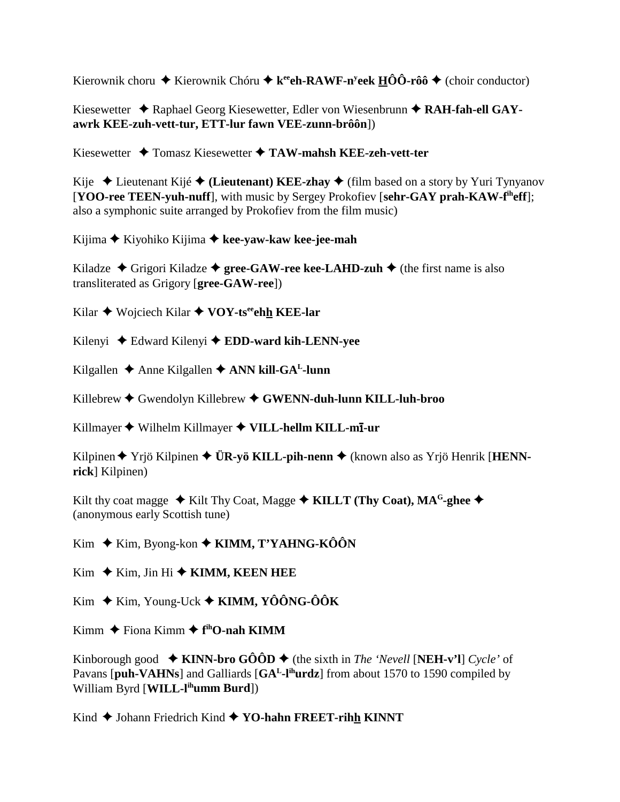Kierownik choru ◆ Kierownik Chóru ◆ k<sup>ee</sup>eh-RAWF-n<sup>y</sup>eek HÔÔ-rôô ◆ (choir conductor)

Kiesewetter ◆ Raphael Georg Kiesewetter, Edler von Wiesenbrunn ◆ RAH-fah-ell GAY**awrk KEE-zuh-vett-tur, ETT-lur fawn VEE-zunn-brôôn**])

Kiesewetter Tomasz Kiesewetter **TAW-mahsh KEE-zeh-vett-ter**

Kije  $\triangle$  Lieutenant Kijé  $\triangle$  (Lieutenant) KEE-zhay  $\triangle$  (film based on a story by Yuri Tynyanov [**YOO-ree TEEN-yuh-nuff**], with music by Sergey Prokofiev [**sehr-GAY prah-KAW-fiheff**]; also a symphonic suite arranged by Prokofiev from the film music)

Kijima Kiyohiko Kijima **kee-yaw-kaw kee-jee-mah**

Kiladze  $\triangle$  Grigori Kiladze  $\triangle$  gree-GAW-ree kee-LAHD-zuh  $\triangle$  (the first name is also transliterated as Grigory [**gree-GAW-ree**])

Kilar ◆ Wojciech Kilar ◆ VOY-ts<sup>ee</sup>ehh KEE-lar

Kilenyi Edward Kilenyi **EDD-ward kih-LENN-yee**

Kilgallen  $\triangle$  Anne Kilgallen  $\triangle$  ANN kill-GA<sup>L</sup>-lunn

Killebrew Gwendolyn Killebrew **GWENN-duh-lunn KILL-luh-broo**

Killmayer ◆ Wilhelm Killmayer ◆ VILL-hellm KILL-m**ī**-ur

Kilpinen Yrjö Kilpinen **ÜR-yö KILL-pih-nenn** (known also as Yrjö Henrik [**HENNrick**] Kilpinen)

Kilt thy coat magge  $\triangle$  Kilt Thy Coat, Magge  $\triangle$  KILLT (Thy Coat), MA<sup>G</sup>-ghee  $\triangle$ (anonymous early Scottish tune)

Kim **→** Kim, Byong-kon **→ KIMM, T'YAHNG-KÔÔN** 

Kim  $\blacklozenge$  Kim, Jin Hi  $\blacklozenge$  **KIMM, KEEN HEE** 

Kim **→** Kim, Young-Uck **→ KIMM, YÔÔNG-ÔÔK** 

Kimm ◆ Fiona Kimm ◆ f<sup>th</sup>O-nah KIMM

Kinborough good  $\blacklozenge$  **KINN-bro GÔÔD**  $\blacklozenge$  (the sixth in *The 'Nevell* [**NEH-v'l**] *Cycle'* of Pavans [puh-VAHNs] and Galliards [GA<sup>L</sup>-l<sup>ih</sup>urdz] from about 1570 to 1590 compiled by William Byrd [**WILL-lihumm Burd**])

Kind ◆ Johann Friedrich Kind ◆ YO-hahn FREET-rihh KINNT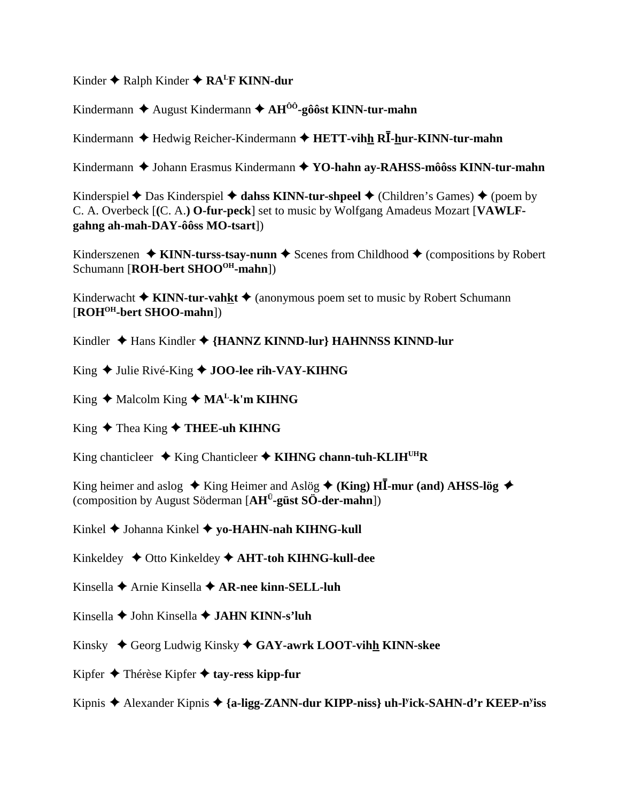Kinder  $\triangle$  Ralph Kinder  $\triangle$  RA<sup>L</sup>F KINN-dur

Kindermann ♦ August Kindermann ♦  $AH^{00}$ -gôôst KINN-tur-mahn

Kindermann  $\triangle$  Hedwig Reicher-Kindermann  $\triangle$  HETT-vihh RI-hur-KINN-tur-mahn

Kindermann ◆ Johann Erasmus Kindermann ◆ YO-hahn ay-RAHSS-môôss KINN-tur-mahn

Kinderspiel  $\triangle$  Das Kinderspiel  $\triangle$  dahss KINN-tur-shpeel  $\triangle$  (Children's Games)  $\triangle$  (poem by C. A. Overbeck [(C. A.) O-fur-peck] set to music by Wolfgang Amadeus Mozart [VAWLFgahng ah-mah-DAY-ôôss MO-tsart])

Kinderszenen  $\triangle$  KINN-turss-tsay-nunn  $\triangle$  Scenes from Childhood  $\triangle$  (compositions by Robert Schumann [ROH-bert SHOO<sup>OH</sup>-mahn])

Kinderwacht  $\triangle$  KINN-tur-vahkt  $\triangle$  (anonymous poem set to music by Robert Schumann [ROH<sup>OH</sup>-bert SHOO-mahn])

Kindler  $\triangle$  Hans Kindler  $\triangle$  {HANNZ KINND-lur} HAHNNSS KINND-lur

King ◆ Julie Rivé-King ◆ JOO-lee rih-VAY-KIHNG

King ◆ Malcolm King ◆ MA<sup>L</sup>-k'm KIHNG

King ◆ Thea King ◆ THEE-uh KIHNG

King chanticleer  $\triangleq$  King Chanticleer  $\triangleq$  KIHNG chann-tuh-KLIH<sup>UH</sup>R

King heimer and aslog  $\star$  King Heimer and Aslög  $\star$  (King) HI-mur (and) AHSS-lög  $\star$ (composition by August Söderman  $[AH^{\ddot{U}}\text{-güst S\ddot{O}}\text{-}\text{der-mahn}]$ )

Kinkel ♦ Johanna Kinkel ♦ yo-HAHN-nah KIHNG-kull

Kinkeldey  $\triangle$  Otto Kinkeldey  $\triangle$  AHT-toh KIHNG-kull-dee

- Kinsella  $\blacklozenge$  Arnie Kinsella  $\blacklozenge$  AR-nee kinn-SELL-luh
- Kinsella ♦ John Kinsella ♦ JAHN KINN-s'luh
- Kinsky ◆ Georg Ludwig Kinsky ◆ GAY-awrk LOOT-vihh KINN-skee
- Kipfer  $\triangle$  Thérèse Kipfer  $\triangle$  tay-ress kipp-fur
- Kipnis  $\triangle$  Alexander Kipnis  $\triangle$  {a-ligg-ZANN-dur KIPP-niss} uh-Fick-SAHN-d'r KEEP-n<sup>y</sup>iss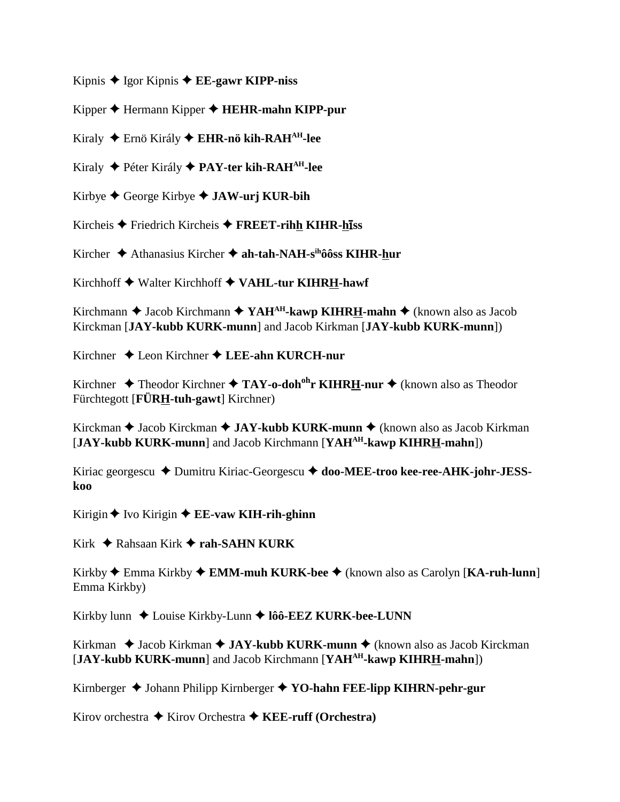Kipnis  $\triangle$  Igor Kipnis  $\triangle$  **EE-gawr KIPP-niss** 

Kipper Hermann Kipper **HEHR-mahn KIPP-pur**

Kiraly Ernö Király **EHR-nö kih-RAHAH-lee**

Kiraly Péter Király **PAY-ter kih-RAHAH-lee**

Kirbye George Kirbye **JAW-urj KUR-bih**

Kircheis ◆ Friedrich Kircheis ◆ FREET-rihh KIHR-hiss

Kircher Athanasius Kircher **ah-tah-NAH-sihôôss KIHR-hur**

Kirchhoff Walter Kirchhoff **VAHL-tur KIHRH-hawf**

Kirchmann ◆ Jacob Kirchmann ◆ YAH<sup>AH</sup>-kawp KIHRH-mahn ◆ (known also as Jacob Kirckman [**JAY-kubb KURK-munn**] and Jacob Kirkman [**JAY-kubb KURK-munn**])

Kirchner Leon Kirchner **LEE-ahn KURCH-nur**

Kirchner  $\triangle$  Theodor Kirchner  $\triangle$  TAY-o-doh<sup>oh</sup>r KIHRH-nur  $\triangle$  (known also as Theodor Fürchtegott [**FÜRH-tuh-gawt**] Kirchner)

Kirckman ◆ Jacob Kirckman ◆ JAY-kubb KURK-munn ◆ (known also as Jacob Kirkman [**JAY-kubb KURK-munn**] and Jacob Kirchmann [**YAHAH-kawp KIHRH-mahn**])

Kiriac georgescu ◆ Dumitru Kiriac-Georgescu ◆ doo-MEE-troo kee-ree-AHK-johr-JESS**koo**

Kirigin ♦ Ivo Kirigin ♦ **EE-vaw KIH-rih-ghinn** 

Kirk **→** Rahsaan Kirk → rah-SAHN KURK

Kirkby Emma Kirkby **EMM-muh KURK-bee** (known also as Carolyn [**KA-ruh-lunn**] Emma Kirkby)

Kirkby lunn ◆ Louise Kirkby-Lunn ◆ lôô-EEZ KURK-bee-LUNN

Kirkman ◆ Jacob Kirkman ◆ JAY-kubb KURK-munn ◆ (known also as Jacob Kirckman [**JAY-kubb KURK-munn**] and Jacob Kirchmann [**YAHAH-kawp KIHRH-mahn**])

Kirnberger **→** Johann Philipp Kirnberger ◆ **YO-hahn FEE-lipp KIHRN-pehr-gur** 

Kirov orchestra **→** Kirov Orchestra **→ KEE-ruff (Orchestra)**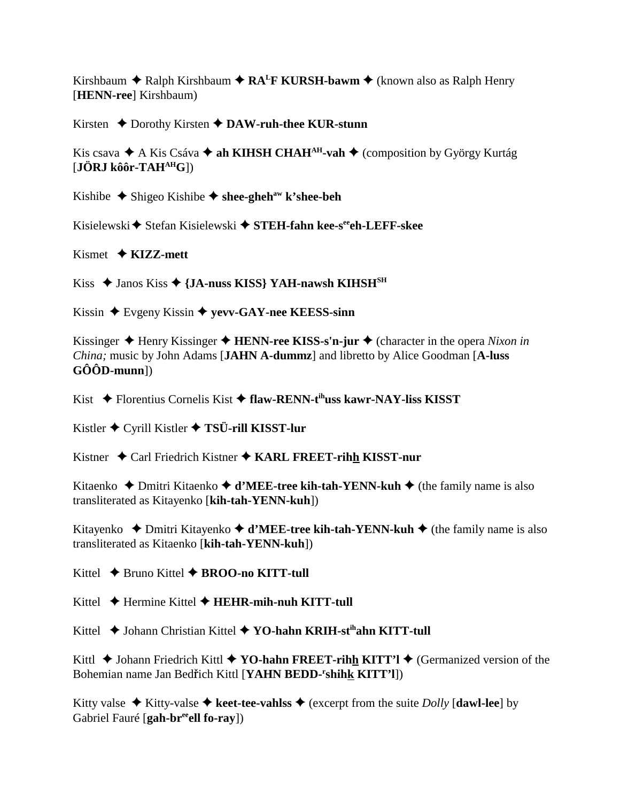Kirshbaum **→** Ralph Kirshbaum ◆ RA<sup>L</sup>F KURSH-bawm ◆ (known also as Ralph Henry [**HENN-ree**] Kirshbaum)

Kirsten ◆ Dorothy Kirsten ◆ DAW-ruh-thee KUR-stunn

Kis csava  $\triangle$  A Kis Csáva  $\triangle$  ah KIHSH CHAH<sup>AH</sup>-vah  $\triangle$  (composition by György Kurtág [**JÖRJ kôôr-TAHAHG**])

Kishibe  $\triangle$  Shigeo Kishibe  $\triangle$  shee-gheh<sup>aw</sup> k'shee-beh

Kisielewski **◆** Stefan Kisielewski ◆ STEH-fahn kee-s<sup>ee</sup>eh-LEFF-skee

Kismet  $\triangleleft$  **KIZZ-mett** 

Kiss  $\triangle$  Janos Kiss  $\triangle$  {JA-nuss KISS} YAH-nawsh KIHSH<sup>SH</sup>

Kissin Evgeny Kissin **yevv-GAY-nee KEESS-sinn**

Kissinger  $\triangle$  Henry Kissinger  $\triangle$  **HENN-ree KISS-s'n-jur**  $\triangle$  (character in the opera *Nixon in China;* music by John Adams [**JAHN A-dummz**] and libretto by Alice Goodman [**A-luss GÔÔD-munn**])

Kist Florentius Cornelis Kist **flaw-RENN-tihuss kawr-NAY-liss KISST**

Kistler Cyrill Kistler **TSÜ-rill KISST-lur**

Kistner Carl Friedrich Kistner **KARL FREET-rihh KISST-nur**

Kitaenko **→** Dmitri Kitaenko **→ d'MEE-tree kih-tah-YENN-kuh →** (the family name is also transliterated as Kitayenko [**kih-tah-YENN-kuh**])

Kitayenko  $\rightarrow$  Dmitri Kitayenko  $\rightarrow$  **d'MEE-tree kih-tah-YENN-kuh**  $\rightarrow$  (the family name is also transliterated as Kitaenko [**kih-tah-YENN-kuh**])

Kittel  $\rightarrow$  Bruno Kittel  $\rightarrow$  **BROO-no KITT-tull** 

Kittel **→** Hermine Kittel **→ HEHR-mih-nuh KITT-tull** 

Kittel **→** Johann Christian Kittel ◆ YO-hahn KRIH-st<sup>ih</sup>ahn KITT-tull

Kittl  $\triangle$  Johann Friedrich Kittl  $\triangle$  YO-hahn FREET-rihh KITT'l  $\triangle$  (Germanized version of the Bohemian name Jan Bedřich Kittl [YAHN BEDD-<sup>r</sup>shih<u>k</u> KITT'l])

Kitty valse  $\triangle$  Kitty-valse  $\triangle$  keet-tee-vahlss  $\triangle$  (excerpt from the suite *Dolly* [dawl-lee] by Gabriel Fauré [**gah-br<sup>ee</sup>ell fo-ray**])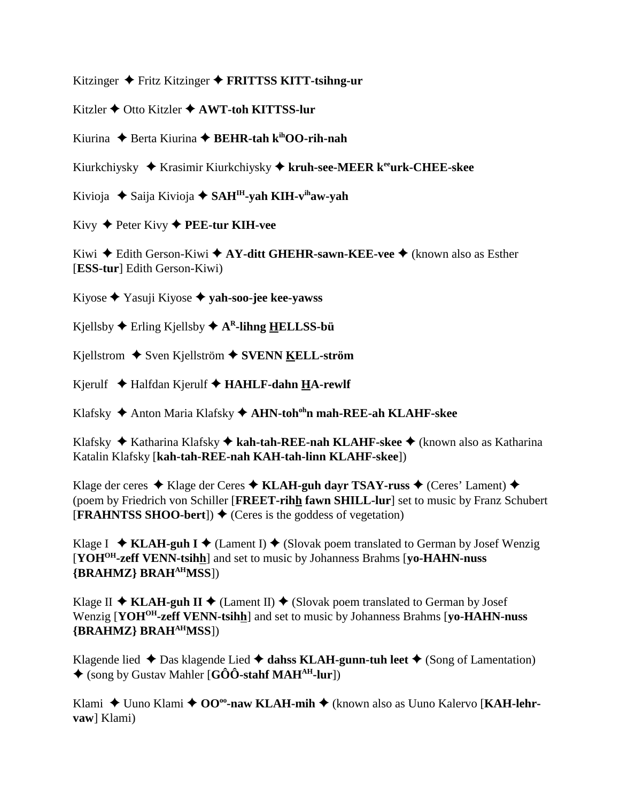Kitzinger Fritz Kitzinger **FRITTSS KITT-tsihng-ur**

Kitzler Otto Kitzler **AWT-toh KITTSS-lur**

Kiurina ◆ Berta Kiurina ◆ **BEHR-tah k<sup>ih</sup>OO-rih-nah** 

Kiurkchiysky Krasimir Kiurkchiysky  **kruh-see-MEER keeurk-CHEE-skee**

Kivioja Saija Kivioja **SAHIH-yah KIH-vihaw-yah**

Kivy Peter Kivy **PEE-tur KIH-vee**

Kiwi ◆ Edith Gerson-Kiwi ◆ AY-ditt GHEHR-sawn-KEE-vee ◆ (known also as Esther [**ESS-tur**] Edith Gerson-Kiwi)

Kiyose Yasuji Kiyose **yah-soo-jee kee-yawss**

 $K$ jellsby  $\blacklozenge$  Erling  $K$ jellsby  $\blacklozenge$  A<sup>R</sup>-lihng HELLSS-bü

Kjellstrom ◆ Sven Kjellström **◆ SVENN KELL-ström** 

Kjerulf Halfdan Kjerulf **HAHLF-dahn HA-rewlf**

Klafsky Anton Maria Klafsky **AHN-tohohn mah-REE-ah KLAHF-skee**

Klafsky Katharina Klafsky **kah-tah-REE-nah KLAHF-skee** (known also as Katharina Katalin Klafsky [**kah-tah-REE-nah KAH-tah-linn KLAHF-skee**])

Klage der ceres  $\triangle$  Klage der Ceres  $\triangle$  KLAH-guh dayr TSAY-russ  $\triangle$  (Ceres' Lament)  $\triangle$ (poem by Friedrich von Schiller [**FREET-rihh fawn SHILL-lur**] set to music by Franz Schubert  $[FRAHNTSS SHOO-bert]$   $\blacklozenge$  (Ceres is the goddess of vegetation)

Klage I  $\triangleleft$  **KLAH-guh I**  $\triangleleft$  (Lament I)  $\triangleleft$  (Slovak poem translated to German by Josef Wenzig [**YOHOH-zeff VENN-tsihh**] and set to music by Johanness Brahms [**yo-HAHN-nuss {BRAHMZ} BRAHAHMSS**])

Klage II  $\triangle$  KLAH-guh II  $\triangle$  (Lament II)  $\triangle$  (Slovak poem translated to German by Josef Wenzig [**YOHOH-zeff VENN-tsihh**] and set to music by Johanness Brahms [**yo-HAHN-nuss {BRAHMZ} BRAHAHMSS**])

Klagende lied  $\triangle$  Das klagende Lied  $\triangle$  dahss KLAH-gunn-tuh leet  $\triangle$  (Song of Lamentation) (song by Gustav Mahler [**GÔÔ-stahf MAHAH-lur**])

Klami ◆ Uuno Klami ◆ OO<sup>oo</sup>-naw KLAH-mih ◆ (known also as Uuno Kalervo [KAH-lehr**vaw**] Klami)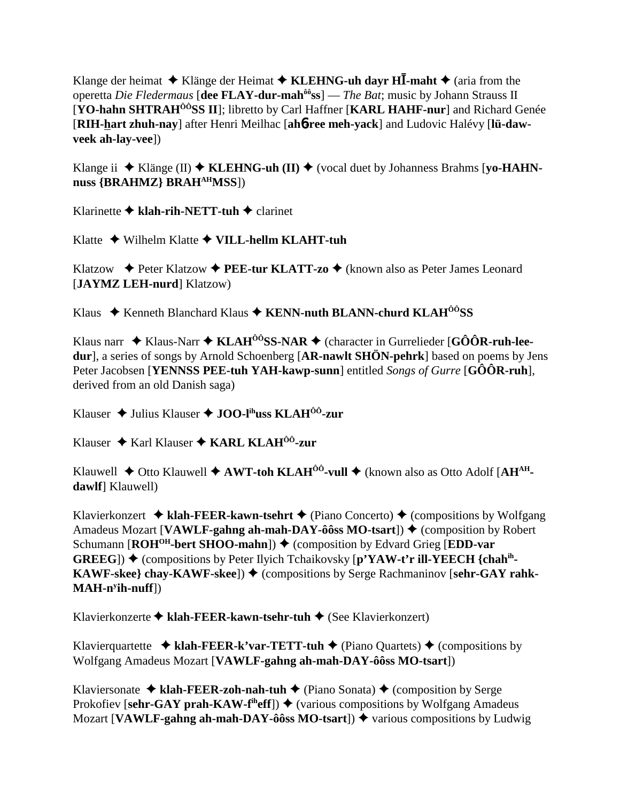Klange der heimat  $\triangle$  Klänge der Heimat  $\triangle$  KLEHNG-uh davr HI-maht  $\triangle$  (aria from the operetta Die Fledermaus [dee FLAY-dur-mah<sup>ôô</sup>ss] — The Bat; music by Johann Strauss II [YO-hahn SHTRAH<sup>ÔÔ</sup>SS II]; libretto by Carl Haffner [KARL HAHF-nur] and Richard Genée [RIH-hart zhuh-nay] after Henri Meilhac [ah6-ree meh-yack] and Ludovic Halévy [lü-dawveek ah-lay-vee])

Klange ii  $\blacklozenge$  Klänge (II)  $\blacklozenge$  KLEHNG-uh (II)  $\blacklozenge$  (vocal duet by Johanness Brahms [yo-HAHNnuss {BRAHMZ} BRAHAHMSS])

Klarinette  $\blacklozenge$  klah-rih-NETT-tuh  $\blacklozenge$  clarinet

Klatte  $\blacklozenge$  Wilhelm Klatte  $\blacklozenge$  VILL-hellm KLAHT-tuh

Klatzow  $\triangle$  Peter Klatzow  $\triangle$  PEE-tur KLATT-zo  $\triangle$  (known also as Peter James Leonard [JAYMZ LEH-nurd] Klatzow)

Klaus  $\textstyle\blacklozenge$  Kenneth Blanchard Klaus  $\textstyle\blacklozenge$  KENN-nuth BLANN-churd KLAH<sup>00</sup>SS

Klaus narr  $\triangle$  Klaus-Narr  $\triangle$  KLAH<sup> $\hat{o}$ ôSS-NAR  $\triangle$  (character in Gurrelieder [GÔÔR-ruh-lee-</sup> dur], a series of songs by Arnold Schoenberg [AR-nawlt SHÖN-pehrk] based on poems by Jens Peter Jacobsen [YENNSS PEE-tuh YAH-kawp-sunn] entitled Songs of Gurre [GÔÔR-ruh]. derived from an old Danish saga)

Klauser  $\triangle$  Julius Klauser  $\triangle$  JOO-l<sup>ih</sup>uss KLAH<sup>00</sup>-zur

Klauser  $\triangle$  Karl Klauser  $\triangle$  KARL KLAH<sup>00</sup>-zur

Klauwell  $\blacklozenge$  Otto Klauwell  $\blacklozenge$  AWT-toh KLAH<sup> $00$ </sup>-vull  $\blacklozenge$  (known also as Otto Adolf [AH<sup>AH</sup>dawlf Klauwell)

Klavierkonzert  $\triangleleft$  klah-FEER-kawn-tsehrt  $\triangleleft$  (Piano Concerto)  $\triangleleft$  (compositions by Wolfgang Amadeus Mozart [VAWLF-gahng ah-mah-DAY-ôôss MO-tsart])  $\triangle$  (composition by Robert Schumann [ROH<sup>OH</sup>-bert SHOO-mahn]) ♦ (composition by Edvard Grieg [EDD-var **GREEG**)  $\blacklozenge$  (compositions by Peter Ilyich Tchaikovsky [p'YAW-t'r ill-YEECH {chah<sup>ih</sup>-KAWF-skee} chay-KAWF-skee])  $\blacklozenge$  (compositions by Serge Rachmaninov [sehr-GAY rahk- $MAH-n<sup>y</sup>$ ih-nuff $\vert$ )

Klavierkonzerte ◆ klah-FEER-kawn-tsehr-tuh ◆ (See Klavierkonzert)

Klavierquartette  $\triangleq$  klah-FEER-k'var-TETT-tuh  $\triangleq$  (Piano Quartets)  $\triangleq$  (compositions by Wolfgang Amadeus Mozart [VAWLF-gahng ah-mah-DAY-ôôss MO-tsart])

Klaviersonate  $\triangleq$  klah-FEER-zoh-nah-tuh  $\triangleq$  (Piano Sonata)  $\triangleq$  (composition by Serge Prokofiev [sehr-GAY prah-KAW-f<sup>ih</sup>eff])  $\blacklozenge$  (various compositions by Wolfgang Amadeus Mozart [VAWLF-gahng ah-mah-DAY-ôôss MO-tsart])  $\triangle$  various compositions by Ludwig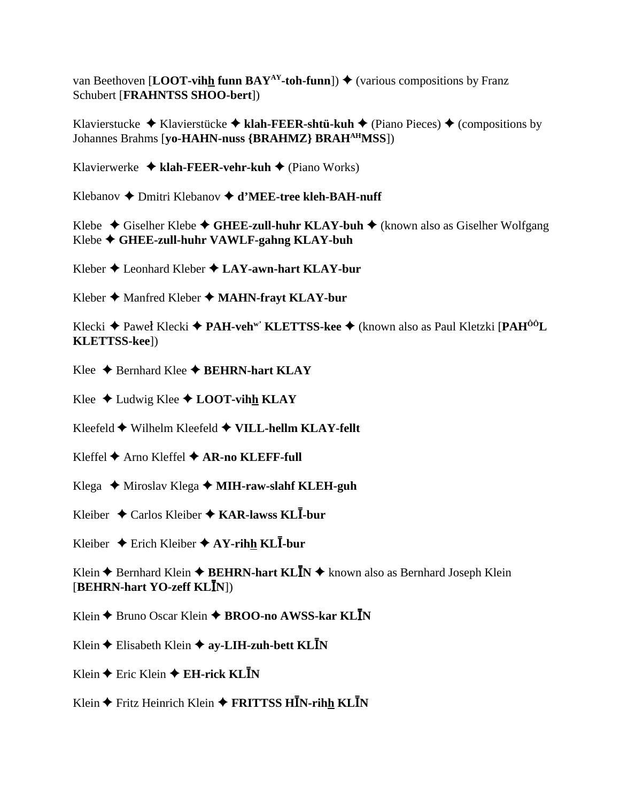van Beethoven [**LOOT-vihh funn BAY<sup>AY</sup>-toh-funn**])  $\blacklozenge$  (various compositions by Franz Schubert [**FRAHNTSS SHOO-bert**])

Klavierstucke  $\blacklozenge$  Klavierstücke  $\blacklozenge$  klah-FEER-shtü-kuh  $\blacklozenge$  (Piano Pieces)  $\blacklozenge$  (compositions by Johannes Brahms [**yo-HAHN-nuss {BRAHMZ} BRAHAHMSS**])

Klavierwerke **klah-FEER-vehr-kuh** (Piano Works)

Klebanov Dmitri Klebanov **d'MEE-tree kleh-BAH-nuff**

Klebe  $\triangle$  Giselher Klebe  $\triangle$  GHEE-zull-huhr KLAY-buh  $\triangle$  (known also as Giselher Wolfgang Klebe **GHEE-zull-huhr VAWLF-gahng KLAY-buh**

Kleber Leonhard Kleber **LAY-awn-hart KLAY-bur**

Kleber **→** Manfred Kleber ◆ MAHN-frayt KLAY-bur

Klecki **→** Paweł Klecki ◆ PAH-veh<sup>w'</sup> KLETTSS-kee ◆ (known also as Paul Kletzki [PAH<sup>ôô</sup>L] **KLETTSS-kee**])

Klee  $\triangle$  Bernhard Klee  $\triangle$  **BEHRN-hart KLAY** 

Klee  $\triangle$  Ludwig Klee  $\triangle$  **LOOT-vihh KLAY** 

Kleefeld Wilhelm Kleefeld **VILL-hellm KLAY-fellt**

Kleffel **→** Arno Kleffel **→ AR-no KLEFF-full** 

Klega  **→** Miroslav Klega **→ MIH-raw-slahf KLEH-guh** 

Kleiber Carlos Kleiber **KAR-lawss KL-bur**

Kleiber  $\triangle$  Erich Kleiber  $\triangle$  AY-rihh KL**I**-bur

Klein  $\triangle$  Bernhard Klein  $\triangle$  **BEHRN-hart KLIN**  $\triangle$  known also as Bernhard Joseph Klein [**BEHRN-hart YO-zeff KLN**])

Klein ◆ Bruno Oscar Klein ◆ **BROO-no AWSS-kar KLN** 

Klein  $\triangle$  Elisabeth Klein  $\triangle$  ay-LIH-zuh-bett KLIN

Klein **←** Eric Klein **← EH-rick KLIN** 

Klein Fritz Heinrich Klein **FRITTSS HN-rihh KLN**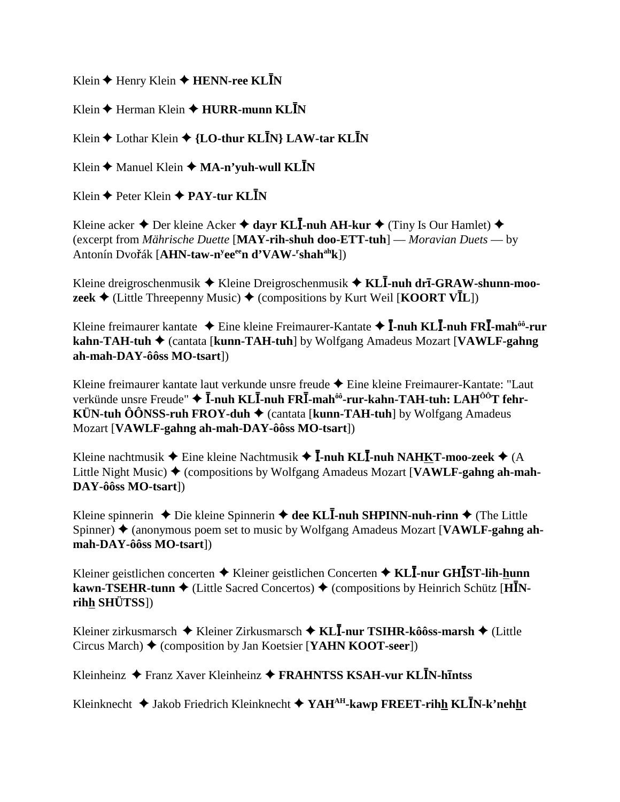Klein  $\triangle$  Henry Klein  $\triangle$  **HENN-ree KLIN** 

Klein **←** Herman Klein **← HURR-munn KLN** 

Klein **↓** Lothar Klein **→ {LO-thur KLN**} LAW-tar KL**I**N

Klein  $\triangle$  Manuel Klein  $\triangle$  **MA-n'yuh-wull KLN** 

Klein **←** Peter Klein **← PAY-tur KLN** 

Kleine acker ◆ Der kleine Acker ◆ dayr KL**I-nuh AH-kur** ◆ (Tiny Is Our Hamlet) ◆ (excerpt from *Mährische Duette* [**MAY-rih-shuh doo-ETT-tuh**] — *Moravian Duets* — by  $\text{Antonín Dvořák} \left[ \textbf{AHN-taw-n}^{\text{y}} \textbf{ee}^{\text{ee}} \textbf{n} \textbf{ d'} \textbf{V} \textbf{A} \textbf{W} \textbf{-}^{\text{r}} \textbf{shah}^{\text{ah}} \textbf{k} \right]$ 

Kleine dreigroschenmusik ◆ Kleine Dreigroschenmusik ◆ KL**Ī-nuh drī-GRAW-shunn-moozeek**  $\triangleleft$  (Little Threepenny Music)  $\triangleleft$  (compositions by Kurt Weil [**KOORT VI**L])

Kleine freimaurer kantate ◆ Eine kleine Freimaurer-Kantate ◆ **Ī-nuh KLĪ-nuh FRĪ-mah<sup>ôô</sup>-rur kahn-TAH-tuh ♦ (cantata [kunn-TAH-tuh] by Wolfgang Amadeus Mozart [VAWLF-gahng**] **ah-mah-DAY-ôôss MO-tsart**])

Kleine freimaurer kantate laut verkunde unsre freude ◆ Eine kleine Freimaurer-Kantate: "Laut verkünde unsre Freude" ◆ **Ī-nuh KLĪ-nuh FRĪ-mah<sup>ôô</sup>-rur-kahn-TAH-tuh: LAH<sup>ÔÔ</sup>T fehr-KÜN-tuh ÔÔNSS-ruh FROY-duh**  $\blacklozenge$  (cantata [**kunn-TAH-tuh**] by Wolfgang Amadeus Mozart [**VAWLF-gahng ah-mah-DAY-ôôss MO-tsart**])

Kleine nachtmusik  $\blacklozenge$  Eine kleine Nachtmusik  $\blacklozenge$  **I**-nuh **KLI**-nuh NAHKT-moo-zeek  $\blacklozenge$  (A Little Night Music)  $\triangle$  (compositions by Wolfgang Amadeus Mozart [**VAWLF-gahng ah-mah-DAY-ôôss MO-tsart**])

Kleine spinnerin ◆ Die kleine Spinnerin ◆ dee KL**Ī-nuh SHPINN-nuh-rinn ◆** (The Little Spinner)  $\triangle$  (anonymous poem set to music by Wolfgang Amadeus Mozart [**VAWLF-gahng ahmah-DAY-ôôss MO-tsart**])

Kleiner geistlichen concerten Kleiner geistlichen Concerten **KL-nur GHST-lih-hunn kawn-TSEHR-tunn**  $\blacklozenge$  **(Little Sacred Concertos)**  $\blacklozenge$  **(compositions by Heinrich Schütz [HINrihh SHÜTSS**])

Kleiner zirkusmarsch Kleiner Zirkusmarsch  **KL-nur TSIHR-kôôss-marsh** (Little Circus March) (composition by Jan Koetsier [**YAHN KOOT-seer**])

Kleinheinz Franz Xaver Kleinheinz **FRAHNTSS KSAH-vur KLN-h**-**ntss**

Kleinknecht Jakob Friedrich Kleinknecht **YAHAH-kawp FREET-rihh KLN-k'nehht**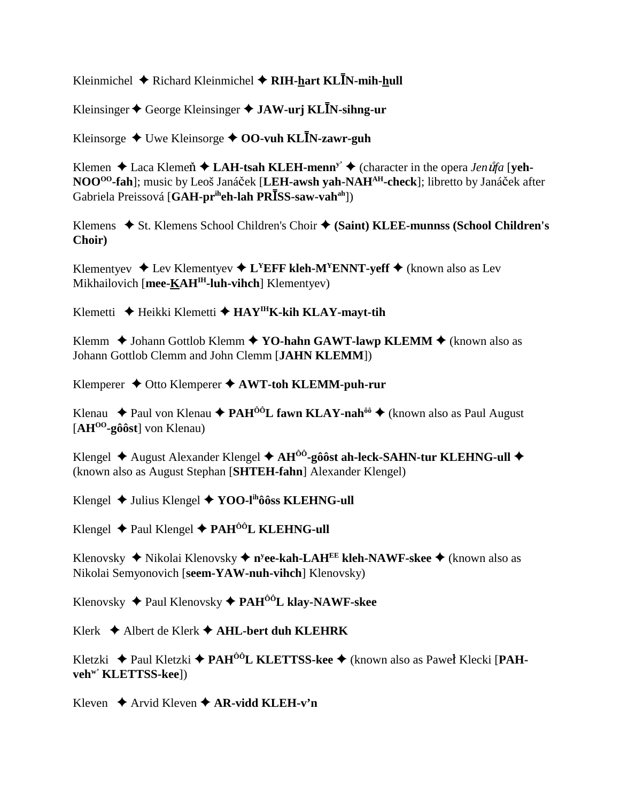Kleinmichel  $\triangleq$  Richard Kleinmichel  $\triangleq$  RIH-hart KLIN-mih-hull

Kleinsinger  $\triangle$  George Kleinsinger  $\triangle$  JAW-urj KLIN-sihng-ur

Kleinsorge  $\triangleleft$  Uwe Kleinsorge  $\triangleleft$  OO-vuh KLIN-zawr-guh

Klemen  $\triangle$  Laca Klemen  $\triangle$  LAH-tsah KLEH-menn<sup>y</sup>  $\triangle$  (character in the opera *Jen upfa* [yeh-NOO<sup>oo</sup>-fah]; music by Leoš Janáček [LEH-awsh yah-NAH<sup>AH</sup>-check]; libretto by Janáček after Gabriela Preissová [GAH-pr<sup>ih</sup>eh-lah PRĪSS-saw-vah<sup>ah</sup>])

Klemens ◆ St. Klemens School Children's Choir ◆ (Saint) KLEE-munnss (School Children's Choir)

Klementyev  $\triangleleft$  Lev Klementyev  $\triangleleft$  L<sup>Y</sup>EFF kleh-M<sup>Y</sup>ENNT-yeff  $\triangleq$  (known also as Lev Mikhailovich [mee-KAH<sup>IH</sup>-luh-vihch] Klementyev)

Klemetti ◆ Heikki Klemetti ◆ HAY<sup>IH</sup>K-kih KLAY-mayt-tih

Klemm  $\triangle$  Johann Gottlob Klemm  $\triangle$  YO-hahn GAWT-lawp KLEMM  $\triangle$  (known also as Johann Gottlob Clemm and John Clemm [JAHN KLEMM])

Klemperer  $\triangle$  Otto Klemperer  $\triangle$  AWT-toh KLEMM-puh-rur

Klenau  $\triangle$  Paul von Klenau  $\triangle$  PAH<sup>00</sup>L fawn KLAY-nah<sup>00</sup>  $\triangle$  (known also as Paul August  $[AH^{00}$ -gôôst] von Klenau)

Klengel  $\blacklozenge$  August Alexander Klengel  $\blacklozenge$  AH<sup>00</sup>-gôôst ah-leck-SAHN-tur KLEHNG-ull  $\blacklozenge$ (known also as August Stephan [SHTEH-fahn] Alexander Klengel)

Klengel ◆ Julius Klengel ◆ YOO-I<sup>ih</sup>ôôss KLEHNG-ull

Klengel  $\triangle$  Paul Klengel  $\triangle$  PAH<sup>ôô</sup>L KLEHNG-ull

Klenovsky  $\blacklozenge$  Nikolai Klenovsky  $\blacklozenge$  n<sup>y</sup>ee-kah-LAH<sup>EE</sup> kleh-NAWF-skee  $\blacklozenge$  (known also as Nikolai Semyonovich [seem-YAW-nuh-vihch] Klenovsky)

Klenovsky  $\triangle$  Paul Klenovsky  $\triangle$  PAH<sup>ôô</sup>L klay-NAWF-skee

Klerk  $\triangle$  Albert de Klerk  $\triangle$  AHL-bert duh KLEHRK

Kletzki  $\triangle$  Paul Kletzki  $\triangle$  PAH<sup>ÔÔ</sup>L KLETTSS-kee  $\triangle$  (known also as Paweł Klecki [PAHveh<sup>w</sup> KLETTSS-kee])

Kleven  $\triangle$  Arvid Kleven  $\triangle$  AR-vidd KLEH-v'n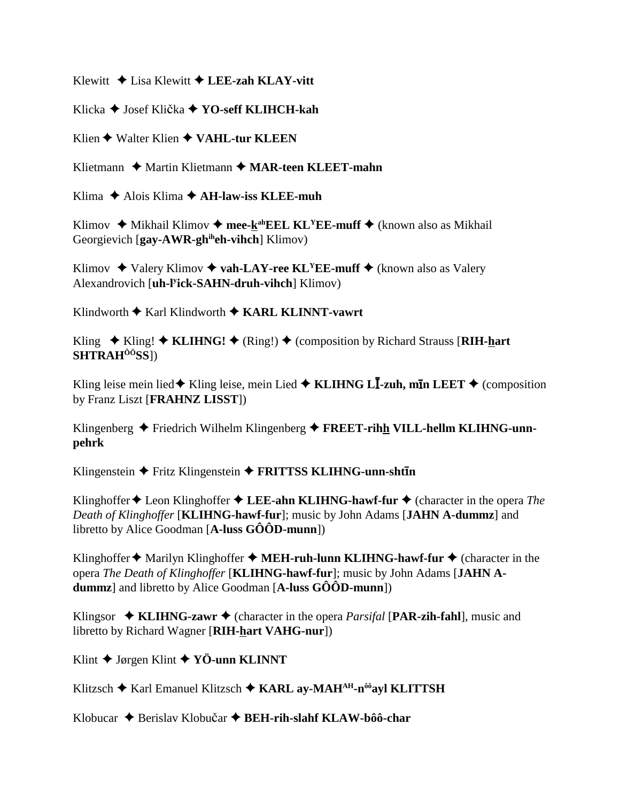Klewitt  $\triangle$  Lisa Klewitt  $\triangle$  LEE-zah KLAY-vitt

Klicka **→** Josef Klička **→ YO-seff KLIHCH-kah** 

Klien ◆ Walter Klien ◆ VAHL-tur KLEEN

Klietmann ◆ Martin Klietmann ◆ MAR-teen KLEET-mahn

Klima  $\triangle$  Alois Klima  $\triangle$  AH-law-iss KLEE-muh

Klimov  $\triangle$  Mikhail Klimov  $\triangle$  mee-k<sup>ah</sup>EEL KL<sup>Y</sup>EE-muff  $\triangle$  (known also as Mikhail Georgievich [**gay-AWR-ghiheh-vihch**] Klimov)

Klimov  $\triangle$  Valery Klimov  $\triangle$  vah-LAY-ree KL<sup>Y</sup>EE-muff  $\triangle$  (known also as Valery Alexandrovich [**uh-ly ick-SAHN-druh-vihch**] Klimov)

Klindworth **◆** Karl Klindworth ◆ KARL KLINNT-vawrt

Kling  $\triangle$  Kling!  $\triangle$  **KLIHNG!**  $\triangle$  (Ring!)  $\triangle$  (composition by Richard Strauss [RIH-hart] **SHTRAHÔÔSS**])

Kling leise mein lied◆ Kling leise, mein Lied ◆ KLIHNG L**I-zuh, mīn LEET** ◆ (composition by Franz Liszt [**FRAHNZ LISST**])

Klingenberg ◆ Friedrich Wilhelm Klingenberg ◆ **FREET-rihh VILL-hellm KLIHNG-unnpehrk**

Klingenstein  $\blacklozenge$  Fritz Klingenstein  $\blacklozenge$  FRITTSS KLIHNG-unn-shtin

Klinghoffer  $\triangle$  Leon Klinghoffer  $\triangle$  LEE-ahn KLIHNG-hawf-fur  $\triangle$  (character in the opera *The Death of Klinghoffer* [**KLIHNG-hawf-fur**]; music by John Adams [**JAHN A-dummz**] and libretto by Alice Goodman [**A-luss GÔÔD-munn**])

Klinghoffer  $\triangle$  Marilyn Klinghoffer  $\triangle$  **MEH-ruh-lunn KLIHNG-hawf-fur**  $\triangle$  (character in the opera *The Death of Klinghoffer* [**KLIHNG-hawf-fur**]; music by John Adams [**JAHN Adummz**] and libretto by Alice Goodman [**A-luss GÔÔD-munn**])

Klingsor  $\triangleleft$  **KLIHNG-zawr**  $\triangleleft$  (character in the opera *Parsifal* [**PAR-zih-fahl**], music and libretto by Richard Wagner [**RIH-hart VAHG-nur**])

Klint Jørgen Klint **YÖ-unn KLINNT**

Klitzsch ◆ Karl Emanuel Klitzsch ◆ KARL av-MAH<sup>AH</sup>-n<sup>ôô</sup>avl KLITTSH

Klobucar ◆ Berislav Klobučar ◆ **BEH-rih-slahf KLAW-bôô-char**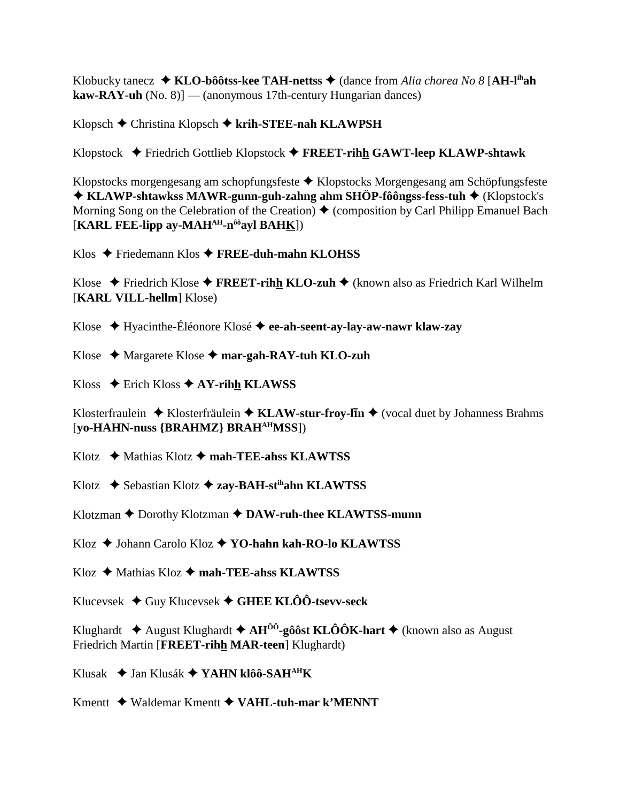Klobucky tanecz  $\triangleleft$  KLO-bôôtss-kee TAH-nettss  $\triangleleft$  (dance from Alia chorea No 8 [AH-l<sup>ih</sup>ah  $\textbf{kaw-RAY-uh}$  (No. 8)] — (anonymous 17th-century Hungarian dances)

Klopsch  $\blacklozenge$  Christina Klopsch  $\blacklozenge$  krih-STEE-nah KLAWPSH

Klopstock  $\blacklozenge$  Friedrich Gottlieb Klopstock  $\blacklozenge$  FREET-rihh GAWT-leep KLAWP-shtawk

Klopstocks morgengesang am schopfungsfeste ◆ Klopstocks Morgengesang am Schöpfungsfeste  $\blacklozenge$  KLAWP-shtawkss MAWR-gunn-guh-zahng ahm SHÖP-fôôngss-fess-tuh  $\blacklozenge$  (Klopstock's Morning Song on the Celebration of the Creation)  $\blacklozenge$  (composition by Carl Philipp Emanuel Bach [KARL FEE-lipp ay-MAH<sup>AH</sup>-n<sup>ôô</sup>ayl BAHK])

Klos  $\triangle$  Friedemann Klos  $\triangle$  FREE-duh-mahn KLOHSS

Klose  $\triangle$  Friedrich Klose  $\triangle$  FREET-rihh KLO-zuh  $\triangle$  (known also as Friedrich Karl Wilhelm [KARL VILL-hellm] Klose)

Klose  $\leftrightarrow$  Hyacinthe-Éléonore Klosé  $\leftrightarrow$  ee-ah-seent-ay-lay-aw-nawr klaw-zay

Klose  $\triangle$  Margarete Klose  $\triangle$  mar-gah-RAY-tuh KLO-zuh

Kloss  $\triangle$  Erich Kloss  $\triangle$  AY-rihh KLAWSS

Klosterfraulein  $\triangle$  Klosterfräulein  $\triangle$  KLAW-stur-froy-lin  $\triangle$  (vocal duet by Johanness Brahms) [yo-HAHN-nuss {BRAHMZ} BRAH<sup>AH</sup>MSS])

Klotz  $\leftrightarrow$  Mathias Klotz  $\leftrightarrow$  mah-TEE-ahss KLAWTSS

Klotz  $\triangle$  Sebastian Klotz  $\triangle$  zay-BAH-st<sup>ih</sup>ahn KLAWTSS

Klotzman ♦ Dorothy Klotzman ♦ DAW-ruh-thee KLAWTSS-munn

Kloz ♦ Johann Carolo Kloz ♦ YO-hahn kah-RO-lo KLAWTSS

 $Klog$   $\blacklozenge$  Mathias  $Klog$   $\blacklozenge$  mah-TEE-ahss KLAWTSS

Klucevsek  $\triangleleft$  Guy Klucevsek  $\triangleleft$  GHEE KLÔÔ-tsevv-seck

Klughardt  $\triangle$  August Klughardt  $\triangle$  AH<sup> $\hat{0}$ 0-gôôst KLÔÔK-hart  $\triangle$  (known also as August</sup> Friedrich Martin [FREET-rihh MAR-teen] Klughardt)

Klusak  $\triangleq$  Jan Klusák  $\triangleq$  YAHN klôô-SAH<sup>AH</sup>K

Kmentt  $\blacklozenge$  Waldemar Kmentt  $\blacklozenge$  VAHL-tuh-mar k'MENNT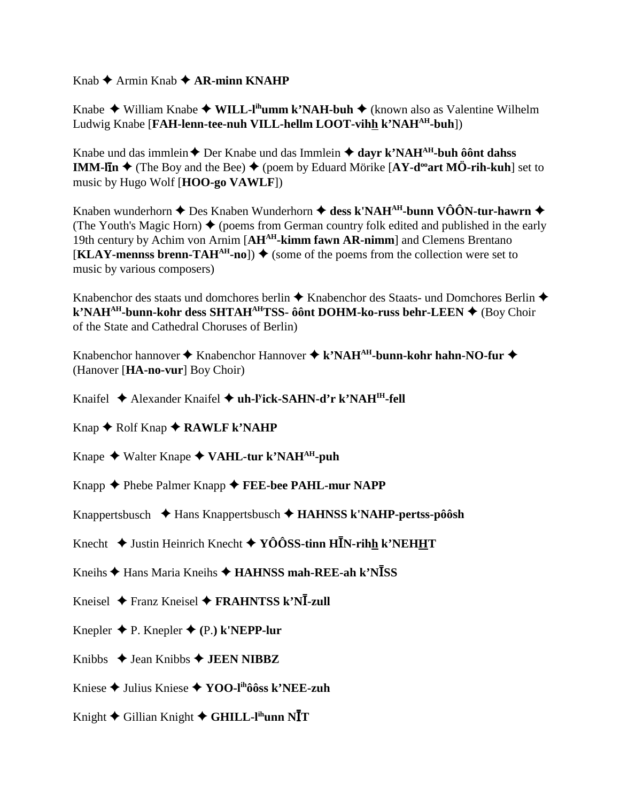Knab  $\triangle$  Armin Knab  $\triangle$  AR-minn KNAHP

Knabe  $\blacklozenge$  William Knabe  $\blacklozenge$  WILL-l<sup>ih</sup>umm k'NAH-buh  $\blacklozenge$  (known also as Valentine Wilhelm Ludwig Knabe [FAH-lenn-tee-nuh VILL-hellm LOOT-vihh k'NAH<sup>AH</sup>-buh])

Knabe und das immlein  $\triangle$  Der Knabe und das Immlein  $\triangle$  dayr k'NAH<sup>AH</sup>-buh ôônt dahss **IMM-lin**  $\blacklozenge$  (The Boy and the Bee)  $\blacklozenge$  (poem by Eduard Mörike [AY-d<sup>oo</sup>art MÖ-rih-kuh] set to music by Hugo Wolf [HOO-go VAWLF])

Knaben wunderhorn  $\triangle$  Des Knaben Wunderhorn  $\triangle$  dess k'NAH<sup>AH</sup>-bunn VÔÔN-tur-hawrn  $\triangle$ (The Youth's Magic Horn)  $\blacklozenge$  (poems from German country folk edited and published in the early 19th century by Achim von Arnim [AH<sup>AH</sup>-kimm fawn AR-nimm] and Clemens Brentano  $\mathbf{[KLAY\text{-}means\,\,brenn\text{-}TAH^{AH}\text{-}no]}$   $\blacklozenge$  (some of the poems from the collection were set to music by various composers)

Knabenchor des staats und domchores berlin  $\triangle$  Knabenchor des Staats- und Domchores Berlin  $\triangle$ k'NAH<sup>AH</sup>-bunn-kohr dess SHTAH<sup>AH</sup>TSS- ôônt DOHM-ko-russ behr-LEEN  $\blacklozenge$  (Boy Choir of the State and Cathedral Choruses of Berlin)

Knabenchor hannover  $\blacklozenge$  Knabenchor Hannover  $\blacklozenge$  k'NAH<sup>AH</sup>-bunn-kohr hahn-NO-fur  $\blacklozenge$ (Hanover [HA-no-vur] Boy Choir)

Knaifel ◆ Alexander Knaifel ◆ uh-l<sup>y</sup>ick-SAHN-d'r k'NAH<sup>IH</sup>-fell

- Knap  $\triangle$  Rolf Knap  $\triangle$  RAWLF k'NAHP
- Knape ◆ Walter Knape ◆ VAHL-tur k'NAH<sup>AH</sup>-puh
- Knapp  $\blacklozenge$  Phebe Palmer Knapp  $\blacklozenge$  FEE-bee PAHL-mur NAPP
- Knappertsbusch  $\triangle$  Hans Knappertsbusch  $\triangle$  HAHNSS k'NAHP-pertss-pôôsh
- Knecht  $\triangleq$  Justin Heinrich Knecht  $\triangleq$  YÔÔSS-tinn HĪN-rihh k'NEHHT
- Kneihs ♦ Hans Maria Kneihs ♦ HAHNSS mah-REE-ah k'NĪSS
- Kneisel  $\triangle$  Franz Kneisel  $\triangle$  FRAHNTSS k'NĪ-zull
- Knepler  $\blacklozenge$  P. Knepler  $\blacklozenge$  (P.) k'NEPP-lur
- Knibbs  $\triangle$  Jean Knibbs  $\triangle$  JEEN NIBBZ
- Kniese  $\triangle$  Julius Kniese  $\triangle$  YOO-l<sup>ih</sup>ôôss k'NEE-zuh
- Knight  $\blacklozenge$  Gillian Knight  $\blacklozenge$  GHILL-l<sup>ih</sup>unn N $\overline{\text{I}}$ T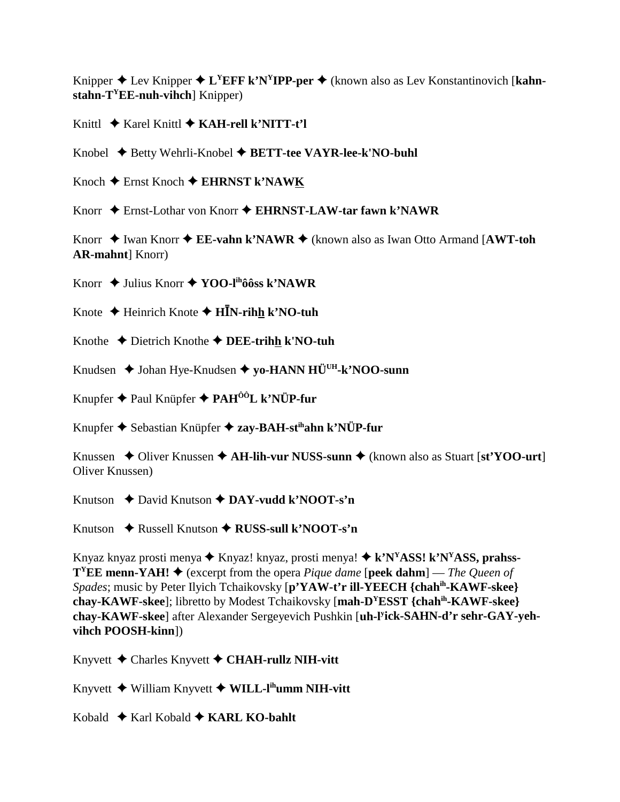Knipper  $\triangle$  Lev Knipper  $\triangle$  L<sup>Y</sup>EFF k'N<sup>Y</sup>IPP-per  $\triangle$  (known also as Lev Konstantinovich [kahn**stahn-TYEE-nuh-vihch**] Knipper)

Knittl **→** Karel Knittl ◆ **KAH-rell k'NITT-t'l** 

Knobel ◆ Betty Wehrli-Knobel ◆ **BETT-tee VAYR-lee-k'NO-buhl** 

Knoch Ernst Knoch **EHRNST k'NAWK**

Knorr ◆ Ernst-Lothar von Knorr ◆ EHRNST-LAW-tar fawn k'NAWR

Knorr ◆ Iwan Knorr ◆ **EE-vahn k'NAWR** ◆ (known also as Iwan Otto Armand [**AWT-toh AR-mahnt**] Knorr)

Knorr ◆ Julius Knorr ◆ **YOO-l<sup>ih</sup>ôôss k'NAWR** 

Knote  $\triangle$  Heinrich Knote  $\triangle$  H**I**N-rihh k'NO-tuh

Knothe Dietrich Knothe **DEE-trihh k'NO-tuh**

Knudsen ◆ Johan Hye-Knudsen ◆ yo-HANN HÜ<sup>UH</sup>-k'NOO-sunn

Knupfer Paul Knüpfer **PAHÔÔL k'NÜP-fur**

Knupfer Sebastian Knüpfer **zay-BAH-stihahn k'NÜP-fur**

Knussen  $\triangle$  Oliver Knussen  $\triangle$  AH-lih-vur NUSS-sunn  $\triangle$  (known also as Stuart [st'YOO-urt] Oliver Knussen)

Knutson **↓** David Knutson **→ DAY-vudd k'NOOT-s'n** 

Knutson ◆ Russell Knutson ◆ RUSS-sull k'NOOT-s'n

Knyaz knyaz prosti menya **→** Knyaz! knyaz, prosti menya! ◆ k'N<sup>Y</sup>ASS! k'N<sup>Y</sup>ASS, prahss-**T<sup>Y</sup>EE menn-YAH!**  $\blacklozenge$  (excerpt from the opera *Pique dame* [**peek dahm**] — *The Queen of Spades*; music by Peter Ilyich Tchaikovsky [**p'YAW-t'r ill-YEECH {chahih-KAWF-skee} chay-KAWF-skee**]; libretto by Modest Tchaikovsky [**mah-DYESST {chahih-KAWF-skee} chay-KAWF-skee**] after Alexander Sergeyevich Pushkin [**uh-ly ick-SAHN-d'r sehr-GAY-yehvihch POOSH-kinn**])

Knyvett Charles Knyvett **CHAH-rullz NIH-vitt**

Knyvett William Knyvett **WILL-lihumm NIH-vitt**

Kobald  $\triangle$  Karl Kobald  $\triangle$  KARL KO-bahlt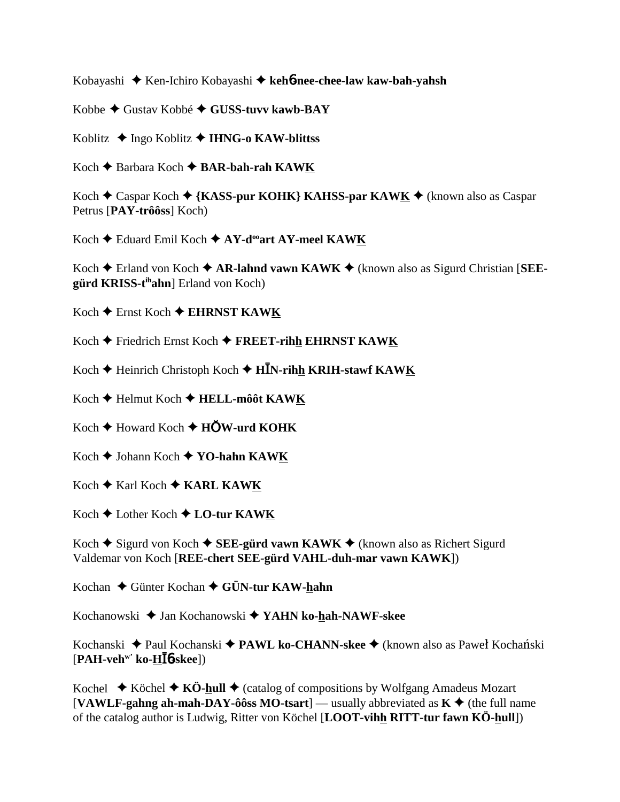Kobayashi Ken-Ichiro Kobayashi **keh**6**-nee-chee-law kaw-bah-yahsh**

Kobbe Gustav Kobbé **GUSS-tuvv kawb-BAY**

Koblitz Ingo Koblitz **IHNG-o KAW-blittss**

Koch **←** Barbara Koch ← BAR-bah-rah KAWK

Koch **←** Caspar Koch ← {KASS-pur KOHK} KAHSS-par KAWK ← (known also as Caspar Petrus [**PAY-trôôss**] Koch)

Koch Eduard Emil Koch **AY-dooart AY-meel KAWK**

Koch  $\triangle$  Erland von Koch  $\triangle$  **AR-lahnd vawn KAWK**  $\triangle$  (known also as Sigurd Christian [SEE**gürd KRISS-tihahn**] Erland von Koch)

Koch ◆ Ernst Koch ◆ EHRNST KAWK

Koch **←** Friedrich Ernst Koch ← FREET-rihh EHRNST KAWK

Koch ♦ Heinrich Christoph Koch ♦ H**I**N-rihh KRIH-stawf KAWK

Koch **←** Helmut Koch ← HELL-môôt KAWK

 $Koch \triangleleft$  Howard Koch  $\triangleleft$  **HOW-urd KOHK** 

Koch **→** Johann Koch ◆ **YO-hahn KAWK** 

 $Koch \triangleq Karl Koch \triangleq KARL KAWK$ 

Koch Lother Koch **LO-tur KAWK**

Koch  $\triangle$  Sigurd von Koch  $\triangle$  **SEE-gürd vawn KAWK**  $\triangle$  (known also as Richert Sigurd Valdemar von Koch [**REE-chert SEE-gürd VAHL-duh-mar vawn KAWK**])

Kochan **→** Günter Kochan → GÜN-tur KAW-hahn

Kochanowski Jan Kochanowski **YAHN ko-hah-NAWF-skee**

Kochanski ◆ Paul Kochanski ◆ **PAWL ko-CHANN-skee** ◆ (known also as Paweł Kochański [**PAH-vehw' ko-H**6**-skee**])

Kochel  $\blacklozenge$  Köchel  $\blacklozenge$  KÖ-hull  $\blacklozenge$  (catalog of compositions by Wolfgang Amadeus Mozart [VAWLF-gahng ah-mah-DAY-ôôss MO-tsart] — usually abbreviated as  $K \triangleleft$  (the full name of the catalog author is Ludwig, Ritter von Köchel [**LOOT-vihh RITT-tur fawn KÖ-hull**])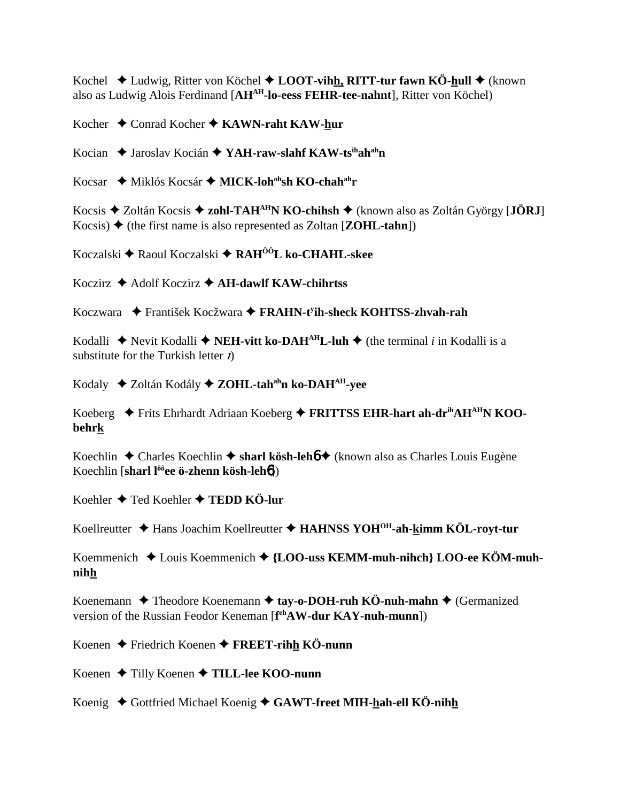Kochel  $\blacklozenge$  Ludwig, Ritter von Köchel  $\blacklozenge$  **LOOT-vihh, RITT-tur fawn KÖ-hull**  $\blacklozenge$  (known also as Ludwig Alois Ferdinand [**AHAH-lo-eess FEHR-tee-nahnt**], Ritter von Köchel)

Kocher **↓** Conrad Kocher ♦ KAWN-raht KAW-hur

Kocian ◆ Jaroslav Kocián ◆ YAH-raw-slahf KAW-ts<sup>ih</sup>ah<sup>ah</sup>n

Kocsar ◆ Miklós Kocsár ◆ MICK-loh<sup>oh</sup>sh KO-chah<sup>ah</sup>r

Kocsis Zoltán Kocsis **zohl-TAHAHN KO-chihsh** (known also as Zoltán György [**JÖRJ**] Kocsis)  $\triangle$  (the first name is also represented as Zoltan [**ZOHL-tahn**])

Koczalski Raoul Koczalski **RAHÔÔL ko-CHAHL-skee**

Koczirz Adolf Koczirz **AH-dawlf KAW-chihrtss**

Koczwara František Kocžwara **FRAHN-ty ih-sheck KOHTSS-zhvah-rah**

Kodalli  $\triangle$  Nevit Kodalli  $\triangle$  **NEH-vitt ko-DAH<sup>AH</sup>L-luh**  $\triangle$  (the terminal *i* in Kodalli is a substitute for the Turkish letter  $\vec{l}$ 

Kodaly Zoltán Kodály **ZOHL-tahahn ko-DAHAH-yee**

Koeberg Frits Ehrhardt Adriaan Koeberg **FRITTSS EHR-hart ah-drihAHAHN KOObehrk**

Koechlin **→** Charles Koechlin → **sharl kösh-leh6 →** (known also as Charles Louis Eugène Koechlin [**sharl lôôee ö-zhenn kösh-leh**6])

Koehler **→** Ted Koehler → TEDD KÖ-lur

Koellreutter Hans Joachim Koellreutter **HAHNSS YOHOH-ah-kimm KÖL-royt-tur**

Koemmenich Louis Koemmenich **{LOO-uss KEMM-muh-nihch} LOO-ee KÖM-muhnihh**

Koenemann  $\triangle$  Theodore Koenemann  $\triangle$  tay-o-DOH-ruh KÖ-nuh-mahn  $\triangle$  (Germanized version of the Russian Feodor Keneman [**f ehAW-dur KAY-nuh-munn**])

Koenen Friedrich Koenen **FREET-rihh KÖ-nunn**

Koenen ◆ Tilly Koenen ◆ TILL-lee KOO-nunn

Koenig ◆ Gottfried Michael Koenig ◆ GAWT-freet MIH-hah-ell KÖ-nihh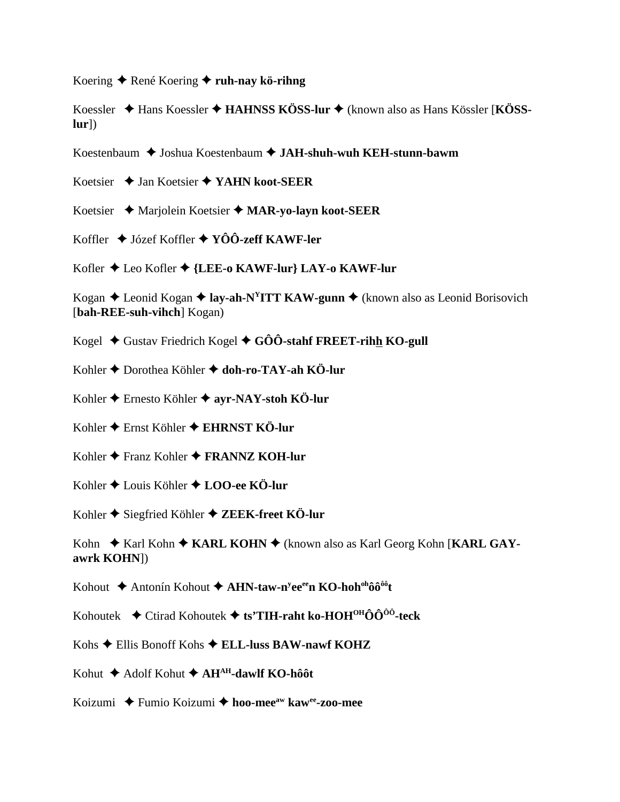Koering René Koering **ruh-nay kö-rihng**

Koessler Hans Koessler **HAHNSS KÖSS-lur**  (known also as Hans Kössler [**KÖSSlur**])

Koestenbaum ◆ Joshua Koestenbaum ◆ JAH-shuh-wuh KEH-stunn-bawm

Koetsier Jan Koetsier **YAHN koot-SEER**

Koetsier Marjolein Koetsier **MAR-yo-layn koot-SEER**

Koffler Józef Koffler **YÔÔ-zeff KAWF-ler**

Kofler Leo Kofler **{LEE-o KAWF-lur} LAY-o KAWF-lur**

Kogan  $\triangle$  Leonid Kogan  $\triangle$  **lay-ah-N<sup>Y</sup>ITT KAW-gunn**  $\triangle$  (known also as Leonid Borisovich [**bah-REE-suh-vihch**] Kogan)

Kogel ♦ Gustav Friedrich Kogel ♦ GÔÔ-stahf FREET-rihh KO-gull

Kohler Dorothea Köhler **doh-ro-TAY-ah KÖ-lur**

Kohler Ernesto Köhler **ayr-NAY-stoh KÖ-lur**

Kohler Ernst Köhler **EHRNST KÖ-lur**

Kohler **←** Franz Kohler ← FRANNZ KOH-lur

Kohler Louis Köhler **LOO-ee KÖ-lur**

Kohler ◆ Siegfried Köhler ◆ ZEEK-freet KÖ-lur

Kohn ◆ Karl Kohn ◆ KARL KOHN ◆ (known also as Karl Georg Kohn [KARL GAY**awrk KOHN**])

Kohout ◆ Antonín Kohout ◆ **AHN-taw-n<sup>y</sup>ee<sup>ee</sup>n KO-hoh<sup>oh</sup>ôô<sup>ôô</sup>t** 

Kohoutek  $\blacklozenge$  Ctirad Kohoutek  $\blacklozenge$  ts'TIH-raht ko-HOH<sup>OH</sup>ÔÔ<sup>ôô</sup>-teck

Kohs Ellis Bonoff Kohs **ELL-luss BAW-nawf KOHZ**

Kohut **→** Adolf Kohut ◆ AH<sup>AH</sup>-dawlf KO-hôôt

Koizumi Fumio Koizumi **hoo-meeaw kawee-zoo-mee**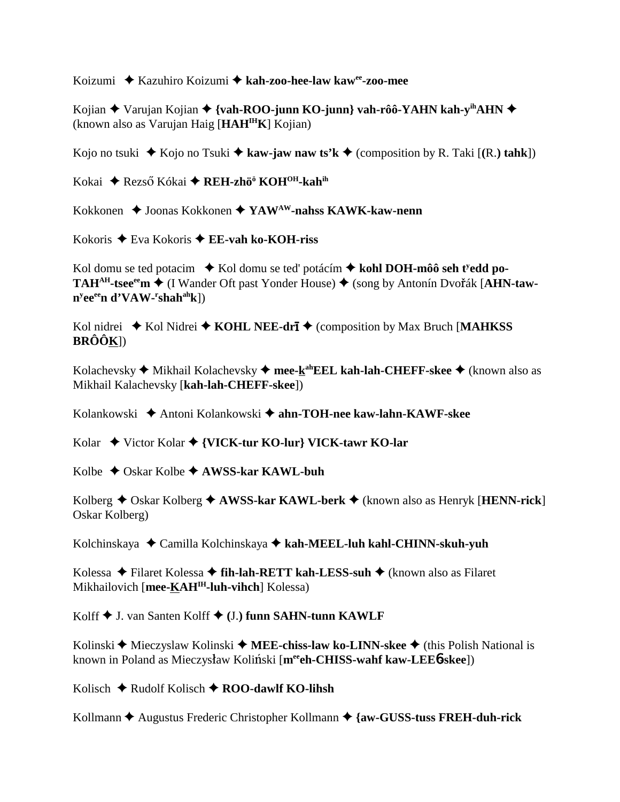Koizumi Kazuhiro Koizumi **kah-zoo-hee-law kawee-zoo-mee**

Kojian **→** Varujan Kojian → {vah-ROO-junn KO-junn} vah-rôô-YAHN kah-y<sup>ih</sup>AHN → (known also as Varujan Haig [**HAHIHK**] Kojian)

Kojo no tsuki  $\blacklozenge$  Kojo no Tsuki  $\blacklozenge$  kaw-jaw naw ts'k  $\blacklozenge$  (composition by R. Taki [(R.) tahk])

Kokai ◆ Rezső Kókai **◆ REH-zhö<sup>ö</sup> KOH<sup>OH</sup>-kah<sup>ih</sup>** 

Kokkonen Joonas Kokkonen **YAWAW-nahss KAWK-kaw-nenn**

Kokoris Eva Kokoris  **EE-vah ko-KOH-riss**

Kol domu se ted potacim  $\bullet$  Kol domu se ted' potácím  $\bullet$  kohl DOH-môô seh t<sup>y</sup>edd po-**TAH<sup>AH</sup>-tsee<sup>ee</sup>m ◆ (I Wander Oft past Yonder House) ◆ (song by Antonín Dvořák [AHN-tawny eeeen d'VAW-r shahahk**])

Kol nidrei ◆ Kol Nidrei ◆ KOHL NEE-dri ◆ (composition by Max Bruch [MAHKSS **BRÔÔK**])

Kolachevsky **→** Mikhail Kolachevsky → mee-k<sup>ah</sup>EEL kah-lah-CHEFF-skee → (known also as Mikhail Kalachevsky [**kah-lah-CHEFF-skee**])

Kolankowski Antoni Kolankowski **ahn-TOH-nee kaw-lahn-KAWF-skee**

Kolar Victor Kolar **{VICK-tur KO-lur} VICK-tawr KO-lar**

Kolbe Oskar Kolbe **AWSS-kar KAWL-buh**

Kolberg ◆ Oskar Kolberg ◆ **AWSS-kar KAWL-berk** ◆ (known also as Henryk [**HENN-rick**] Oskar Kolberg)

Kolchinskaya Camilla Kolchinskaya **kah-MEEL-luh kahl-CHINN-skuh-yuh**

Kolessa Filaret Kolessa **fih-lah-RETT kah-LESS-suh** (known also as Filaret Mikhailovich [**mee-KAHIH-luh-vihch**] Kolessa)

Kolff J. van Santen Kolff  **(**J.**) funn SAHN-tunn KAWLF**

Kolinski ◆ Mieczyslaw Kolinski ◆ MEE-chiss-law ko-LINN-skee ◆ (this Polish National is known in Poland as Mieczysław Koliński [mereh-CHISS-wahf kaw-LEE6-skee])

Kolisch **→** Rudolf Kolisch **→ ROO-dawlf KO-lihsh** 

Kollmann Augustus Frederic Christopher Kollmann **{aw-GUSS-tuss FREH-duh-rick**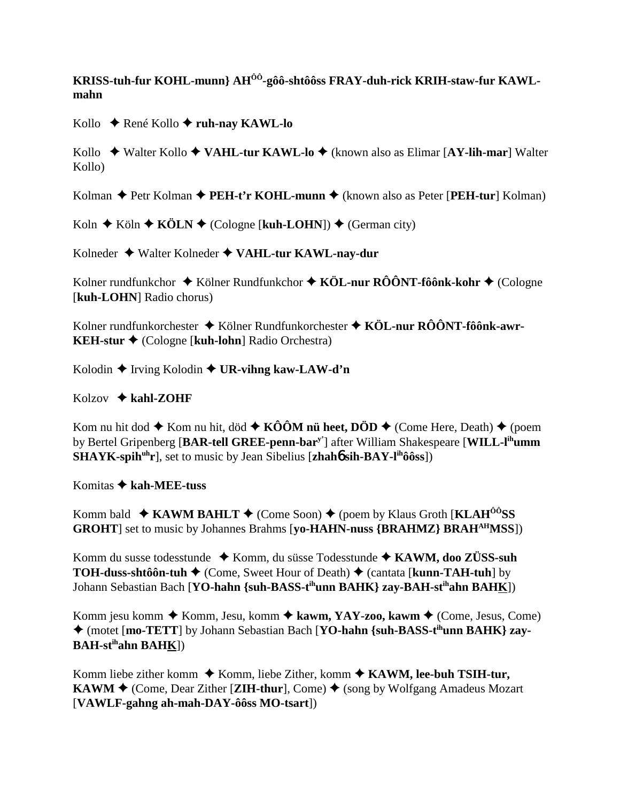KRISS-tuh-fur KOHL-munn} AH<sup>ÔÔ</sup>-gôô-shtôôss FRAY-duh-rick KRIH-staw-fur KAWL**mahn**

Kollo **↓** René Kollo **→ ruh-nay KAWL-lo** 

Kollo Walter Kollo **VAHL-tur KAWL-lo** (known also as Elimar [**AY-lih-mar**] Walter Kollo)

Kolman ◆ Petr Kolman ◆ PEH-t'r KOHL-munn ◆ (known also as Peter [PEH-tur] Kolman)

Koln  $\triangle$  Köln  $\triangle$  KÖLN  $\triangle$  (Cologne [kuh-LOHN])  $\triangle$  (German city)

Kolneder Walter Kolneder **VAHL-tur KAWL-nay-dur**

Kolner rundfunkchor ◆ Kölner Rundfunkchor ◆ KÖL-nur RÔÔNT-fôônk-kohr ◆ (Cologne [**kuh-LOHN**] Radio chorus)

Kolner rundfunkorchester Kölner Rundfunkorchester **KÖL-nur RÔÔNT-fôônk-awr-KEH-stur** (Cologne [**kuh-lohn**] Radio Orchestra)

Kolodin **→** Irving Kolodin **→ UR-vihng kaw-LAW-d'n** 

Kolzov **kahl-ZOHF**

Kom nu hit dod  $\blacklozenge$  Kom nu hit, död  $\blacklozenge$  KÔÔM nü heet, DÖD  $\blacklozenge$  (Come Here, Death)  $\blacklozenge$  (poem by Bertel Gripenberg [**BAR-tell GREE-penn-bary'**] after William Shakespeare [**WILL-lihumm SHAYK-spih<sup>uh</sup>r**], set to music by Jean Sibelius [**zhah6** sih-BAY-l<sup>ih</sup>ôôss])

Komitas **kah-MEE-tuss**

Komm bald  $\triangle$  **KAWM BAHLT**  $\triangle$  (Come Soon)  $\triangle$  (poem by Klaus Groth [**KLAH<sup>ôô</sup>SS GROHT**] set to music by Johannes Brahms [**yo-HAHN-nuss {BRAHMZ} BRAHAHMSS**])

Komm du susse todesstunde ◆ Komm, du süsse Todesstunde ◆ KAWM, doo ZÜSS-suh **TOH-duss-shtôôn-tuh ♦** (Come, Sweet Hour of Death) ♦ (cantata [**kunn-TAH-tuh**] by Johann Sebastian Bach [**YO-hahn {suh-BASS-tihunn BAHK} zay-BAH-stihahn BAHK**])

Komm jesu komm ◆ Komm, Jesu, komm ◆ kawm, YAY-zoo, kawm ◆ (Come, Jesus, Come) ◆ (motet [**mo-TETT**] by Johann Sebastian Bach [**YO-hahn** {suh-BASS-t<sup>ih</sup>unn BAHK} zay-**BAH-stihahn BAHK**])

Komm liebe zither komm  $\triangle$  Komm, liebe Zither, komm  $\triangle$  KAWM, lee-buh TSIH-tur, **KAWM**  $\blacklozenge$  (Come, Dear Zither [**ZIH-thur**], Come)  $\blacklozenge$  (song by Wolfgang Amadeus Mozart [**VAWLF-gahng ah-mah-DAY-ôôss MO-tsart**])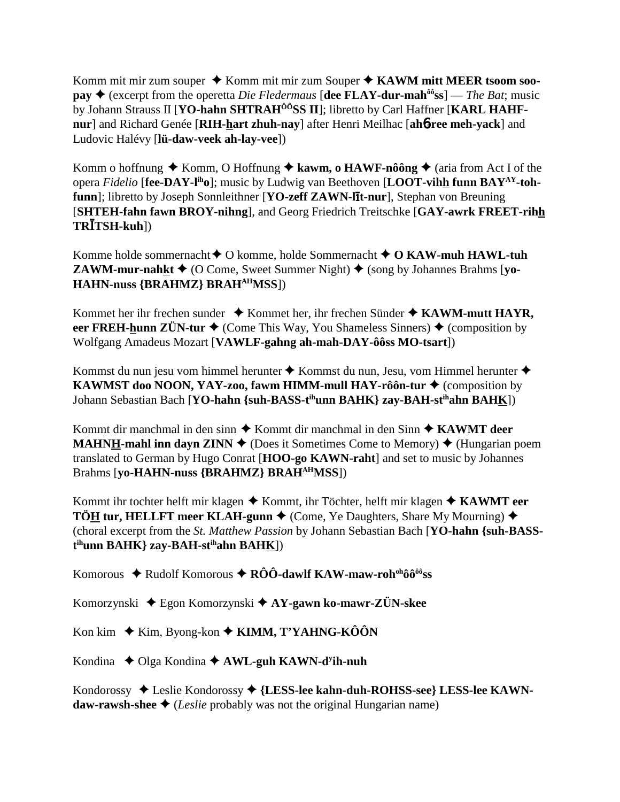Komm mit mir zum souper ◆ Komm mit mir zum Souper ◆ KAWM mitt MEER tsoom soo**pay**  $\triangle$  (excerpt from the operetta *Die Fledermaus* [dee FLAY-dur-mah<sup> $\hat{\theta}$ oss] — *The Bat*; music</sup> by Johann Strauss II [YO-hahn SHTRAH<sup>ÔÔ</sup>SS II]; libretto by Carl Haffner [KARL HAHF**nur**] and Richard Genée [**RIH-hart zhuh-nay**] after Henri Meilhac [**ah**6**-ree meh-yack**] and Ludovic Halévy [**lü-daw-veek ah-lay-vee**])

Komm o hoffnung  $\blacklozenge$  Komm, O Hoffnung  $\blacklozenge$  kawm, o HAWF-nôông  $\blacklozenge$  (aria from Act I of the opera *Fidelio* [**fee-DAY-liho**]; music by Ludwig van Beethoven [**LOOT-vihh funn BAYAY-tohfunn**]; libretto by Joseph Sonnleithner [**YO-zeff ZAWN-lit-nur**], Stephan von Breuning [**SHTEH-fahn fawn BROY-nihng**], and Georg Friedrich Treitschke [**GAY-awrk FREET-rihh TRTSH-kuh**])

Komme holde sommernacht O komme, holde Sommernacht **O KAW-muh HAWL-tuh ZAWM-mur-nahkt**  $\triangleq$  (O Come, Sweet Summer Night)  $\triangleq$  (song by Johannes Brahms [vo-**HAHN-nuss {BRAHMZ} BRAHAHMSS**])

Kommet her ihr frechen sunder  $\triangle$  Kommet her, ihr frechen Sünder  $\triangle$  KAWM-mutt HAYR, **eer FREH-hunn ZÜN-tur**  $\triangle$  (Come This Way, You Shameless Sinners)  $\triangle$  (composition by Wolfgang Amadeus Mozart [**VAWLF-gahng ah-mah-DAY-ôôss MO-tsart**])

Kommst du nun jesu vom himmel herunter ◆ Kommst du nun, Jesu, vom Himmel herunter ◆ **KAWMST doo NOON, YAY-zoo, fawm HIMM-mull HAY-rôôn-tur ♦** (composition by Johann Sebastian Bach [**YO-hahn {suh-BASS-t<sup>ih</sup>unn BAHK} zay-BAH-st<sup>ih</sup>ahn BAH<u>K</u>])** 

Kommt dir manchmal in den sinn ◆ Kommt dir manchmal in den Sinn ◆ KAWMT deer **MAHNH-mahl inn dayn ZINN**  $\blacklozenge$  (Does it Sometimes Come to Memory)  $\blacklozenge$  (Hungarian poem translated to German by Hugo Conrat [**HOO-go KAWN-raht**] and set to music by Johannes Brahms [**yo-HAHN-nuss {BRAHMZ} BRAHAHMSS**])

Kommt ihr tochter helft mir klagen ◆ Kommt, ihr Töchter, helft mir klagen ◆ KAWMT eer **TÖH tur, HELLFT meer KLAH-gunn**  $\blacklozenge$  (Come, Ye Daughters, Share My Mourning)  $\blacklozenge$ (choral excerpt from the *St. Matthew Passion* by Johann Sebastian Bach [**YO-hahn {suh-BASSt ihunn BAHK} zay-BAH-stihahn BAHK**])

Komorous ◆ Rudolf Komorous ◆ RÔÔ-dawlf KAW-maw-roh<sup>oh</sup>ôô<sup>ôô</sup>ss

Komorzynski Egon Komorzynski **AY-gawn ko-mawr-ZÜN-skee**

Kon kim  $\blacklozenge$  Kim, Byong-kon  $\blacklozenge$  **KIMM, T'YAHNG-KÔÔN** 

Kondina ◆ Olga Kondina ◆ AWL-guh KAWN-d<sup>y</sup>ih-nuh

Kondorossy Leslie Kondorossy **{LESS-lee kahn-duh-ROHSS-see} LESS-lee KAWNdaw-rawsh-shee**  $\triangle$  (*Leslie* probably was not the original Hungarian name)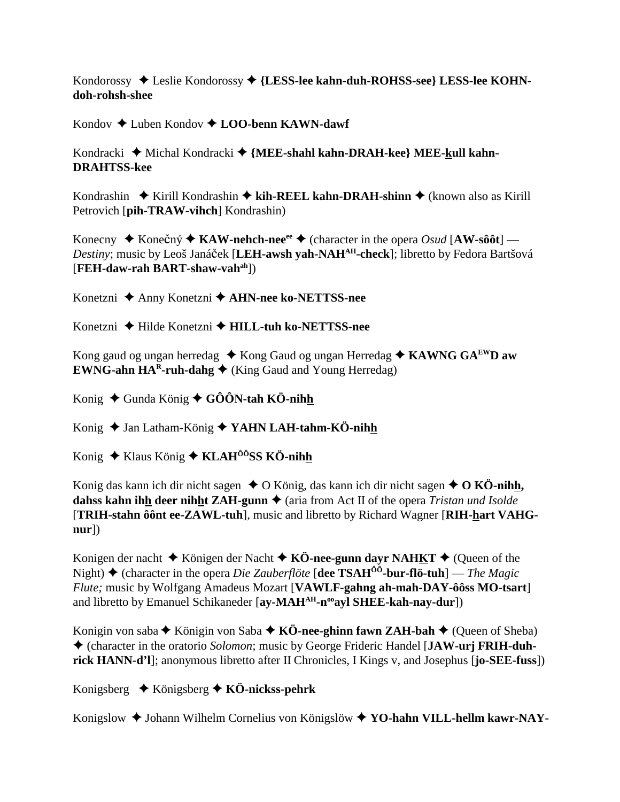Kondorossy ◆ Leslie Kondorossy ◆ {LESS-lee kahn-duh-ROHSS-see} LESS-lee KOHN**doh-rohsh-shee**

Kondov Luben Kondov **LOO-benn KAWN-dawf**

Kondracki ◆ Michal Kondracki ◆ {MEE-shahl kahn-DRAH-kee} MEE-kull kahn-**DRAHTSS-kee**

Kondrashin  $\triangle$  Kirill Kondrashin  $\triangle$  kih-REEL kahn-DRAH-shinn  $\triangle$  (known also as Kirill Petrovich [**pih-TRAW-vihch**] Kondrashin)

Konecny  $\blacklozenge$  Konečný  $\blacklozenge$  KAW-nehch-nee<sup>ee</sup>  $\blacklozenge$  (character in the opera *Osud* [AW-sôôt] — *Destiny*; music by Leoš Janáček [LEH-awsh yah-NAH<sup>AH</sup>-check]; libretto by Fedora Bartšová [**FEH-daw-rah BART-shaw-vahah**])

Konetzni Anny Konetzni **AHN-nee ko-NETTSS-nee**

Konetzni Hilde Konetzni **HILL-tuh ko-NETTSS-nee**

Kong gaud og ungan herredag ◆ Kong Gaud og ungan Herredag ◆ KAWNG GA<sup>EW</sup>D aw **EWNG-ahn**  $HA^R$ **-ruh-dahg**  $\blacklozenge$  (King Gaud and Young Herredag)

Konig ◆ Gunda König ◆ GÔÔN-tah KÖ-nih<u>h</u>

Konig ◆ Jan Latham-König ◆ YAHN LAH-tahm-KÖ-nihh

Konig  $\triangle$  Klaus König  $\triangle$  KLAH<sup>ôô</sup>SS KÖ-nihh

Konig das kann ich dir nicht sagen  $\triangle$  O König, das kann ich dir nicht sagen  $\triangle$  O KÖ-nihh, **dahss kahn ihh deer nihht ZAH-gunn**  $\triangle$  (aria from Act II of the opera *Tristan und Isolde* [**TRIH-stahn ôônt ee-ZAWL-tuh**], music and libretto by Richard Wagner [**RIH-hart VAHGnur**])

Konigen der nacht  $\triangle$  Königen der Nacht  $\triangle$  KÖ-nee-gunn dayr NAHKT  $\triangle$  (Oueen of the Night) (character in the opera *Die Zauberflöte* [**dee TSAHÔÔ-bur-flö-tuh**] — *The Magic Flute;* music by Wolfgang Amadeus Mozart [**VAWLF-gahng ah-mah-DAY-ôôss MO-tsart**] and libretto by Emanuel Schikaneder [ay-MAH<sup>AH</sup>-n<sup>oo</sup>ayl SHEE-kah-nay-dur])

Konigin von saba  $\blacklozenge$  Königin von Saba  $\blacklozenge$  KÖ-nee-ghinn fawn ZAH-bah  $\blacklozenge$  (Queen of Sheba) (character in the oratorio *Solomon*; music by George Frideric Handel [**JAW-urj FRIH-duhrick HANN-d'l**]; anonymous libretto after II Chronicles, I Kings v, and Josephus [**jo-SEE-fuss**])

Konigsberg Königsberg **KÖ-nickss-pehrk**

Konigslow Johann Wilhelm Cornelius von Königslöw **YO-hahn VILL-hellm kawr-NAY-**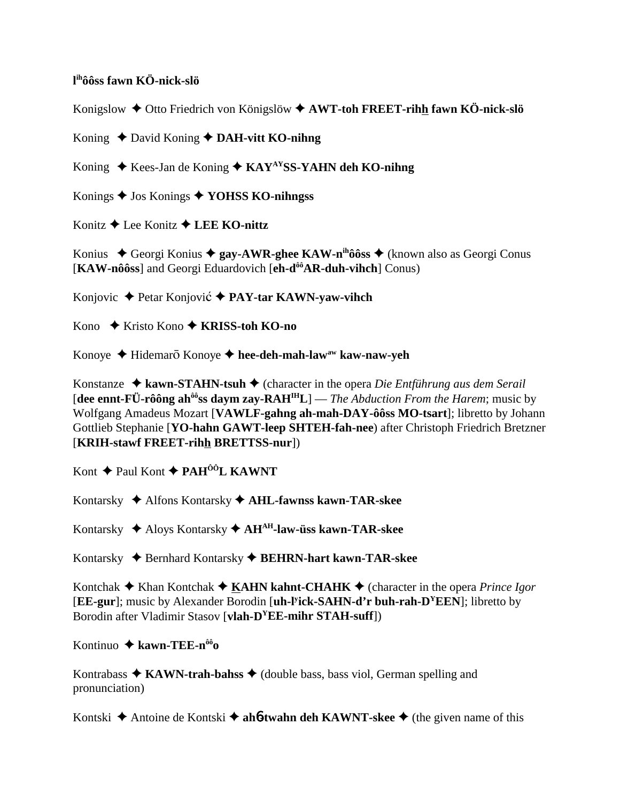## **l ihôôss fawn KÖ-nick-slö**

Konigslow Otto Friedrich von Königslöw **AWT-toh FREET-rihh fawn KÖ-nick-slö**

Koning ◆ David Koning ◆ DAH-vitt KO-nihng

Koning ◆ Kees-Jan de Koning ◆ KAY<sup>AY</sup>SS-YAHN deh KO-nihng

Konings Jos Konings **YOHSS KO-nihngss**

Konitz **→ Lee Konitz → LEE KO-nittz** 

Konius ◆ Georgi Konius ◆ gay-AWR-ghee KAW-n<sup>ih</sup>ôôss ◆ (known also as Georgi Conus [**KAW-nôôss**] and Georgi Eduardovich [**eh-dôôAR-duh-vihch**] Conus)

Konjovic ◆ Petar Konjović ◆ PAY-tar KAWN-yaw-vihch

Kono **↓** Kristo Kono **→ KRISS-toh KO-no** 

Konoye ◆ Hidemarō Konoye ◆ hee-deh-mah-law<sup>aw</sup> kaw-naw-yeh

Konstanze **kawn-STAHN-tsuh** (character in the opera *Die Entführung aus dem Serail* [**dee ennt-FÜ-rôông ahôôss daym zay-RAHIHL**] — *The Abduction From the Harem*; music by Wolfgang Amadeus Mozart [**VAWLF-gahng ah-mah-DAY-ôôss MO-tsart**]; libretto by Johann Gottlieb Stephanie [**YO-hahn GAWT-leep SHTEH-fah-nee**) after Christoph Friedrich Bretzner [**KRIH-stawf FREET-rihh BRETTSS-nur**])

Kont **↑** Paul Kont **↑ PAH<sup>ÔÔ</sup>L KAWNT** 

Kontarsky Alfons Kontarsky **AHL-fawnss kawn-TAR-skee**

Kontarsky Aloys Kontarsky **AHAH-law-üss kawn-TAR-skee**

Kontarsky **→** Bernhard Kontarsky → **BEHRN-hart kawn-TAR-skee** 

Kontchak  $\triangle$  Khan Kontchak  $\triangle$  KAHN kahnt-CHAHK  $\triangle$  (character in the opera *Prince Igor* [**EE-gur**]; music by Alexander Borodin [**uh-ly ick-SAHN-d'r buh-rah-DYEEN**]; libretto by Borodin after Vladimir Stasov [**vlah-DYEE-mihr STAH-suff**])

Kontinuo **kawn-TEE-nôôo**

Kontrabass  $\triangle$  KAWN-trah-bahss  $\triangle$  (double bass, bass viol, German spelling and pronunciation)

Kontski ◆ Antoine de Kontski ◆ ah**6-twahn deh KAWNT-skee** ◆ (the given name of this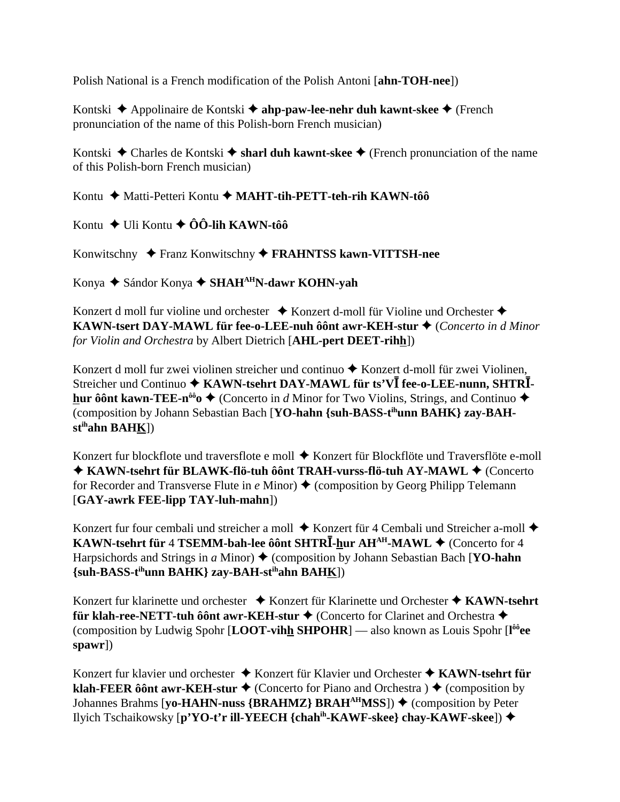Polish National is a French modification of the Polish Antoni [**ahn-TOH-nee**])

Kontski ◆ Appolinaire de Kontski ◆ ahp-paw-lee-nehr duh kawnt-skee ◆ (French pronunciation of the name of this Polish-born French musician)

Kontski  $\triangle$  Charles de Kontski  $\triangle$  sharl duh kawnt-skee  $\triangle$  (French pronunciation of the name of this Polish-born French musician)

Kontu ◆ Matti-Petteri Kontu ◆ MAHT-tih-PETT-teh-rih KAWN-tôô

Kontu  $\div$  Uli Kontu  $\div$  ÔÔ-lih KAWN-tôô

Konwitschny Franz Konwitschny **FRAHNTSS kawn-VITTSH-nee**

Konya Sándor Konya **SHAHAHN-dawr KOHN-yah**

Konzert d moll fur violine und orchester  $\triangle$  Konzert d-moll für Violine und Orchester  $\triangle$ **KAWN-tsert DAY-MAWL für fee-o-LEE-nuh ôônt awr-KEH-stur ♦ (Concerto in d Minor** *for Violin and Orchestra* by Albert Dietrich [**AHL-pert DEET-rihh**])

Konzert d moll fur zwei violinen streicher und continuo  $\triangle$  Konzert d-moll für zwei Violinen, Streicher und Continuo  $\blacklozenge$  KAWN-tsehrt DAY-MAWL für ts'VI fee-o-LEE-nunn, SHTRI**hur ôônt kawn-TEE-n<sup>ôô</sup>o**  $\triangleleft$  **(Concerto in** *d* **Minor for Two Violins, Strings, and Continuo**  $\triangleleft$ (composition by Johann Sebastian Bach [**YO-hahn {suh-BASS-tihunn BAHK} zay-BAHstihahn BAHK**])

Konzert fur blockflote und traversflote e moll ♦ Konzert für Blockflöte und Traversflöte e-moll ◆ KAWN-tsehrt für BLAWK-flö-tuh ôônt TRAH-vurss-flö-tuh AY-MAWL ◆ (Concerto for Recorder and Transverse Flute in  $e$  Minor)  $\triangle$  (composition by Georg Philipp Telemann [**GAY-awrk FEE-lipp TAY-luh-mahn**])

Konzert fur four cembali und streicher a moll  $\triangle$  Konzert für 4 Cembali und Streicher a-moll  $\triangle$ **KAWN-tsehrt für 4 TSEMM-bah-lee ôônt SHTRĪ-hur AH<sup>AH</sup>-MAWL ♦ (Concerto for 4**) Harpsichords and Strings in *a* Minor)  $\blacklozenge$  (composition by Johann Sebastian Bach [**YO-hahn**] **{suh-BASS-tihunn BAHK} zay-BAH-stihahn BAHK**])

Konzert fur klarinette und orchester ◆ Konzert für Klarinette und Orchester ◆ KAWN-tsehrt **für klah-ree-NETT-tuh ôônt awr-KEH-stur ♦ (Concerto for Clarinet and Orchestra ♦** (composition by Ludwig Spohr [**LOOT-vihh SHPOHR**] — also known as Louis Spohr [**l ôôee spawr**])

Konzert fur klavier und orchester **→** Konzert für Klavier und Orchester ◆ KAWN-tsehrt für **klah-FEER ôônt awr-KEH-stur**  $\triangle$  (Concerto for Piano and Orchestra )  $\triangle$  (composition by Johannes Brahms [**yo-HAHN-nuss** {**BRAHMZ**} **BRAH<sup>AH</sup>MSS**]) ♦ (composition by Peter Ilyich Tschaikowsky [**p'YO-t'r ill-YEECH {chahih-KAWF-skee} chay-KAWF-skee**])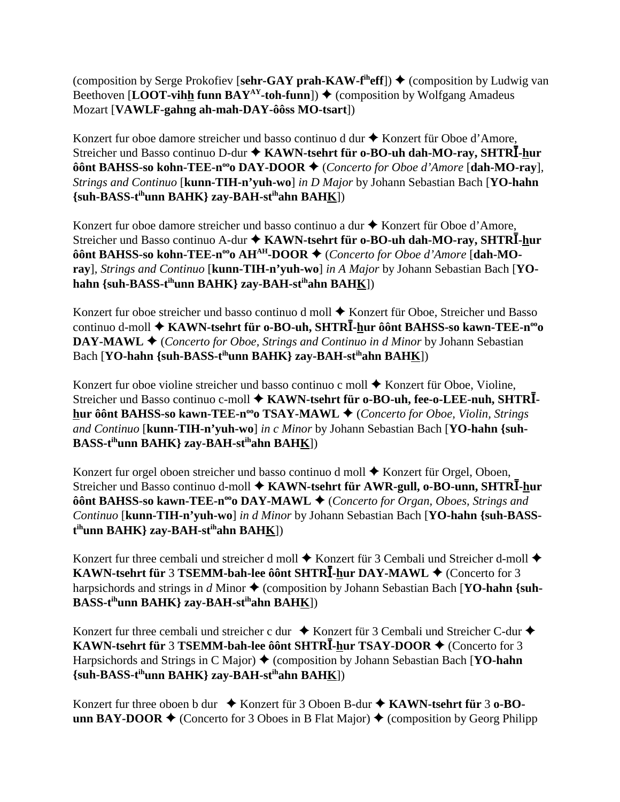(composition by Serge Prokofiev [sehr-GAY prah-KAW-f<sup>ih</sup>eff])  $\triangle$  (composition by Ludwig van Beethoven [LOOT-vihh funn BAY<sup>AY</sup>-toh-funn])  $\blacklozenge$  (composition by Wolfgang Amadeus Mozart [**VAWLF-gahng ah-mah-DAY-ôôss MO-tsart**])

Konzert fur oboe damore streicher und basso continuo d dur  $\triangle$  Konzert für Oboe d'Amore, Streicher und Basso continuo D-dur **KAWN-tsehrt für o-BO-uh dah-MO-ray, SHTR-hur ôônt BAHSS-so kohn-TEE-n<sup>∞</sup>o DAY-DOOR ♦** (*Concerto for Oboe d'Amore* [**dah-MO-ray**]*, Strings and Continuo* [**kunn-TIH-n'yuh-wo**] *in D Major* by Johann Sebastian Bach [**YO-hahn {suh-BASS-tihunn BAHK} zay-BAH-stihahn BAHK**])

Konzert fur oboe damore streicher und basso continuo a dur  $\triangle$  Konzert für Oboe d'Amore, Streicher und Basso continuo A-dur **KAWN-tsehrt für o-BO-uh dah-MO-ray, SHTR-hur** ôônt BAHSS-so kohn-TEE-n<sup>∞</sup>o AH<sup>AH</sup>-DOOR ◆ (*Concerto for Oboe d'Amore* [dah-MO**ray**]*, Strings and Continuo* [**kunn-TIH-n'yuh-wo**] *in A Major* by Johann Sebastian Bach [**YOhahn {suh-BASS-tihunn BAHK} zay-BAH-stihahn BAHK**])

Konzert fur oboe streicher und basso continuo d moll ◆ Konzert für Oboe, Streicher und Basso continuo d-moll **KAWN-tsehrt für o-BO-uh, SHTR-hur ôônt BAHSS-so kawn-TEE-nooo DAY-MAWL ♦** (*Concerto for Oboe, Strings and Continuo in d Minor* by Johann Sebastian Bach [**YO-hahn** {suh-BASS-t<sup>ih</sup>unn BAHK} zay-BAH-st<sup>ih</sup>ahn BAH<u>K</u>])

Konzert fur oboe violine streicher und basso continuo c moll  $\triangle$  Konzert für Oboe, Violine, Streicher und Basso continuo c-moll  **KAWN-tsehrt für o-BO-uh, fee-o-LEE-nuh, SHTR hur ôônt BAHSS-so kawn-TEE-n<sup>oo</sup>o TSAY-MAWL ♦** (*Concerto for Oboe, Violin, Strings and Continuo* [**kunn-TIH-n'yuh-wo**] *in c Minor* by Johann Sebastian Bach [**YO-hahn {suh-BASS-tihunn BAHK} zay-BAH-stihahn BAHK**])

Konzert fur orgel oboen streicher und basso continuo d moll  $\blacklozenge$  Konzert für Orgel, Oboen, Streicher und Basso continuo d-moll **KAWN-tsehrt für AWR-gull, o-BO-unn, SHTR-hur ôônt BAHSS-so kawn-TEE-n<sup>∞</sup>o DAY-MAWL ♦** (*Concerto for Organ, Oboes, Strings and Continuo* [**kunn-TIH-n'yuh-wo**] *in d Minor* by Johann Sebastian Bach [**YO-hahn {suh-BASSt ihunn BAHK} zay-BAH-stihahn BAHK**])

Konzert fur three cembali und streicher d moll  $\blacklozenge$  Konzert für 3 Cembali und Streicher d-moll  $\blacklozenge$ **KAWN-tsehrt für 3 TSEMM-bah-lee ôônt SHTRĪ-hur DAY-MAWL ♦ (Concerto for 3**) harpsichords and strings in  $d$  Minor  $\triangle$  (composition by Johann Sebastian Bach [**YO-hahn** {suh-**BASS-tihunn BAHK} zay-BAH-stihahn BAHK**])

Konzert fur three cembali und streicher c dur  $\bullet$  Konzert für 3 Cembali und Streicher C-dur  $\bullet$ **KAWN-tsehrt für 3 TSEMM-bah-lee ôônt SHTRĪ-hur TSAY-DOOR ♦ (Concerto for 3**) Harpsichords and Strings in C Major) (composition by Johann Sebastian Bach [**YO-hahn {suh-BASS-tihunn BAHK} zay-BAH-stihahn BAHK**])

Konzert fur three oboen b dur ◆ Konzert für 3 Oboen B-dur ◆ KAWN-tsehrt für 3 o-BO**unn BAY-DOOR**  $\blacklozenge$  (Concerto for 3 Oboes in B Flat Major)  $\blacklozenge$  (composition by Georg Philipp)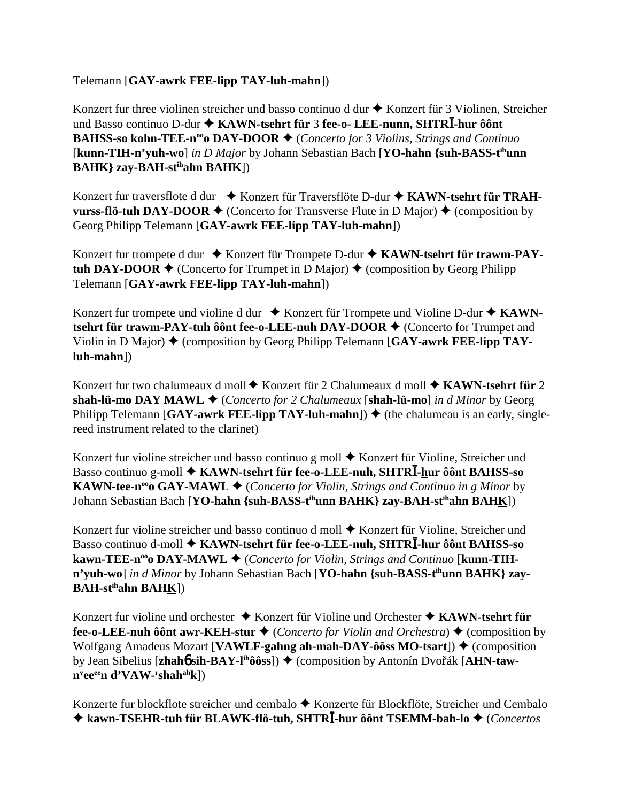## Telemann [**GAY-awrk FEE-lipp TAY-luh-mahn**])

Konzert fur three violinen streicher und basso continuo d dur  $\triangle$  Konzert für 3 Violinen, Streicher und Basso continuo D-dur **KAWN-tsehrt für** 3 **fee-o- LEE-nunn, SHTR-hur ôônt BAHSS-so kohn-TEE-n<sup>oo</sup>o DAY-DOOR ♦** (*Concerto for 3 Violins, Strings and Continuo* [**kunn-TIH-n'yuh-wo**] *in D Major* by Johann Sebastian Bach [**YO-hahn {suh-BASS-tihunn BAHK} zay-BAH-stihahn BAHK**])

Konzert fur traversflote d dur ↓ Konzert für Traversflöte D-dur ♦ KAWN-tsehrt für TRAH**vurss-flö-tuh DAY-DOOR**  $\blacklozenge$  (Concerto for Transverse Flute in D Major)  $\blacklozenge$  (composition by Georg Philipp Telemann [**GAY-awrk FEE-lipp TAY-luh-mahn**])

Konzert fur trompete d dur ◆ Konzert für Trompete D-dur ◆ KAWN-tsehrt für trawm-PAY**tuh DAY-DOOR**  $\blacklozenge$  (Concerto for Trumpet in D Major)  $\blacklozenge$  (composition by Georg Philipp Telemann [**GAY-awrk FEE-lipp TAY-luh-mahn**])

Konzert fur trompete und violine d dur ♦ Konzert für Trompete und Violine D-dur ♦ KAWN**tsehrt für trawm-PAY-tuh ôônt fee-o-LEE-nuh DAY-DOOR ♦ (Concerto for Trumpet and** Violin in D Major)  $\blacklozenge$  (composition by Georg Philipp Telemann [GAY-awrk FEE-lipp TAY**luh-mahn**])

Konzert fur two chalumeaux d moll  $\blacklozenge$  Konzert für 2 Chalumeaux d moll  $\blacklozenge$  KAWN-tsehrt für 2 **shah-lü-mo DAY MAWL ♦ (Concerto for 2 Chalumeaux [shah-lü-mo]** *in d Minor* **by Georg** Philipp Telemann [GAY-awrk FEE-lipp TAY-luh-mahn])  $\blacklozenge$  (the chalumeau is an early, singlereed instrument related to the clarinet)

Konzert fur violine streicher und basso continuo g moll  $\triangle$  Konzert für Violine, Streicher und Basso continuo g-moll **KAWN-tsehrt für fee-o-LEE-nuh, SHTR-hur ôônt BAHSS-so KAWN-tee-n<sup>oo</sup>o GAY-MAWL**  $\blacklozenge$  (*Concerto for Violin, Strings and Continuo in g Minor* by Johann Sebastian Bach [**YO-hahn** {suh-BASS-t<sup>ih</sup>unn BAHK} zay-BAH-st<sup>ih</sup>ahn BAH<u>K</u>])

Konzert fur violine streicher und basso continuo d moll ◆ Konzert für Violine, Streicher und Basso continuo d-moll **KAWN-tsehrt für fee-o-LEE-nuh, SHTR-hur ôônt BAHSS-so kawn-TEE-n<sup>∞</sup>o DAY-MAWL ♦** (*Concerto for Violin, Strings and Continuo* [**kunn-TIH**n'yuh-wo] *in d Minor* by Johann Sebastian Bach [YO-hahn {suh-BASS-t<sup>ih</sup>unn BAHK} zay-**BAH-stihahn BAHK**])

Konzert fur violine und orchester Konzert für Violine und Orchester **KAWN-tsehrt für fee-o-LEE-nuh ôônt awr-KEH-stur**  $\blacklozenge$  (*Concerto for Violin and Orchestra*)  $\blacklozenge$  (composition by Wolfgang Amadeus Mozart [**VAWLF-gahng ah-mah-DAY-ôôss MO-tsart**])  $\triangle$  (composition by Jean Sibelius [zhah**ó sih-BAY-l<sup>ih</sup>ôôss**]) ♦ (composition by Antonín Dvořák [A**HN-tawny eeeen d'VAW-r shahahk**])

Konzerte fur blockflote streicher und cembalo ◆ Konzerte für Blockflöte, Streicher und Cembalo  **kawn-TSEHR-tuh für BLAWK-flö-tuh, SHTR-hur ôônt TSEMM-bah-lo** (*Concertos*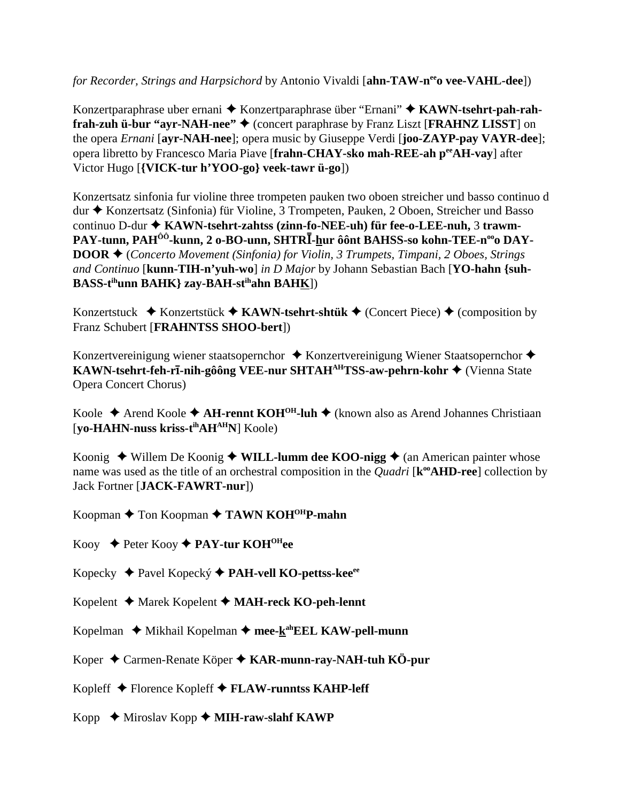for Recorder, Strings and Harpsichord by Antonio Vivaldi [ahn-TAW-n<sup>ee</sup>o vee-VAHL-dee])

Konzertparaphrase uber ernani ◆ Konzertparaphrase über "Ernani" ◆ KAWN-tsehrt-pah-rahfrah-zuh ü-bur "ayr-NAH-nee" ♦ (concert paraphrase by Franz Liszt [FRAHNZ LISST] on the opera *Ernani* [ayr-NAH-nee]; opera music by Giuseppe Verdi [joo-ZAYP-pay VAYR-dee]; opera libretto by Francesco Maria Piave [frahn-CHAY-sko mah-REE-ah per AH-vay] after Victor Hugo [{VICK-tur h'YOO-go} veek-tawr ü-go])

Konzertsatz sinfonia fur violine three trompeten pauken two oboen streicher und basso continuo d dur ◆ Konzertsatz (Sinfonia) für Violine, 3 Trompeten, Pauken, 2 Oboen, Streicher und Basso continuo D-dur ◆ KAWN-tsehrt-zahtss (zinn-fo-NEE-uh) für fee-o-LEE-nuh, 3 trawm-PAY-tunn, PAH<sup>ÔÔ</sup>-kunn, 2 o-BO-unn, SHTRĪ-hur ôônt BAHSS-so kohn-TEE-n<sup>oo</sup>o DAY-**DOOR**  $\triangle$  (Concerto Movement (Sinfonia) for Violin, 3 Trumpets, Timpani, 2 Oboes, Strings and Continuo [kunn-TIH-n'vuh-wo] in D Major by Johann Sebastian Bach [YO-hahn {suh-**BASS-tihunn BAHK} zay-BAH-stihahn BAHK])** 

Konzertstuck  $\bullet$  Konzertstück  $\bullet$  KAWN-tsehrt-shtük  $\bullet$  (Concert Piece)  $\bullet$  (composition by Franz Schubert [FRAHNTSS SHOO-bert])

Konzertvereinigung wiener staatsopernchor ◆ Konzertvereinigung Wiener Staatsopernchor ◆ KAWN-tsehrt-feh-rī-nih-gôông VEE-nur SHTAH<sup>AH</sup>TSS-aw-pehrn-kohr ♦ (Vienna State **Opera Concert Chorus**)

Koole  $\triangle$  Arend Koole  $\triangle$  AH-rennt KOH<sup>OH</sup>-luh  $\triangle$  (known also as Arend Johannes Christiaan [yo-HAHN-nuss kriss-t<sup>ih</sup>AH<sup>AH</sup>N] Koole)

Koonig  $\triangle$  Willem De Koonig  $\triangle$  WILL-lumm dee KOO-nigg  $\triangle$  (an American painter whose name was used as the title of an orchestral composition in the *Quadri* [k<sup>oo</sup>**AHD-ree**] collection by **Jack Fortner [JACK-FAWRT-nur])** 

Koopman  $\triangle$  Ton Koopman  $\triangle$  TAWN KOH<sup>OH</sup>P-mahn

Kooy  $\triangle$  Peter Kooy  $\triangle$  PAY-tur KOH<sup>OH</sup>ee

Kopecky ◆ Pavel Kopecký ◆ PAH-vell KO-pettss-kee<sup>ee</sup>

- Kopelent  $\triangleleft$  Marek Kopelent  $\triangleleft$  MAH-reck KO-peh-lennt
- Kopelman  $\triangleleft$  Mikhail Kopelman  $\triangleleft$  mee- $\underline{k}^{ab}EEL$  KAW-pell-munn
- Koper ◆ Carmen-Renate Köper ◆ KAR-munn-ray-NAH-tuh KÖ-pur

Kopleff ◆ Florence Kopleff ◆ FLAW-runntss KAHP-leff

Kopp  $\blacklozenge$  Miroslav Kopp  $\blacklozenge$  MIH-raw-slahf KAWP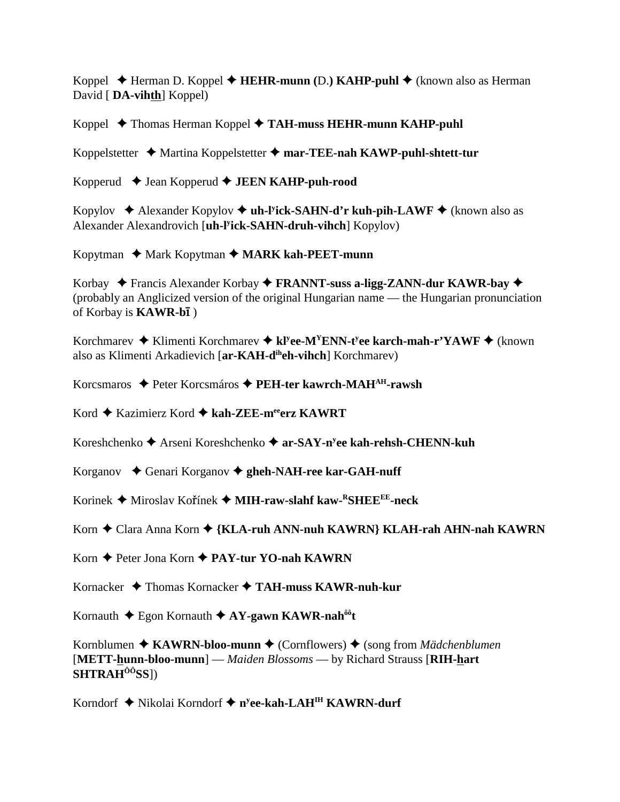Koppel ◆ Herman D. Koppel ◆ **HEHR-munn** (D.) **KAHP-puhl ◆** (known also as Herman David [ **DA-vihth**] Koppel)

Koppel ◆ Thomas Herman Koppel ◆ TAH-muss HEHR-munn KAHP-puhl

Koppelstetter Martina Koppelstetter **mar-TEE-nah KAWP-puhl-shtett-tur**

Kopperud Jean Kopperud **JEEN KAHP-puh-rood**

Kopylov ◆ Alexander Kopylov ◆ uh-l<sup>y</sup>ick-SAHN-d'r kuh-pih-LAWF ◆ (known also as Alexander Alexandrovich [**uh-ly ick-SAHN-druh-vihch**] Kopylov)

Kopytman ◆ Mark Kopytman ◆ MARK kah-PEET-munn

Korbay Francis Alexander Korbay **FRANNT-suss a-ligg-ZANN-dur KAWR-bay**  (probably an Anglicized version of the original Hungarian name — the Hungarian pronunciation of Korbay is **KAWR-b1**)

Korchmarev ◆ Klimenti Korchmarev ◆ kl<sup>y</sup>ee-M<sup>Y</sup>ENN-t<sup>y</sup>ee karch-mah-r'YAWF ◆ (known also as Klimenti Arkadievich [**ar-KAH-diheh-vihch**] Korchmarev)

Korcsmaros ◆ Peter Korcsmáros ◆ PEH-ter kawrch-MAH<sup>AH</sup>-rawsh

Kord ◆ Kazimierz Kord ◆ kah-ZEE-m<sup>ee</sup>erz KAWRT

Koreshchenko ◆ Arseni Koreshchenko ◆ ar-SAY-n<sup>y</sup>ee kah-rehsh-CHENN-kuh

Korganov **→** Genari Korganov → gheh-NAH-ree kar-GAH-nuff

Korinek Miroslav Koínek **MIH-raw-slahf kaw-RSHEEEE-neck**

Korn ◆ Clara Anna Korn ◆ {KLA-ruh ANN-nuh KAWRN} KLAH-rah AHN-nah KAWRN

Korn ◆ Peter Jona Korn ◆ PAY-tur YO-nah KAWRN

Kornacker Thomas Kornacker **TAH-muss KAWR-nuh-kur**

Kornauth Egon Kornauth  **AY-gawn KAWR-nahôôt**

Kornblumen ◆ **KAWRN-bloo-munn ◆** (Cornflowers) ◆ (song from *Mädchenblumen* [**METT-hunn-bloo-munn**] — *Maiden Blossoms* — by Richard Strauss [**RIH-hart SHTRAHÔÔSS**])

Korndorf ◆ Nikolai Korndorf ◆ n<sup>y</sup>ee-kah-LAH<sup>IH</sup> KAWRN-durf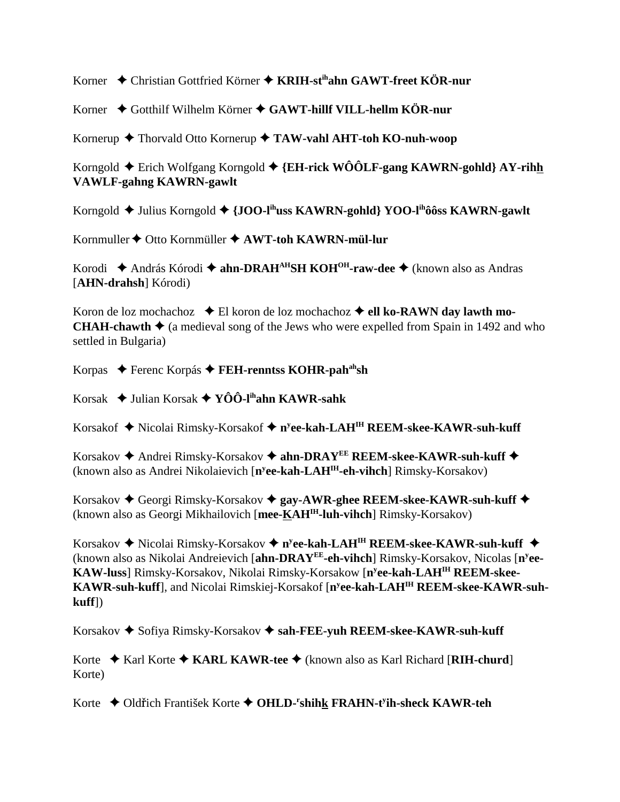Korner ◆ Christian Gottfried Körner ◆ KRIH-st<sup>ih</sup>ahn GAWT-freet KÖR-nur

Korner Gotthilf Wilhelm Körner **GAWT-hillf VILL-hellm KÖR-nur**

Kornerup **→** Thorvald Otto Kornerup → TAW-vahl AHT-toh KO-nuh-woop

Korngold Erich Wolfgang Korngold **{EH-rick WÔÔLF-gang KAWRN-gohld} AY-rihh VAWLF-gahng KAWRN-gawlt**

Korngold ◆ Julius Korngold ◆ {JOO-l<sup>ih</sup>uss KAWRN-gohld} YOO-l<sup>ih</sup>ôôss KAWRN-gawlt

Kornmuller ♦ Otto Kornmüller ♦ AWT-toh KAWRN-mül-lur

Korodi ◆ András Kórodi ◆ ahn-DRAH<sup>AH</sup>SH KOH<sup>OH</sup>-raw-dee ◆ (known also as Andras [**AHN-drahsh**] Kórodi)

Koron de loz mochachoz **→** El koron de loz mochachoz **→ ell ko-RAWN day lawth mo-CHAH-chawth**  $\triangle$  (a medieval song of the Jews who were expelled from Spain in 1492 and who settled in Bulgaria)

Korpas Ferenc Korpás **FEH-renntss KOHR-pahahsh**

Korsak Julian Korsak **YÔÔ-lihahn KAWR-sahk**

Korsakof ◆ Nicolai Rimsky-Korsakof ◆ n<sup>y</sup>ee-kah-LAH<sup>IH</sup> REEM-skee-KAWR-suh-kuff

Korsakov ◆ Andrei Rimsky-Korsakov ◆ ahn-DRAY<sup>EE</sup> REEM-skee-KAWR-suh-kuff ◆ (known also as Andrei Nikolaievich [**ny ee-kah-LAHIH-eh-vihch**] Rimsky-Korsakov)

Korsakov ◆ Georgi Rimsky-Korsakov ◆ gay-AWR-ghee REEM-skee-KAWR-suh-kuff ◆ (known also as Georgi Mikhailovich [**mee-KAHIH-luh-vihch**] Rimsky-Korsakov)

Korsakov ◆ Nicolai Rimsky-Korsakov ◆ n<sup>y</sup>ee-kah-LAH<sup>IH</sup> REEM-skee-KAWR-suh-kuff ◆ (known also as Nikolai Andreievich [**ahn-DRAYEE-eh-vihch**] Rimsky-Korsakov, Nicolas [**ny ee-KAW-luss**] Rimsky-Korsakov, Nikolai Rimsky-Korsakow [**ny ee-kah-LAHIH REEM-skee-KAWR-suh-kuff**], and Nicolai Rimskiej-Korsakof [**ny ee-kah-LAHIH REEM-skee-KAWR-suhkuff**])

Korsakov ◆ Sofiya Rimsky-Korsakov ◆ sah-FEE-yuh REEM-skee-KAWR-suh-kuff

Korte  $\triangle$  Karl Korte  $\triangle$  KARL KAWR-tee  $\triangle$  (known also as Karl Richard [RIH-churd] Korte)

Korte ◆ Oldřich František Korte ◆ OHLD-<sup>r</sup>shih<u>k</u> FRAHN-t<sup>y</sup>ih-sheck KAWR-teh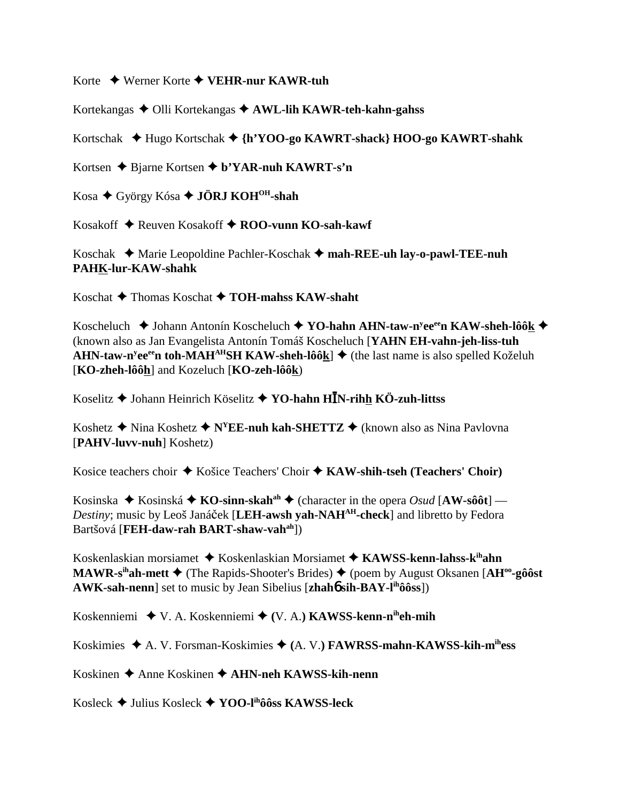Korte Werner Korte **VEHR-nur KAWR-tuh**

Kortekangas Olli Kortekangas **AWL-lih KAWR-teh-kahn-gahss**

Kortschak Hugo Kortschak **{h'YOO-go KAWRT-shack} HOO-go KAWRT-shahk**

Kortsen **→** Bjarne Kortsen **→ b'YAR-nuh KAWRT-s'n** 

Kosa ◆ György Kósa ◆ **JÖRJ KOH<sup>OH</sup>-shah** 

Kosakoff **→** Reuven Kosakoff **→ ROO-vunn KO-sah-kawf** 

Koschak Marie Leopoldine Pachler-Koschak **mah-REE-uh lay-o-pawl-TEE-nuh PAHK-lur-KAW-shahk**

Koschat **→** Thomas Koschat **→ TOH-mahss KAW-shaht** 

Koscheluch **◆ Johann Antonín Koscheluch ◆ YO-hahn AHN-taw-n<sup>y</sup>ee<sup>ee</sup>n KAW-sheh-lôô<u>k</u> ◆** (known also as Jan Evangelista Antonín Tomáš Koscheluch [**YAHN EH-vahn-jeh-liss-tuh AHN-taw-n<sup>y</sup>ee<sup>ee</sup>n toh-MAH<sup>AH</sup>SH KAW-sheh-lôô<u>k</u>] ♦ (the last name is also spelled Koželuh** [**KO-zheh-lôôh**] and Kozeluch [**KO-zeh-lôôk**)

Koselitz Johann Heinrich Köselitz **YO-hahn HN-rihh KÖ-zuh-littss**

Koshetz  $\triangle$  Nina Koshetz  $\triangle$  N<sup>Y</sup>EE-nuh kah-SHETTZ  $\triangle$  (known also as Nina Pavlovna [**PAHV-luvv-nuh**] Koshetz)

Kosice teachers choir ◆ Košice Teachers' Choir ◆ KAW-shih-tseh (Teachers' Choir)

Kosinska  $\blacklozenge$  Kosinská  $\blacklozenge$  **KO-sinn-skah**<sup>ah</sup>  $\blacklozenge$  (character in the opera *Osud* [AW-sôôt] — *Destiny*; music by Leoš Janáček [LEH-awsh yah-NAH<sup>AH</sup>-check] and libretto by Fedora Bartšová [**FEH-daw-rah BART-shaw-vahah**])

Koskenlaskian morsiamet Koskenlaskian Morsiamet  **KAWSS-kenn-lahss-kihahn MAWR-s<sup>ih</sup>ah-mett ♦** (The Rapids-Shooter's Brides) ♦ (poem by August Oksanen [AH<sup>oo</sup>-gôôst **AWK-sah-nenn**] set to music by Jean Sibelius [**zhah**6 **sih-BAY-lihôôss**])

Koskenniemi V. A. Koskenniemi **(**V. A.**) KAWSS-kenn-niheh-mih**

Koskimies A. V. Forsman-Koskimies **(**A. V.**) FAWRSS-mahn-KAWSS-kih-mihess**

Koskinen Anne Koskinen **AHN-neh KAWSS-kih-nenn**

Kosleck Julius Kosleck **YOO-lihôôss KAWSS-leck**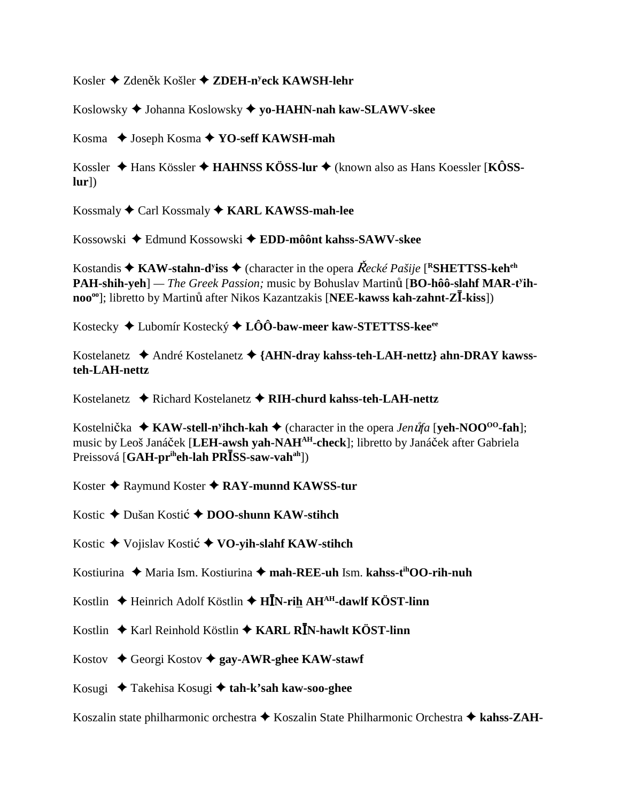Kosler ◆ Zdeněk Košler ◆ ZDEH-n<sup>y</sup>eck KAWSH-lehr

Koslowsky Johanna Koslowsky **yo-HAHN-nah kaw-SLAWV-skee**

Kosma Joseph Kosma **YO-seff KAWSH-mah**

Kossler Hans Kössler **HAHNSS KÖSS-lur** (known also as Hans Koessler [**KÔSSlur**])

Kossmaly Carl Kossmaly **KARL KAWSS-mah-lee**

Kossowski Edmund Kossowski **EDD-môônt kahss-SAWV-skee**

Kostandis ◆ KAW-stahn-d<sup>y</sup>iss ◆ (character in the opera *Řecké Pašije* [<sup>R</sup>SHETTSS-keh<sup>eh</sup> PAH-shih-yeh] — *The Greek Passion;* music by Bohuslav Martinů [BO-hôô-slahf MAR-t<sup>y</sup>ihnoo<sup>oo</sup>]; libretto by Martinu after Nikos Kazantzakis [NEE-kawss kah-zahnt-Z**I**-kiss])

Kostecky Lubomír Kostecký **LÔÔ-baw-meer kaw-STETTSS-keeee**

Kostelanetz André Kostelanetz **{AHN-dray kahss-teh-LAH-nettz} ahn-DRAY kawssteh-LAH-nettz**

Kostelanetz **→** Richard Kostelanetz → RIH-churd kahss-teh-LAH-nettz

Kostelnička ◆ KAW-stell-n<sup>y</sup>ihch-kah ◆ (character in the opera *Jen ut̃fa* [yeh-NOO<sup>oo</sup>-fah]; music by Leoš Janáček [LEH-awsh yah-NAH<sup>AH</sup>-check]; libretto by Janáček after Gabriela Preissová [**GAH-pr<sup>ih</sup>eh-lah PR<sup>***ISS-saw-vah<sup>ah</sup>]*)</sup>

Koster **→** Raymund Koster ◆ RAY-munnd KAWSS-tur

Kostic ◆ Dušan Kostić ◆ **DOO-shunn KAW-stihch** 

Kostic Vojislav Kosti **VO-yih-slahf KAW-stihch**

Kostiurina Maria Ism. Kostiurina **mah-REE-uh** Ism. **kahss-tihOO-rih-nuh**

Kostlin **→** Heinrich Adolf Köstlin → H**I**N-rih AH<sup>AH</sup>-dawlf KÖST-linn

Kostlin ◆ Karl Reinhold Köstlin ◆ KARL R**I**N-hawlt KÖST-linn

Kostov Georgi Kostov **gay-AWR-ghee KAW-stawf**

Kosugi Takehisa Kosugi **tah-k'sah kaw-soo-ghee**

Koszalin state philharmonic orchestra Koszalin State Philharmonic Orchestra **kahss-ZAH-**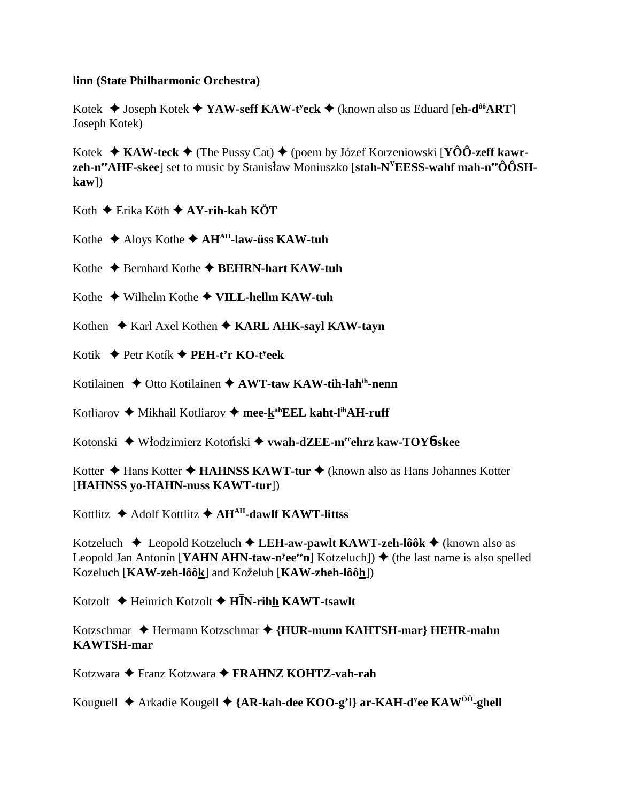#### **linn (State Philharmonic Orchestra)**

Kotek Joseph Kotek **YAW-seff KAW-ty eck** (known also as Eduard [**eh-dôôART**] Joseph Kotek)

Kotek **KAW-teck** (The Pussy Cat) (poem by Józef Korzeniowski [**YÔÔ-zeff kawrzeh-n<sup>ee</sup>AHF-skee**] set to music by Stanisław Moniuszko [stah-N<sup>Y</sup>EESS-wahf mah-n<sup>ee</sup>ÔÔSH**kaw**])

Koth Erika Köth **AY-rih-kah KÖT**

Kothe  $\triangle$  Aloys Kothe  $\triangle$  AH<sup>AH</sup>-law-üss KAW-tuh

Kothe **←** Bernhard Kothe ← BEHRN-hart KAW-tuh

Kothe Wilhelm Kothe **VILL-hellm KAW-tuh**

Kothen ♦ Karl Axel Kothen ♦ KARL AHK-sayl KAW-tayn

Kotik Petr Kotík **PEH-t'r KO-ty eek**

Kotilainen **↓** Otto Kotilainen ◆ AWT-taw KAW-tih-lahih-nenn

Kotliarov ◆ Mikhail Kotliarov ◆ mee-kahEEL kaht-l<sup>ih</sup>AH-ruff

Kotonski Wodzimierz Kotoski **vwah-dZEE-meeehrz kaw-TOY**6**-skee**

Kotter **→** Hans Kotter ◆ HAHNSS KAWT-tur ◆ (known also as Hans Johannes Kotter [**HAHNSS yo-HAHN-nuss KAWT-tur**])

Kottlitz **→** Adolf Kottlitz **→ AH<sup>AH</sup>-dawlf KAWT-littss** 

Kotzeluch Leopold Kotzeluch **LEH-aw-pawlt KAWT-zeh-lôôk** (known also as Leopold Jan Antonín [**YAHN AHN-taw-n<sup>y</sup>ee<sup>ee</sup>n**] Kotzeluch]) ♦ (the last name is also spelled Kozeluch [**KAW-zeh-lôôk**] and Koželuh [**KAW-zheh-lôôh**])

Kotzolt Heinrich Kotzolt **HN-rihh KAWT-tsawlt**

Kotzschmar ◆ Hermann Kotzschmar ◆ {HUR-munn KAHTSH-mar} HEHR-mahn **KAWTSH-mar**

Kotzwara Franz Kotzwara **FRAHNZ KOHTZ-vah-rah**

Kouguell ◆ Arkadie Kougell ◆ {**AR-kah-dee KOO-g'l} ar-KAH-d<sup>y</sup>ee KAW<sup>ôô</sup>-ghell**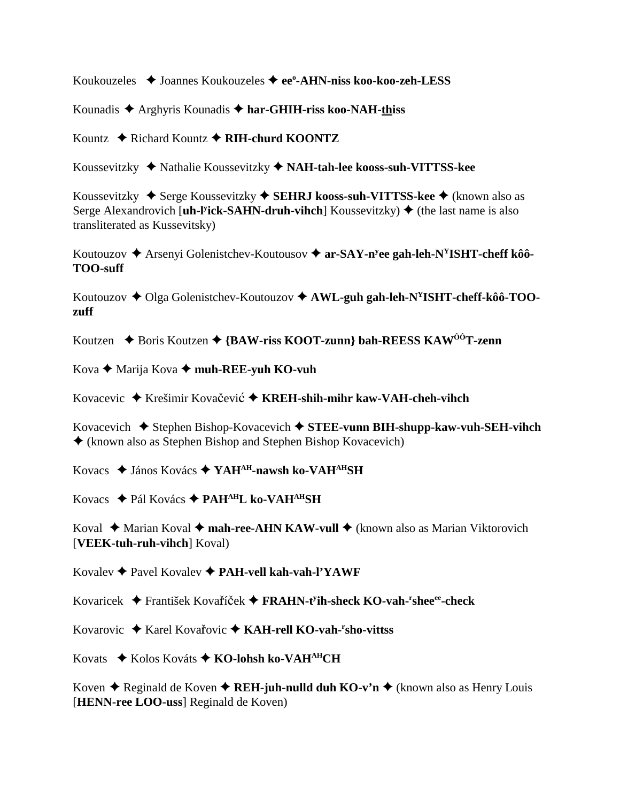Koukouzeles Joannes Koukouzeles **eeo -AHN-niss koo-koo-zeh-LESS**

Kounadis Arghyris Kounadis **har-GHIH-riss koo-NAH-thiss**

Kountz Richard Kountz **RIH-churd KOONTZ**

Koussevitzky Nathalie Koussevitzky  **NAH-tah-lee kooss-suh-VITTSS-kee**

Koussevitzky ◆ Serge Koussevitzky ◆ SEHRJ kooss-suh-VITTSS-kee ◆ (known also as Serge Alexandrovich [**uh-l<sup>y</sup>ick-SAHN-druh-vihch**] Koussevitzky) ♦ (the last name is also transliterated as Kussevitsky)

Koutouzov ◆ Arsenyi Golenistchev-Koutousov ◆ ar-SAY-n<sup>y</sup>ee gah-leh-N<sup>Y</sup>ISHT-cheff kôô-**TOO-suff**

Koutouzov  $\triangle$  Olga Golenistchev-Koutouzov  $\triangle$  AWL-guh gah-leh-N<sup>Y</sup>ISHT-cheff-kôô-TOO**zuff**

Koutzen **→** Boris Koutzen ◆ {BAW-riss KOOT-zunn} bah-REESS KAW<sup>ÔÔ</sup>T-zenn

Kova **←** Marija Kova ← muh-REE-yuh KO-vuh

Kovacevic ◆ Krešimir Kovačević ◆ KREH-shih-mihr kaw-VAH-cheh-vihch

Kovacevich ◆ Stephen Bishop-Kovacevich ◆ STEE-vunn BIH-shupp-kaw-vuh-SEH-vihch  $\triangle$  (known also as Stephen Bishop and Stephen Bishop Kovacevich)

Kovacs János Kovács **YAHAH-nawsh ko-VAHAHSH**

Kovacs Pál Kovács **PAHAHL ko-VAHAHSH**

Koval ◆ Marian Koval ◆ **mah-ree-AHN KAW-vull** ◆ (known also as Marian Viktorovich [**VEEK-tuh-ruh-vihch**] Koval)

Kovalev Pavel Kovalev **PAH-vell kah-vah-l'YAWF**

Kovaricek ◆ František Kovaříček ◆ FRAHN-t<sup>y</sup>ih-sheck KO-vah-<sup>r</sup>shee<sup>ee</sup>-check

Kovarovic ◆ Karel Kovařovic ◆ KAH-rell KO-vah-<sup>r</sup>sho-vittss

Kovats **→** Kolos Kováts ◆ **KO-lohsh ko-VAH<sup>AH</sup>CH** 

Koven  $\triangle$  Reginald de Koven  $\triangle$  **REH-juh-nulld duh KO-v'n**  $\triangle$  (known also as Henry Louis [**HENN-ree LOO-uss**] Reginald de Koven)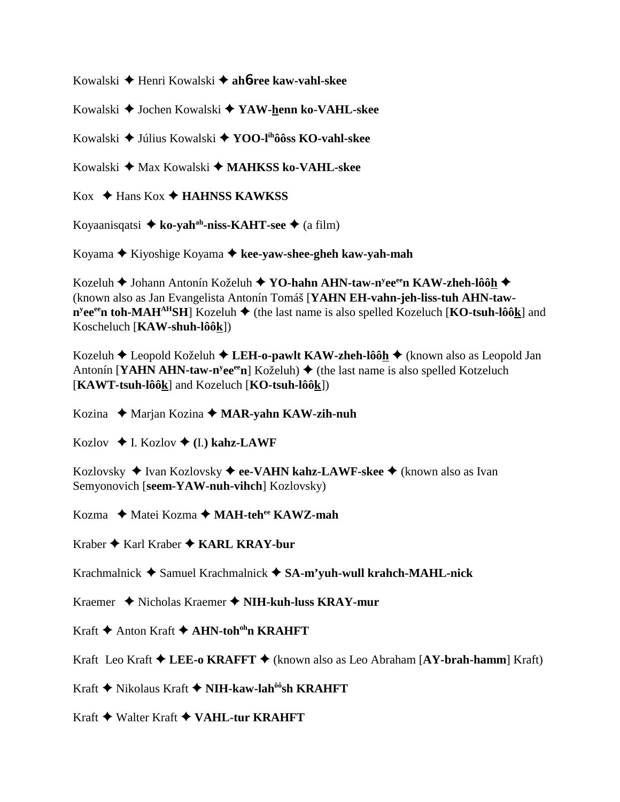Kowalski Henri Kowalski **ah**6**-ree kaw-vahl-skee**

Kowalski Jochen Kowalski **YAW-henn ko-VAHL-skee**

Kowalski Július Kowalski **YOO-lihôôss KO-vahl-skee**

Kowalski ◆ Max Kowalski ◆ **MAHKSS ko-VAHL-skee** 

 $\text{Kox} \triangleleft \text{Hans Kox} \triangleleft \text{HAHNSS}$  KAWKSS

Koyaanisqatsi  $\triangleq$  ko-yah<sup>ah</sup>-niss-KAHT-see  $\triangleq$  (a film)

Koyama Kiyoshige Koyama **kee-yaw-shee-gheh kaw-yah-mah**

Kozeluh ◆ Johann Antonín Koželuh ◆ **YO-hahn AHN-taw-n<sup>y</sup>ee<sup>ee</sup>n KAW-zheh-lôô<u>h</u> ◆** (known also as Jan Evangelista Antonín Tomáš [**YAHN EH-vahn-jeh-liss-tuh AHN-taw-** $\mathbf{n}^{\text{y}}$ ee<sup>ee</sup>n toh-MAH<sup>AH</sup>SH] Kozeluh  $\blacklozenge$  (the last name is also spelled Kozeluch [**KO-tsuh-lôô**k] and Koscheluch [**KAW-shuh-lôôk**])

Kozeluh **→** Leopold Koželuh → LEH-o-pawlt KAW-zheh-lôôh → (known also as Leopold Jan Antonín [**YAHN AHN-taw-n<sup>y</sup>ee<sup>ee</sup>n**] Koželuh) ♦ (the last name is also spelled Kotzeluch [**KAWT-tsuh-lôôk**] and Kozeluch [**KO-tsuh-lôôk**])

Kozina Marjan Kozina  **MAR-yahn KAW-zih-nuh**

Kozlov  $\triangleleft$  I. Kozlov  $\triangleleft$  (I.) kahz-LAWF

Kozlovsky ◆ Ivan Kozlovsky ◆ ee-VAHN kahz-LAWF-skee ◆ (known also as Ivan Semyonovich [**seem-YAW-nuh-vihch**] Kozlovsky)

Kozma  **→** Matei Kozma ◆ MAH-tehee KAWZ-mah

Kraber ◆ Karl Kraber ◆ **KARL KRAY-bur** 

Krachmalnick Samuel Krachmalnick **SA-m'yuh-wull krahch-MAHL-nick**

Kraemer Nicholas Kraemer **NIH-kuh-luss KRAY-mur**

Kraft ◆ Anton Kraft ◆ **AHN-toh<sup>oh</sup>n KRAHFT** 

Kraft Leo Kraft **LEE-o KRAFFT** (known also as Leo Abraham [**AY-brah-hamm**] Kraft)

Kraft **◆** Nikolaus Kraft ◆ NIH-kaw-lah<sup>ôô</sup>sh KRAHFT

Kraft ◆ Walter Kraft ◆ VAHL-tur KRAHFT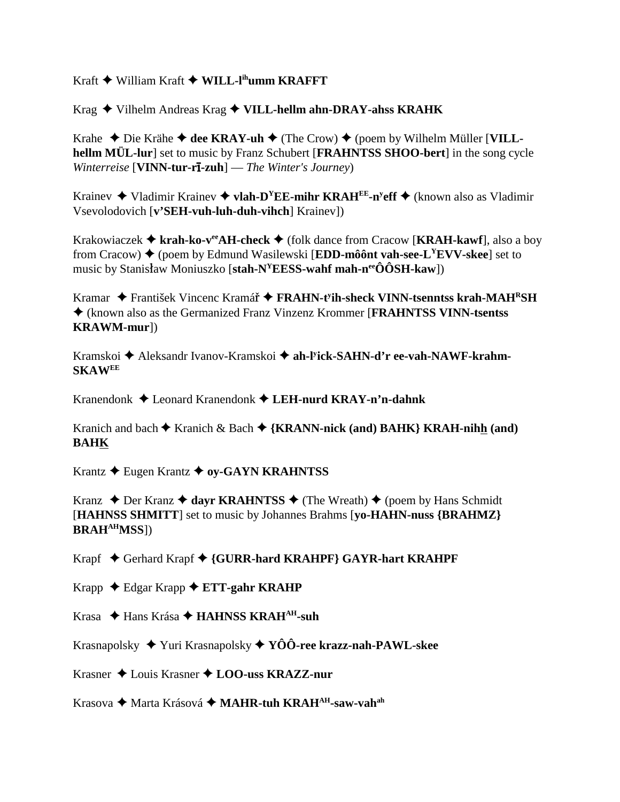$Kraft \triangleq$  William  $Kraft \triangleq WILL$ -l<sup>ih</sup>umm  $KRAFFT$ 

Krag  $\blacklozenge$  Vilhelm Andreas Krag  $\blacklozenge$  VILL-hellm ahn-DRAY-ahss KRAHK

Krahe  $\triangle$  Die Krähe  $\triangle$  dee KRAY-uh  $\triangle$  (The Crow)  $\triangle$  (poem by Wilhelm Müller [VILLhellm MÜL-lur] set to music by Franz Schubert [FRAHNTSS SHOO-bert] in the song cycle Winterreise [VINN-tur-r $\overline{\textbf{i}}$ -zuh] — The Winter's Journey)

Krainev  $\triangleq$  Vladimir Krainev  $\triangleq$  vlah-D<sup>Y</sup>EE-mihr KRAH<sup>EE</sup>-n<sup>y</sup>eff  $\triangleq$  (known also as Vladimir Vsevolodovich [v'SEH-vuh-luh-duh-vihch] Krainev])

Krakowiaczek  $\triangleq$  krah-ko-v<sup>ee</sup> AH-check  $\triangleq$  (folk dance from Cracow [KRAH-kawf], also a boy from Cracow)  $\triangle$  (poem by Edmund Wasilewski [EDD-môônt vah-see-L<sup>Y</sup>EVV-skee] set to music by Stanisław Moniuszko [stah- $N^{\gamma}$ EESS-wahf mah-n<sup>ee</sup>ÔÔSH-kaw])

Kramar  $\triangleq$  František Vincenc Kramář  $\triangleq$  **FRAHN-t'ih-sheck VINN-tsenntss krah-MAH<sup>R</sup>SH** ♦ (known also as the Germanized Franz Vinzenz Krommer [FRAHNTSS VINN-tsentss] **KRAWM-mur])** 

Kramskoi ♦ Aleksandr Ivanov-Kramskoi ♦ ah-Fick-SAHN-d'r ee-vah-NAWF-krahm-**SKAWEE** 

Kranendonk  $\triangle$  Leonard Kranendonk  $\triangle$  LEH-nurd KRAY-n'n-dahnk

Kranich and bach  $\triangle$  Kranich & Bach  $\triangle$  {KRANN-nick (and) BAHK} KRAH-nihh (and) **BAHK** 

Krantz ♦ Eugen Krantz ♦ oy-GAYN KRAHNTSS

Kranz  $\rightarrow$  Der Kranz  $\rightarrow$  dayr KRAHNTSS  $\rightarrow$  (The Wreath)  $\rightarrow$  (poem by Hans Schmidt) [HAHNSS SHMITT] set to music by Johannes Brahms [yo-HAHN-nuss {BRAHMZ}] **BRAH<sup>AH</sup>MSS**])

Krapf ◆ Gerhard Krapf ◆ {GURR-hard KRAHPF} GAYR-hart KRAHPF

Krapp  $\triangle$  Edgar Krapp  $\triangle$  ETT-gahr KRAHP

Krasa ◆ Hans Krása ◆ HAHNSS KRAH<sup>AH</sup>-suh

Krasnapolsky  $\blacklozenge$  Yuri Krasnapolsky  $\blacklozenge$  YÔÔ-ree krazz-nah-PAWL-skee

Krasner ◆ Louis Krasner ◆ LOO-uss KRAZZ-nur

Krasova ◆ Marta Krásová ◆ MAHR-tuh KRAH<sup>AH</sup>-saw-vah<sup>ah</sup>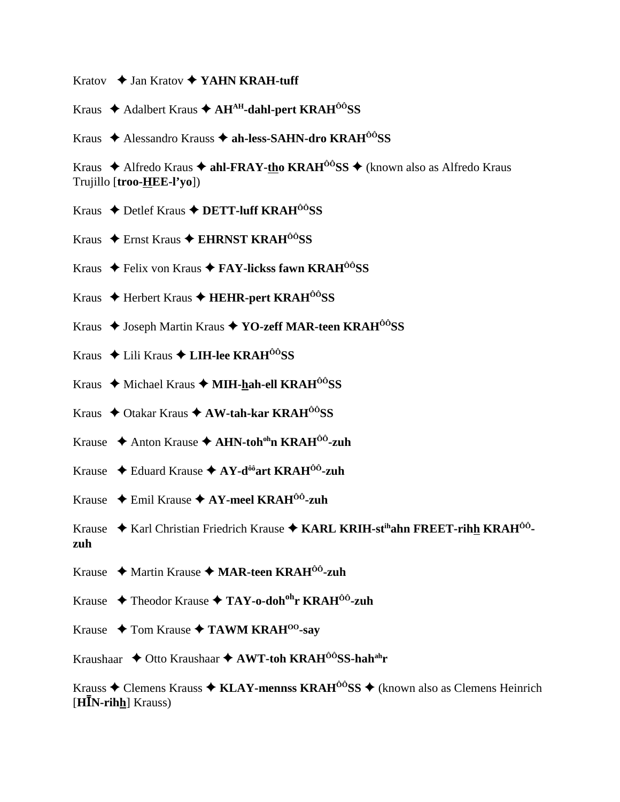- Kratov  $\triangle$  Jan Kratov  $\triangle$  YAHN KRAH-tuff
- Kraus  $\triangle$  Adalbert Kraus  $\triangle$  AH<sup>AH</sup>-dahl-pert KRAH<sup>00</sup>SS
- Kraus ◆ Alessandro Krauss ◆ ah-less-SAHN-dro KRAH<sup>ôô</sup>SS

Kraus  $\triangle$  Alfredo Kraus  $\triangle$  ahl-FRAY-tho KRAH<sup>00</sup>SS  $\triangle$  (known also as Alfredo Kraus Trujillo [troo-HEE-l'vo])

- Kraus  $\triangle$  Detlef Kraus  $\triangle$  DETT-luff KRAH<sup> $\hat{o}$ *O*SS</sub></sup>
- Kraus  $\triangle$  Ernst Kraus  $\triangle$  EHRNST KRAH<sup> $\hat{O}$ *C*<sub>SS</sub></sup>
- Kraus  $\triangle$  Felix von Kraus  $\triangle$  FAY-lickss fawn KRAH<sup> $\angle$ o</sub><sup>o</sup>SS</sup>
- Kraus ◆ Herbert Kraus ◆ HEHR-pert KRAH<sup>ôô</sup>SS
- Kraus ◆ Joseph Martin Kraus ◆ YO-zeff MAR-teen KRAH<sup>ôô</sup>SS
- Kraus  $\triangle$  Lili Kraus  $\triangle$  LIH-lee KRAH<sup> $\angle$ ô</sup>SS
- Kraus  $\triangle$  Michael Kraus  $\triangle$  MIH-hah-ell KRAH<sup> $\angle$ ô</sup>SS
- Kraus ♦ Otakar Kraus ♦ AW-tah-kar KRAH<sup>ôô</sup>SS
- Krause  $\triangle$  Anton Krause  $\triangle$  AHN-toh<sup>oh</sup>n KRAH<sup>ÔÔ</sup>-zuh
- Krause  $\triangleleft$  Eduard Krause  $\triangleleft$  AY-d<sup>ôô</sup>art KRAH<sup>ÔÔ</sup>-zuh
- Krause  $\triangle$  Emil Krause  $\triangle$  AY-meel KRAH<sup>00</sup>-zuh

Krause ◆ Karl Christian Friedrich Krause ◆ KARL KRIH-st<sup>ih</sup>ahn FREET-rihh KRAH<sup>ÔÔ</sup>zuh

- Krause  $\triangleleft$  Martin Krause  $\triangleleft$  MAR-teen KRAH<sup> $0$ 0</sup>-zuh
- Krause  $\triangle$  Theodor Krause  $\triangle$  TAY-o-doh<sup>oh</sup>r KRAH<sup> $\hat{0}$ 0-zuh</sub></sup>
- Krause  $\rightarrow$  Tom Krause  $\rightarrow$  TAWM KRAH<sup>00</sup>-say
- Kraushaar  $\triangle$  Otto Kraushaar  $\triangle$  AWT-toh KRAH<sup> $00$ </sup>SS-hah<sup>ah</sup>r

Krauss  $\triangle$  Clemens Krauss  $\triangle$  KLAY-mennss KRAH<sup> $\hat{o}$ o<sup>s</sup>SS  $\triangle$  (known also as Clemens Heinrich</sup>  $[H\bar{I}N\text{-rihh}]$  Krauss)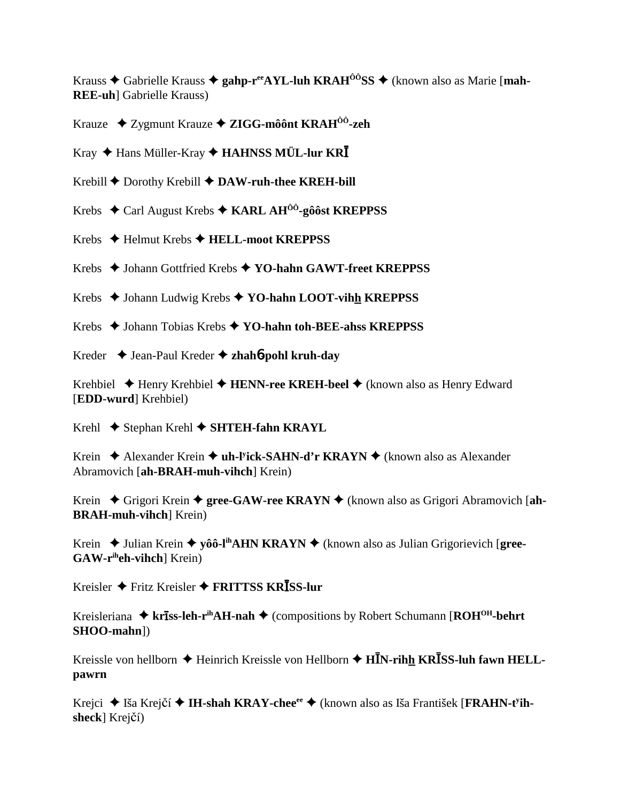Krauss  $\triangle$  Gabrielle Krauss  $\triangle$  gahp-r<sup>ee</sup>AYL-luh KRAH<sup> $\hat{0}$ 0<sup>o</sup>SS  $\triangle$  (known also as Marie [mah-</sup> **REE-uh**] Gabrielle Krauss)

Krauze ◆ Zygmunt Krauze ◆ ZIGG-môônt KRAH<sup> $\hat{0}$ o-zeh</sup>

Kray  $\triangle$  Hans Müller-Kray  $\triangle$  HAHNSS MÜL-lur KRI

Krebill  $\blacklozenge$  Dorothy Krebill  $\blacklozenge$  DAW-ruh-thee KREH-bill

Krebs  $\div$  Carl August Krebs  $\div$  KARL AH<sup> $\hat{0}$ o<sup>2</sup>-gô 6st KREPPSS</sup>

Krebs  $\triangleleft$  Helmut Krebs  $\triangleleft$  HELL-moot KREPPSS

Krebs ♦ Johann Gottfried Krebs ♦ YO-hahn GAWT-freet KREPPSS

Krebs  $\triangle$  Johann Ludwig Krebs  $\triangle$  YO-hahn LOOT-vihh KREPPSS

Krebs  $\triangle$  Johann Tobias Krebs  $\triangle$  YO-hahn toh-BEE-ahss KREPPSS

Kreder  $\rightarrow$  Jean-Paul Kreder  $\rightarrow$  zhahó-pohl kruh-day

Krehbiel  $\triangle$  Henry Krehbiel  $\triangle$  HENN-ree KREH-beel  $\triangle$  (known also as Henry Edward [**EDD-wurd**] Krehbiel)

Krehl  $\blacklozenge$  Stephan Krehl  $\blacklozenge$  SHTEH-fahn KRAYL

Krein  $\triangle$  Alexander Krein  $\triangle$  uh-Fick-SAHN-d'r KRAYN  $\triangle$  (known also as Alexander Abramovich [ah-BRAH-muh-vihch] Krein)

Krein  $\blacklozenge$  Grigori Krein  $\blacklozenge$  gree-GAW-ree KRAYN  $\blacklozenge$  (known also as Grigori Abramovich [ah-**BRAH-muh-vihch** Krein)

Krein  $\rightarrow$  Julian Krein  $\rightarrow$  yôô-l<sup>ih</sup>AHN KRAYN  $\rightarrow$  (known also as Julian Grigorievich [gree- $GAW-r<sup>ih</sup>eh-vihch<sup>1</sup> Krein)$ 

Kreisler  $\bigstar$  Fritz Kreisler  $\bigstar$  FRITTSS KRISS-lur

Kreisleriana  $\triangleq$  kr**iss-leh-r**<sup>ih</sup>AH-nah  $\triangleq$  (compositions by Robert Schumann [ROH<sup>OH</sup>-behrt  $SHOO-mahn$ )

Kreissle von hellborn  $\triangle$  Heinrich Kreissle von Hellborn  $\triangle$  HIN-rihh KRISS-luh fawn HELLpawrn

Krejci ◆ Iša Krejčí ◆ IH-shah KRAY-chee<sup>ee</sup> ◆ (known also as Iša František [FRAHN-t<sup>y</sup>ihsheck] Krejčí)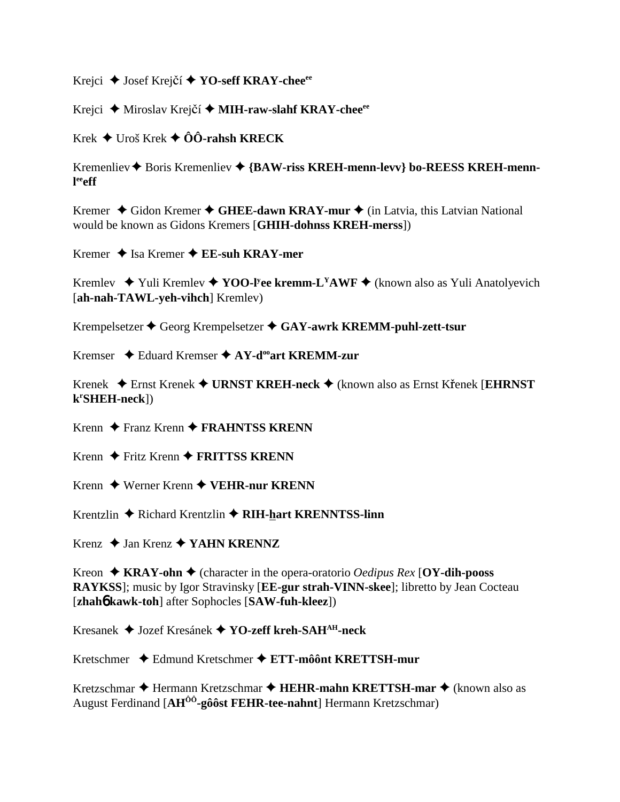Krejci **→** Josef Krejčí **→ YO-seff KRAY-chee**<sup>ee</sup>

Krejci ◆ Miroslav Krejčí ◆ MIH-raw-slahf KRAY-chee<sup>ee</sup>

Krek  $\triangleq$  Uroš Krek  $\triangleq$  ÔÔ-rahsh KRECK

Kremenliev Boris Kremenliev **{BAW-riss KREH-menn-levv} bo-REESS KREH-mennl eeeff**

Kremer ◆ Gidon Kremer ◆ GHEE-dawn KRAY-mur ◆ (in Latvia, this Latvian National would be known as Gidons Kremers [**GHIH-dohnss KREH-merss**])

Kremer **→** Isa Kremer **→ EE-suh KRAY-mer** 

Kremlev ◆ Yuli Kremlev ◆ YOO-l<sup>y</sup>ee kremm-L<sup>Y</sup>AWF ◆ (known also as Yuli Anatolyevich [**ah-nah-TAWL-yeh-vihch**] Kremlev)

Krempelsetzer Georg Krempelsetzer **GAY-awrk KREMM-puhl-zett-tsur**

Kremser **→** Eduard Kremser → AY-d<sup>oo</sup>art KREMM-zur

Krenek  $\triangle$  Ernst Krenek  $\triangle$  URNST KREH-neck  $\triangle$  (known also as Ernst Krenek [EHRNST] **kr SHEH-neck**])

Krenn ◆ Franz Krenn ◆ **FRAHNTSS KRENN** 

Krenn ◆ Fritz Krenn ◆ **FRITTSS KRENN** 

Krenn ◆ Werner Krenn ◆ VEHR-nur KRENN

Krentzlin ◆ Richard Krentzlin ◆ RIH-hart KRENNTSS-linn

Krenz **→ Jan Krenz → YAHN KRENNZ** 

Kreon  $\triangle$  **KRAY-ohn**  $\triangle$  (character in the opera-oratorio *Oedipus Rex* [**OY-dih-pooss RAYKSS**]; music by Igor Stravinsky [**EE-gur strah-VINN-skee**]; libretto by Jean Cocteau [**zhah**6 **kawk-toh**] after Sophocles [**SAW-fuh-kleez**])

Kresanek Jozef Kresánek **YO-zeff kreh-SAHAH-neck**

Kretschmer Edmund Kretschmer **ETT-môônt KRETTSH-mur**

Kretzschmar ◆ Hermann Kretzschmar ◆ **HEHR-mahn KRETTSH-mar** ◆ (known also as August Ferdinand [**AHÔÔ-gôôst FEHR-tee-nahnt**] Hermann Kretzschmar)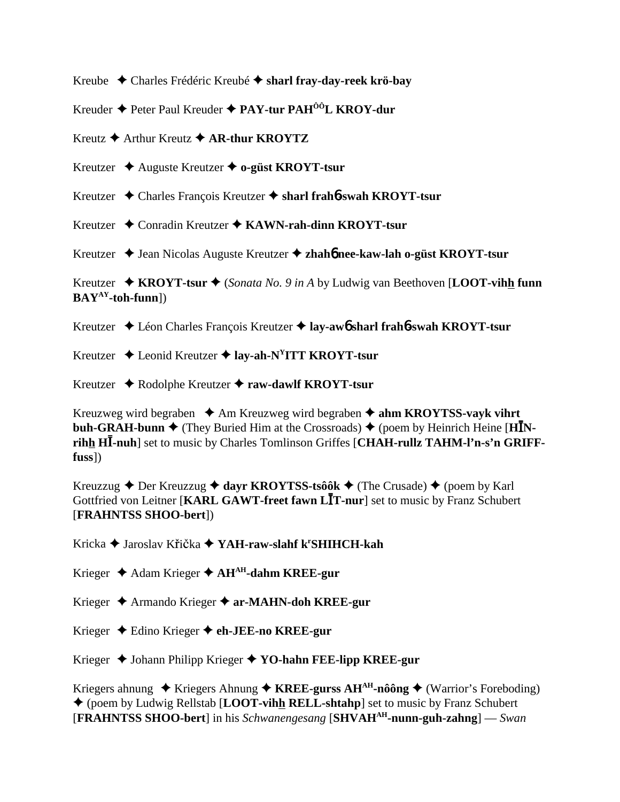Kreube Charles Frédéric Kreubé **sharl fray-day-reek krö-bay**

Kreuder Peter Paul Kreuder **PAY-tur PAHÔÔL KROY-dur**

Kreutz **→** Arthur Kreutz **→ AR-thur KROYTZ** 

Kreutzer Auguste Kreutzer **o-güst KROYT-tsur**

Kreutzer Charles François Kreutzer **sharl frah**6**-swah KROYT-tsur**

Kreutzer ◆ Conradin Kreutzer ◆ KAWN-rah-dinn KROYT-tsur

Kreutzer ◆ Jean Nicolas Auguste Kreutzer ◆ zhah**6** nee-kaw-lah o-güst KROYT-tsur

Kreutzer **KROYT-tsur**  (*Sonata No. 9 in A* by Ludwig van Beethoven [**LOOT-vihh funn BAYAY-toh-funn**])

Kreutzer Léon Charles François Kreutzer **lay-aw**6 **sharl frah**6**-swah KROYT-tsur**

Kreutzer Leonid Kreutzer **lay-ah-NYITT KROYT-tsur**

Kreutzer Rodolphe Kreutzer **raw-dawlf KROYT-tsur**

Kreuzweg wird begraben  $\triangle$  Am Kreuzweg wird begraben  $\triangle$  ahm KROYTSS-vavk vihrt **buh-GRAH-bunn**  $\blacklozenge$  **(They Buried Him at the Crossroads)**  $\blacklozenge$  **(poem by Heinrich Heine [HINrihh H-nuh**] set to music by Charles Tomlinson Griffes [**CHAH-rullz TAHM-l'n-s'n GRIFFfuss**])

Kreuzzug  $\triangle$  Der Kreuzzug  $\triangle$  dayr KROYTSS-tsôôk  $\triangle$  (The Crusade)  $\triangle$  (poem by Karl Gottfried von Leitner [**KARL GAWT-freet fawn LT-nur**] set to music by Franz Schubert [**FRAHNTSS SHOO-bert**])

Kricka ◆ Jaroslav Křička ◆ YAH-r<mark>aw-slahf k<sup>r</sup>SHIHCH-kah</mark>

Krieger Adam Krieger **AHAH-dahm KREE-gur**

Krieger Armando Krieger **ar-MAHN-doh KREE-gur**

Krieger Edino Krieger **eh-JEE-no KREE-gur**

Krieger ◆ Johann Philipp Krieger ◆ YO-hahn FEE-lipp KREE-gur

Kriegers ahnung  $\triangle$  Kriegers Ahnung  $\triangle$  KREE-gurss AH<sup>AH</sup>-nôông  $\triangle$  (Warrior's Foreboding) (poem by Ludwig Rellstab [**LOOT-vihh RELL-shtahp**] set to music by Franz Schubert [**FRAHNTSS SHOO-bert**] in his *Schwanengesang* [**SHVAHAH-nunn-guh-zahng**] — *Swan*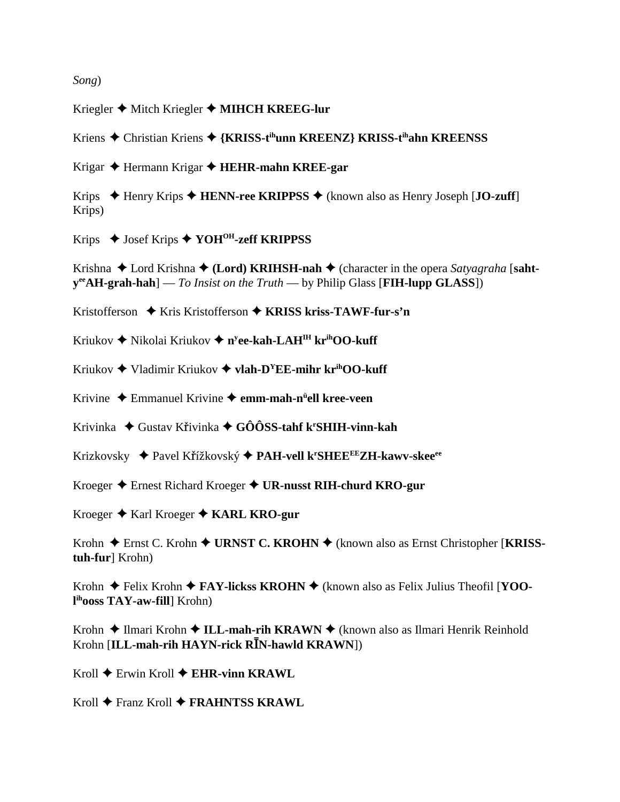*Song*)

Kriegler ◆ Mitch Kriegler ◆ MIHCH KREEG-lur

Kriens Christian Kriens **{KRISS-tihunn KREENZ} KRISS-tihahn KREENSS**

Krigar Hermann Krigar **HEHR-mahn KREE-gar**

Krips ◆ Henry Krips ◆ **HENN-ree KRIPPSS** ◆ (known also as Henry Joseph [**JO-zuff**] Krips)

Krips Josef Krips **YOHOH-zeff KRIPPSS**

Krishna ◆ Lord Krishna ◆ (Lord) KRIHSH-nah ◆ (character in the opera *Satyagraha* [saht**yeeAH-grah-hah**] — *To Insist on the Truth* — by Philip Glass [**FIH-lupp GLASS**])

Kristofferson ◆ Kris Kristofferson ◆ KRISS kriss-TAWF-fur-s'n

Kriukov ◆ Nikolai Kriukov ◆ n<sup>y</sup>**ee-kah-LAH<sup>IH</sup> kr<sup>ih</sup>OO-kuff** 

Kriukov ◆ Vladimir Kriukov ◆ **vlah-D<sup>Y</sup>EE-mihr kr<sup>ih</sup>OO-kuff** 

Krivine Emmanuel Krivine **emm-mah-nü ell kree-veen**

Krivinka ◆ Gustav Křivinka ◆ GÔÔSS-tahf k<sup>r</sup>SHIH-vinn-kah

Krizkovsky Pavel Kížkovský **PAH-vell kr SHEEEEZH-kawv-skeeee**

Kroeger Ernest Richard Kroeger **UR-nusst RIH-churd KRO-gur**

Kroeger ◆ Karl Kroeger ◆ KARL KRO-gur

Krohn ◆ Ernst C. Krohn ◆ URNST C. KROHN ◆ (known also as Ernst Christopher [KRISS**tuh-fur**] Krohn)

Krohn ◆ Felix Krohn ◆ **FAY-lickss KROHN** ◆ (known also as Felix Julius Theofil [**YOOl ihooss TAY-aw-fill**] Krohn)

Krohn ◆ Ilmari Krohn ◆ **ILL-mah-rih KRAWN** ◆ (known also as Ilmari Henrik Reinhold Krohn **[ILL-mah-rih HAYN-rick R<sup>***I***N-hawld KRAWN])**</sup>

Kroll ◆ Erwin Kroll ◆ **EHR-vinn KRAWL** 

Kroll **←** Franz Kroll ← FRAHNTSS KRAWL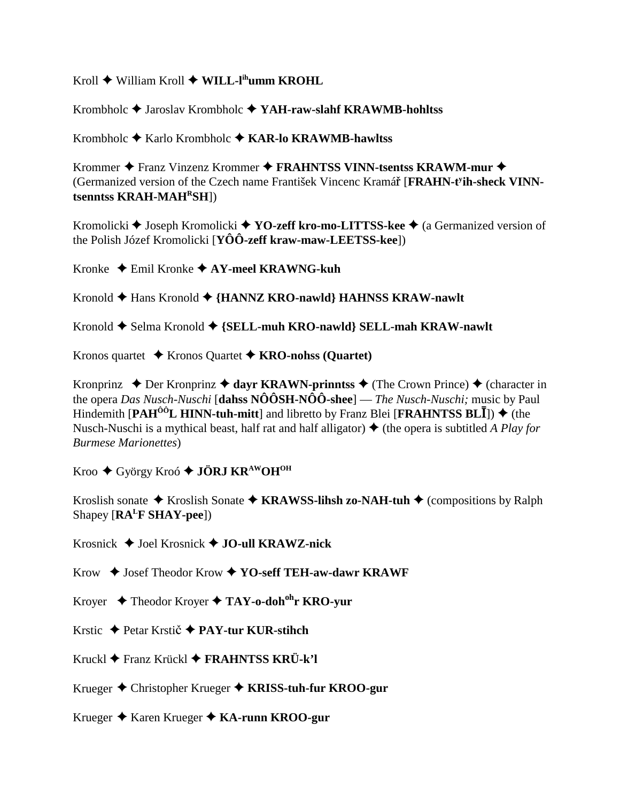Kroll  $\blacklozenge$  William Kroll  $\blacklozenge$  WILL-l<sup>ih</sup>umm KROHL

Krombholc  $\triangle$  Jaroslav Krombholc  $\triangle$  YAH-raw-slahf KRAWMB-hohltss

Krombholc  $\triangle$  Karlo Krombholc  $\triangle$  KAR-lo KRAWMB-hawltss

Krommer ◆ Franz Vinzenz Krommer ◆ FRAHNTSS VINN-tsentss KRAWM-mur ◆ (Germanized version of the Czech name František Vincenc Kramář [FRAHN-t<sup>y</sup>ih-sheck VINNtsenntss KRAH-MAH<sup>R</sup>SH])

Kromolicki ♦ Joseph Kromolicki ♦ YO-zeff kro-mo-LITTSS-kee ♦ (a Germanized version of the Polish Józef Kromolicki [ $Y\hat{O}\hat{O}$ -zeff kraw-maw-LEETSS-kee])

Kronke  $\triangle$  Emil Kronke  $\triangle$  AY-meel KRAWNG-kuh

Kronold  $\blacklozenge$  Hans Kronold  $\blacklozenge$  {HANNZ KRO-nawld} HAHNSS KRAW-nawlt

Kronold  $\blacklozenge$  Selma Kronold  $\blacklozenge$  {SELL-muh KRO-nawld} SELL-mah KRAW-nawlt

Kronos quartet  $\rightarrow$  Kronos Quartet  $\rightarrow$  KRO-nohss (Quartet)

Kronprinz  $\triangle$  Der Kronprinz  $\triangle$  dayr KRAWN-prinntss  $\triangle$  (The Crown Prince)  $\triangle$  (character in the opera *Das Nusch-Nuschi* [dahss  $N\hat{O} \hat{O} S H - N \hat{O} \hat{O}$ -shee] — *The Nusch-Nuschi*; music by Paul Hindemith  $\text{[PAH}^{00}L \text{ HINN-tuh-mitt]}$  and libretto by Franz Blei  $\text{[FRAHNTSS BLI]}$  + (the Nusch-Nuschi is a mythical beast, half rat and half alligator)  $\triangle$  (the opera is subtitled A Play for **Burmese Marionettes**)

Kroo ◆ György Kroó ◆ JÖRJ KR<sup>AW</sup>OH<sup>OH</sup>

Kroslish sonate  $\triangle$  Kroslish Sonate  $\triangle$  KRAWSS-lihsh zo-NAH-tuh  $\triangle$  (compositions by Ralph Shapey  $[RA<sup>L</sup>F SHAY-pee]$ 

Krosnick  $\triangle$  Joel Krosnick  $\triangle$  JO-ull KRAWZ-nick

 $Krow \triangleleft$  Josef Theodor  $Krow \triangleleft YO$ -seff TEH-aw-dawr KRAWF

Krover  $\triangle$  Theodor Krover  $\triangle$  TAY-o-doh<sup>oh</sup>r KRO-vur

Krstic → Petar Krstič → PAY-tur KUR-stihch

Kruckl  $\blacklozenge$  Franz Krückl  $\blacklozenge$  FRAHNTSS KRÜ-k'l

Krueger ♦ Christopher Krueger ♦ KRISS-tuh-fur KROO-gur

Krueger ♦ Karen Krueger ♦ KA-runn KROO-gur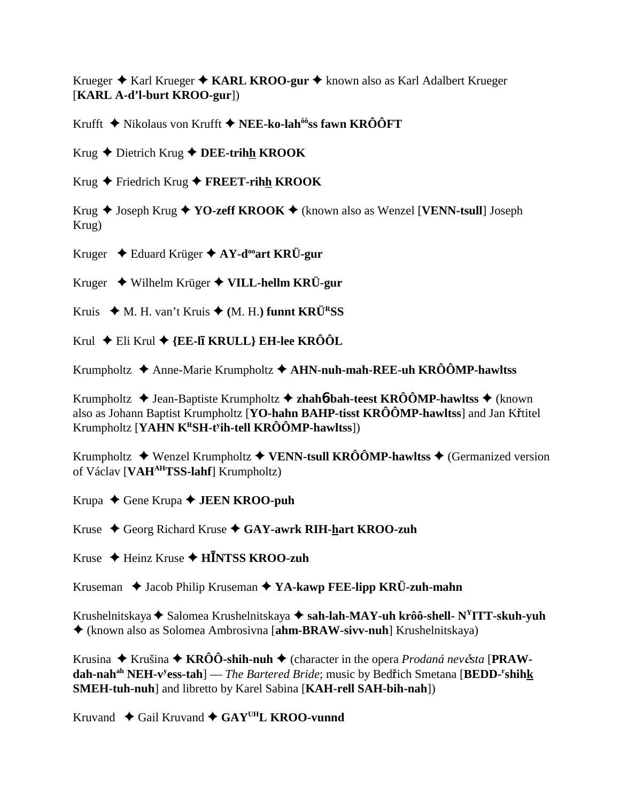Krueger ◆ Karl Krueger ◆ KARL KROO-gur ◆ known also as Karl Adalbert Krueger [**KARL A-d'l-burt KROO-gur**])

Krufft Nikolaus von Krufft **NEE-ko-lahôôss fawn KRÔÔFT**

Krug Dietrich Krug **DEE-trihh KROOK**

Krug Friedrich Krug **FREET-rihh KROOK**

Krug ◆ Joseph Krug ◆ YO-zeff KROOK ◆ (known also as Wenzel [VENN-tsull] Joseph Krug)

Kruger Eduard Krüger **AY-dooart KRÜ-gur**

Kruger Wilhelm Krüger **VILL-hellm KRÜ-gur**

Kruis ◆ M. H. van't Kruis ◆ (M. H.) funnt KRÜ<sup>R</sup>SS

Krul ◆ Eli Krul ◆ {**EE-lī KRULL} EH-lee KRÔÔL** 

Krumpholtz Anne-Marie Krumpholtz **AHN-nuh-mah-REE-uh KRÔÔMP-hawltss**

Krumpholtz  $\triangle$  Jean-Baptiste Krumpholtz  $\triangle$  zhah**6**-bah-teest KRÔÔMP-hawltss  $\triangle$  (known also as Johann Baptist Krumpholtz [**YO-hahn BAHP-tisst KRÔÔMP-hawltss**] and Jan Křtitel Krumpholtz [**YAHN KRSH-ty ih-tell KRÔÔMP-hawltss**])

Krumpholtz  $\blacklozenge$  Wenzel Krumpholtz  $\blacklozenge$  VENN-tsull KRÔÔMP-hawltss  $\blacklozenge$  (Germanized version of Václav [**VAHAHTSS-lahf**] Krumpholtz)

Krupa ◆ Gene Krupa **◆ JEEN KROO-puh** 

Kruse Georg Richard Kruse **GAY-awrk RIH-hart KROO-zuh**

Kruse Heinz Kruse **HNTSS KROO-zuh**

Kruseman **→** Jacob Philip Kruseman → YA-kawp FEE-lipp KRÜ-zuh-mahn

Krushelnitskaya ◆ Salomea Krushelnitskaya ◆ s**ah-lah-MAY-uh krôô-shell- N<sup>Y</sup>ITT-skuh-yuh** (known also as Solomea Ambrosivna [**ahm-BRAW-sivv-nuh**] Krushelnitskaya)

Krusina  $\triangle$  Krušina  $\triangle$  KRÔÔ-shih-nuh  $\triangle$  (character in the opera *Prodaná nevěsta* [PRAW $d$ ah-nah<sup>ah</sup> NEH-v<sup>y</sup>ess-tah] — *The Bartered Bride*; music by Bedřich Smetana [BEDD-<sup>r</sup>shih<u>k</u> **SMEH-tuh-nuh**] and libretto by Karel Sabina [**KAH-rell SAH-bih-nah**])

Kruvand  $\triangle$  Gail Kruvand  $\triangle$  GAY<sup>UH</sup>L KROO-vunnd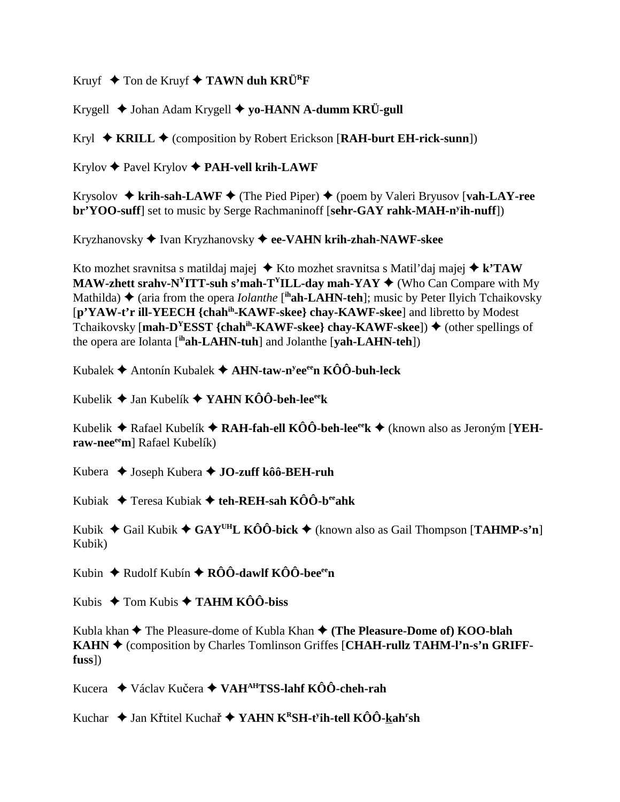Kruyf  $\blacklozenge$  Ton de Kruyf  $\blacklozenge$  TAWN duh KRÜ<sup>R</sup>F

Krygell Johan Adam Krygell **yo-HANN A-dumm KRÜ-gull**

Kryl ◆ KRILL ◆ (composition by Robert Erickson [RAH-burt EH-rick-sunn])

Krylov Pavel Krylov **PAH-vell krih-LAWF**

Krysolov  $\triangle$  krih-sah-LAWF  $\triangle$  (The Pied Piper)  $\triangle$  (poem by Valeri Bryusov [vah-LAY-ree **br'YOO-suff**] set to music by Serge Rachmaninoff [**sehr-GAY rahk-MAH-ny ih-nuff**])

Kryzhanovsky Ivan Kryzhanovsky **ee-VAHN krih-zhah-NAWF-skee**

Kto mozhet sravnitsa s matildaj majej  $\triangle$  Kto mozhet sravnitsa s Matil'daj majej  $\triangle$  k'TAW **MAW-zhett srahv-N<sup>Y</sup>ITT-suh s'mah-T<sup>Y</sup>ILL-day mah-YAY**  $\blacklozenge$  **(Who Can Compare with My** Mathilda) **♦** (aria from the opera *Iolanthe* [<sup>ih</sup>**ah-LAHN-teh**]; music by Peter Ilyich Tchaikovsky [**p'YAW-t'r ill-YEECH {chahih-KAWF-skee} chay-KAWF-skee**] and libretto by Modest Tchaikovsky [**mah-D<sup>Y</sup>ESST** {chah<sup>ih</sup>-KAWF-skee} chay-KAWF-skee])  $\blacklozenge$  (other spellings of the opera are Iolanta [**ihah-LAHN-tuh**] and Jolanthe [**yah-LAHN-teh**])

Kubalek Antonín Kubalek **AHN-taw-ny eeeen KÔÔ-buh-leck**

Kubelik Jan Kubelík **YAHN KÔÔ-beh-leeeek**

Kubelik ◆ Rafael Kubelík ◆ RAH-fah-ell KÔÔ-beh-lee<sup>ee</sup>k ◆ (known also as Jeroným [YEHraw-nee<sup>ee</sup>m] Rafael Kubelík)

Kubera Joseph Kubera **JO-zuff kôô-BEH-ruh**

Kubiak Teresa Kubiak **teh-REH-sah KÔÔ-beeahk**

Kubik  $\blacklozenge$  Gail Kubik  $\blacklozenge$  GAY<sup>UH</sup>L KÔÔ-bick  $\blacklozenge$  (known also as Gail Thompson [TAHMP-s'n] Kubik)

Kubin ◆ Rudolf Kubín ◆ RÔÔ-dawlf KÔÔ-bee<sup>ee</sup>n

Kubis  $\rightarrow$  Tom Kubis  $\rightarrow$  **TAHM KÔÔ-biss** 

Kubla khan  $\blacklozenge$  The Pleasure-dome of Kubla Khan  $\blacklozenge$  (The Pleasure-Dome of) KOO-blah **KAHN ♦ (composition by Charles Tomlinson Griffes [CHAH-rullz TAHM-l'n-s'n GRIFFfuss**])

Kucera **→** Václav Kučera → VAH<sup>AH</sup>TSS-lahf KÔÔ-cheh-rah

Kuchar ◆ Jan Křtitel Kuchař ◆ YAHN K<sup>R</sup>SH-t<sup>y</sup>ih-tell KÔÔ-<u>k</u>ah<sup>r</sup>sh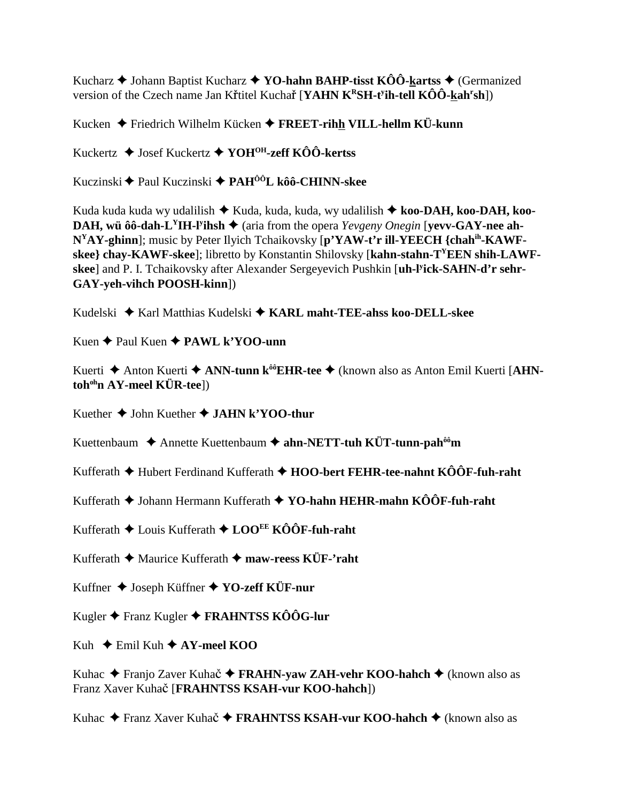Kucharz  $\triangle$  Johann Baptist Kucharz  $\triangle$  YO-hahn BAHP-tisst KÔÔ-kartss  $\triangle$  (Germanized version of the Czech name Jan Křtitel Kuchař [YAHN  $K^RSH$ -t<sup>y</sup>ih-tell  $K\hat{O}\hat{O}$ -kah<sup>r</sup>sh])

Kucken ◆ Friedrich Wilhelm Kücken ◆ FREET-rihh VILL-hellm KÜ-kunn

Kuckertz ♦ Josef Kuckertz ♦ YOH<sup>OH</sup>-zeff KÔÔ-kertss

Kuczinski ◆ Paul Kuczinski ◆ PAH<sup>ÔÔ</sup>L kôô-CHINN-skee

Kuda kuda kuda wy udalilish ◆ Kuda, kuda, kuda, wy udalilish ◆ koo-DAH, koo-DAH, koo-**DAH, wü ôô-dah-L<sup>Y</sup>IH-l<sup>y</sup>ihsh**  $\blacklozenge$  (aria from the opera *Yevgeny Onegin* [vevv-GAY-nee ah-N<sup>Y</sup>AY-ghinn]; music by Peter Ilyich Tchaikovsky [p'YAW-t'r ill-YEECH {chah<sup>ih</sup>-KAWFskee} chay-KAWF-skee]; libretto by Konstantin Shilovsky [kahn-stahn-T<sup>Y</sup>EEN shih-LAWFskee] and P. I. Tchaikovsky after Alexander Sergeyevich Pushkin [uh-l'ick-SAHN-d'r sehr-**GAY-yeh-vihch POOSH-kinn])** 

Kudelski  $\triangle$  Karl Matthias Kudelski  $\triangle$  KARL maht-TEE-ahss koo-DELL-skee

Kuen  $\triangle$  Paul Kuen  $\triangle$  PAWL k'YOO-unn

Kuerti ◆ Anton Kuerti ◆ ANN-tunn k<sup>ôô</sup>EHR-tee ◆ (known also as Anton Emil Kuerti [AHN- $\mathbf{toh}^{\text{oh}}$ n AY-meel KÜR-tee])

Kuether  $\triangle$  John Kuether  $\triangle$  JAHN k'YOO-thur

Kuettenbaum  $\triangle$  Annette Kuettenbaum  $\triangle$  ahn-NETT-tuh KÜT-tunn-pah<sup> $\hat{\theta}$ êm</sup>

Kufferath  $\blacklozenge$  Hubert Ferdinand Kufferath  $\blacklozenge$  HOO-bert FEHR-tee-nahnt KÔÔF-fuh-raht

Kufferath ◆ Johann Hermann Kufferath ◆ YO-hahn HEHR-mahn KÔÔF-fuh-raht

Kufferath  $\triangle$  Louis Kufferath  $\triangle$  LOO<sup>EE</sup> KÔÔF-fuh-raht

Kufferath  $\triangle$  Maurice Kufferath  $\triangle$  maw-reess KÜF-'raht

Kuffner ◆ Joseph Küffner ◆ YO-zeff KÜF-nur

Kugler ◆ Franz Kugler ◆ FRAHNTSS KÔÔG-lur

Kuh  $\div$  Emil Kuh  $\div$  AY-meel KOO

Kuhac  $\triangle$  Franjo Zaver Kuhač  $\triangle$  FRAHN-yaw ZAH-vehr KOO-hahch  $\triangle$  (known also as Franz Xaver Kuhač [FRAHNTSS KSAH-vur KOO-hahch])

Kuhac ◆ Franz Xaver Kuhač ◆ FRAHNTSS KSAH-vur KOO-hahch ◆ (known also as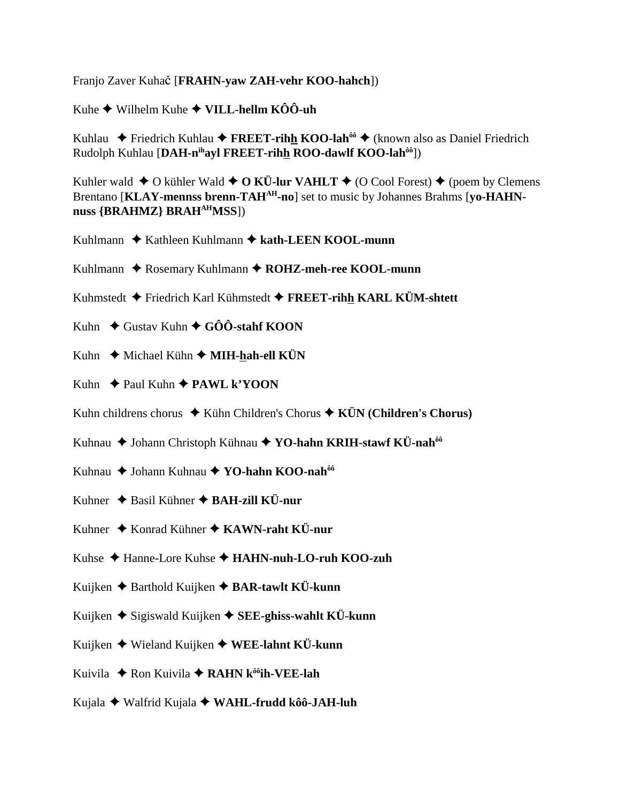Franjo Zaver Kuhač [**FRAHN-yaw ZAH-vehr KOO-hahch**])

Kuhe  $\blacklozenge$  Wilhelm Kuhe  $\blacklozenge$  VILL-hellm KÔÔ-uh

Kuhlau ◆ Friedrich Kuhlau ◆ FREET-rihh KOO-lah<sup>ôô</sup> ◆ (known also as Daniel Friedrich Rudolph Kuhlau [**DAH-nihayl FREET-rihh ROO-dawlf KOO-lahôô**])

Kuhler wald  $\triangle$  O kühler Wald  $\triangle$  O KÜ-lur VAHLT  $\triangle$  (O Cool Forest)  $\triangle$  (poem by Clemens Brentano [KLAY-mennss brenn-TAH<sup>AH</sup>-no] set to music by Johannes Brahms [yo-HAHN**nuss {BRAHMZ} BRAHAHMSS**])

- Kuhlmann ◆ Kathleen Kuhlmann ◆ kath-LEEN KOOL-munn
- Kuhlmann ◆ Rosemary Kuhlmann ◆ ROHZ-meh-ree KOOL-munn
- Kuhmstedt Friedrich Karl Kühmstedt **FREET-rihh KARL KÜM-shtett**
- Kuhn **→** Gustav Kuhn **→ GÔÔ-stahf KOON**
- Kuhn  **★** Michael Kühn **★ MIH-hah-ell KÜN**
- Kuhn  $\rightarrow$  Paul Kuhn  $\rightarrow$  **PAWL k'YOON**
- Kuhn childrens chorus **→** Kühn Children's Chorus **→ KÜN (Children's Chorus)**
- Kuhnau ◆ Johann Christoph Kühnau ◆ YO-hahn KRIH-stawf KÜ-nah<sup>ôô</sup>
- Kuhnau ◆ Johann Kuhnau ◆ YO-hahn KOO-nah<sup>ôô</sup>
- Kuhner **→** Basil Kühner **→ BAH-zill KÜ-nur**
- Kuhner  $\triangle$  Konrad Kühner  $\triangle$  KAWN-raht KÜ-nur
- Kuhse Hanne-Lore Kuhse **HAHN-nuh-LO-ruh KOO-zuh**
- Kuijken Barthold Kuijken **BAR-tawlt KÜ-kunn**
- Kuijken  $\triangle$  Sigiswald Kuijken  $\triangle$  **SEE-ghiss-wahlt KÜ-kunn**
- Kuijken Wieland Kuijken **WEE-lahnt KÜ-kunn**
- Kuivila ◆ Ron Kuivila ◆ RAHN k<sup>ôô</sup>ih-VEE-lah
- Kujala Walfrid Kujala **WAHL-frudd kôô-JAH-luh**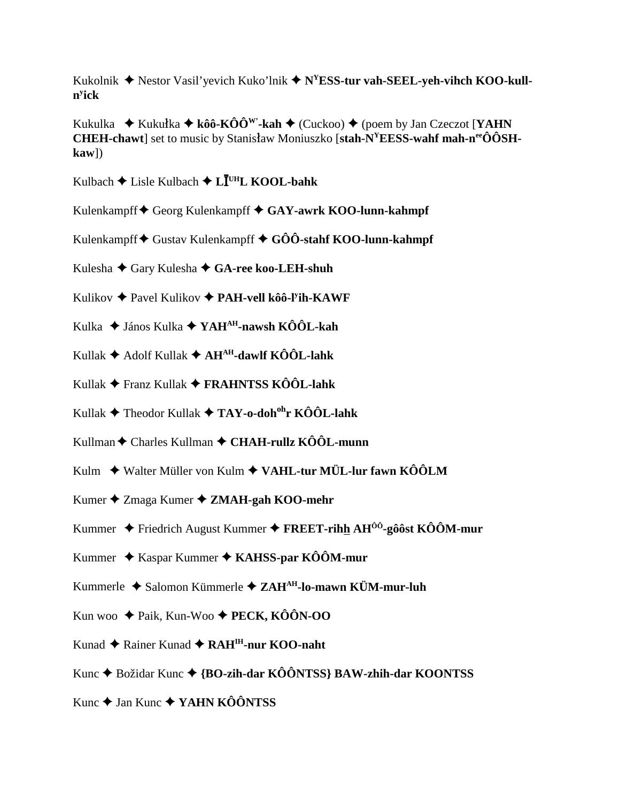Kukolnik ◆ Nestor Vasil'yevich Kuko'lnik ◆ N<sup>Y</sup>ESS-tur vah-SEEL-yeh-vihch KOO-kull**ny ick**

Kukulka  $\blacklozenge$  Kukułka  $\blacklozenge$  kôô-KÔÔ<sup>w</sup>'-kah  $\blacklozenge$  (Cuckoo)  $\blacklozenge$  (poem by Jan Czeczot [**YAHN CHEH-chawt** set to music by Stanisław Moniuszko [stah-N<sup>Y</sup>EESS-wahf mah-n<sup>ee</sup>ÔÔSH**kaw**])

Kulbach Lisle Kulbach **L UHL KOOL-bahk**

- Kulenkampff Georg Kulenkampff **GAY-awrk KOO-lunn-kahmpf**
- Kulenkampff ♦ Gustav Kulenkampff ♦ GÔÔ-stahf KOO-lunn-kahmpf

Kulesha Gary Kulesha **GA-ree koo-LEH-shuh**

- Kulikov Pavel Kulikov **PAH-vell kôô-ly ih-KAWF**
- Kulka János Kulka **YAHAH-nawsh KÔÔL-kah**
- Kullak Adolf Kullak **AHAH-dawlf KÔÔL-lahk**
- Kullak Franz Kullak **FRAHNTSS KÔÔL-lahk**
- Kullak Theodor Kullak **TAY-o-dohohr KÔÔL-lahk**
- Kullman Charles Kullman **CHAH-rullz KÔÔL-munn**
- Kulm ◆ Walter Müller von Kulm ◆ VAHL-tur MÜL-lur fawn KÔÔLM
- Kumer Zmaga Kumer **ZMAH-gah KOO-mehr**
- Kummer Friedrich August Kummer **FREET-rihh AHÔÔ-gôôst KÔÔM-mur**
- Kummer Kaspar Kummer **KAHSS-par KÔÔM-mur**
- Kummerle Salomon Kümmerle **ZAHAH-lo-mawn KÜM-mur-luh**
- Kun woo Paik, Kun-Woo **PECK, KÔÔN-OO**
- Kunad ◆ Rainer Kunad ◆ RAH<sup>IH</sup>-nur KOO-naht
- Kunc **→** Božidar Kunc → {**BO-zih-dar KÔÔNTSS**} **BAW-zhih-dar KOONTSS**
- Kunc **→** Jan Kunc ◆ **YAHN KÔÔNTSS**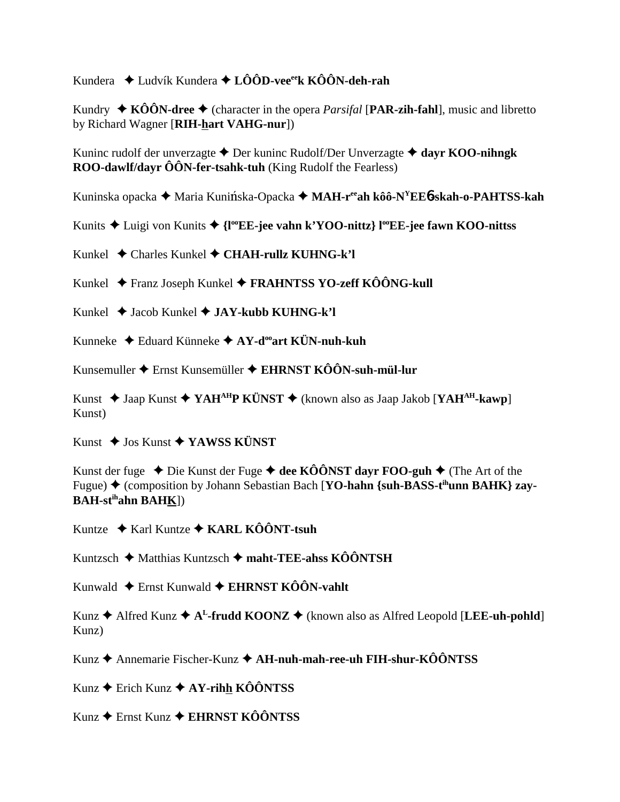Kundera  $\triangleq$  Ludvík Kundera  $\triangleq$  LÔÔD-vee<sup>ee</sup>k KÔÔN-deh-rah

Kundry  $\triangle$  KÔÔN-dree  $\triangle$  (character in the opera *Parsifal* [PAR-zih-fahl], music and libretto by Richard Wagner [RIH-hart VAHG-nur])

Kuninc rudolf der unverzagte  $\triangle$  Der kuninc Rudolf/Der Unverzagte  $\triangle$  dayr KOO-nihngk ROO-dawlf/dayr ÔÔN-fer-tsahk-tuh (King Rudolf the Fearless)

Kuninska opacka ◆ Maria Kunińska-Opacka ◆ MAH-r<sup>ee</sup>ah kôô-N<sup>Y</sup>EE6-skah-o-PAHTSS-kah

Kunits ◆ Luigi von Kunits ◆ {I<sup>oo</sup>EE-jee vahn k'YOO-nittz} l<sup>oo</sup>EE-jee fawn KOO-nittss

Kunkel  $\triangle$  Charles Kunkel  $\triangle$  CHAH-rullz KUHNG-k'l

Kunkel ◆ Franz Joseph Kunkel ◆ FRAHNTSS YO-zeff KÔÔNG-kull

Kunkel  $\triangle$  Jacob Kunkel  $\triangle$  JAY-kubb KUHNG-k'l

Kunneke  $\triangleleft$  Eduard Künneke  $\triangleleft$  AY-d<sup>oo</sup>art KÜN-nuh-kuh

Kunsemuller  $\blacklozenge$  Ernst Kunsemüller  $\blacklozenge$  EHRNST KÔÔN-suh-mül-lur

Kunst  $\triangle$  Jaap Kunst  $\triangle$  YAH<sup>AH</sup>P KÜNST  $\triangle$  (known also as Jaap Jakob [YAH<sup>AH</sup>-kawp] Kunst)

Kunst  $\triangle$  Jos Kunst  $\triangle$  YAWSS KÜNST

Kunst der fuge  $\triangle$  Die Kunst der Fuge  $\triangle$  dee KÔÔNST dayr FOO-guh  $\triangle$  (The Art of the Fugue)  $\blacklozenge$  (composition by Johann Sebastian Bach [YO-hahn {suh-BASS-t<sup>ih</sup>unn BAHK} zay-**BAH-st<sup>ih</sup>ahn BAHK]** 

Kuntze  $\triangle$  Karl Kuntze  $\triangle$  KARL KÔÔNT-tsuh

Kuntzsch  $\triangle$  Matthias Kuntzsch  $\triangle$  maht-TEE-ahss KÔÔNTSH

Kunwald  $\triangleq$  Ernst Kunwald  $\triangleq$  EHRNST KÔÔN-vahlt

Kunz ♦ Alfred Kunz ♦  $A^L$ -frudd KOONZ ♦ (known also as Alfred Leopold [LEE-uh-pohld] Kunz)

Kunz ♦ Annemarie Fischer-Kunz ♦ AH-nuh-mah-ree-uh FIH-shur-KÔÔNTSS

Kunz ← Erich Kunz ← AY-rihh KÔÔNTSS

Kunz ♦ Ernst Kunz ♦ EHRNST KÔÔNTSS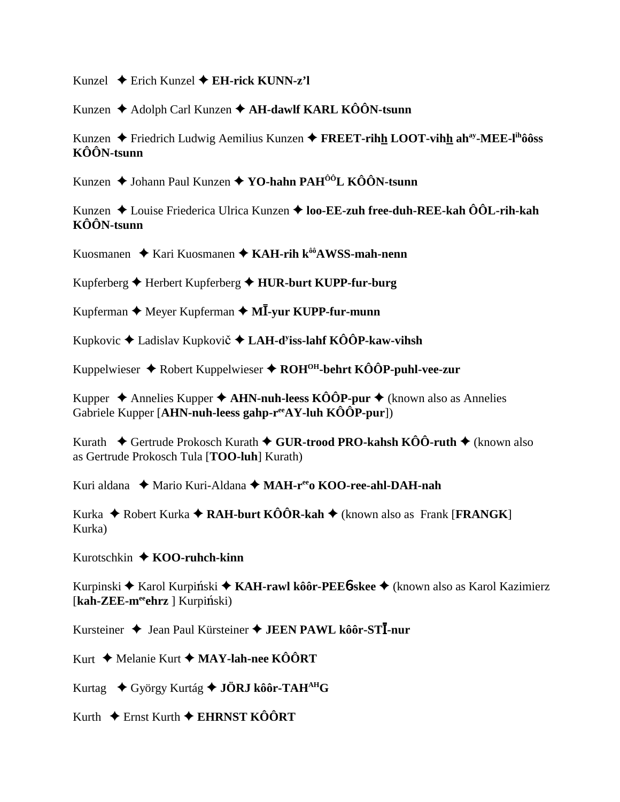Kunzel  $\triangle$  Erich Kunzel  $\triangle$  EH-rick KUNN-z'l

Kunzen ◆ Adolph Carl Kunzen ◆ AH-dawlf KARL KÔÔN-tsunn

Kunzen  $\triangle$  Friedrich Ludwig Aemilius Kunzen  $\triangle$  FREET-rihh LOOT-vihh ah<sup>ay</sup>-MEE-l<sup>ih</sup>ôôss  $K\hat{O}\hat{O}N$ -tsunn

Kunzen  $\triangle$  Johann Paul Kunzen  $\triangle$  YO-hahn PAH<sup>ôô</sup>L KÔÔN-tsunn

Kunzen  $\triangle$  Louise Friederica Ulrica Kunzen  $\triangle$  loo-EE-zuh free-duh-REE-kah ÔÔL-rih-kah  $K\hat{O}\hat{O}N$ -tsunn

Kuosmanen  $\triangleq$  Kari Kuosmanen  $\triangleq$  KAH-rih k<sup> $\hat{\theta}$ 8 (AWSS-mah-nenn</sup>

Kupferberg  $\blacklozenge$  Herbert Kupferberg  $\blacklozenge$  HUR-burt KUPP-fur-burg

Kupferman  $\blacklozenge$  Meyer Kupferman  $\blacklozenge$  MI-yur KUPP-fur-munn

Kupkovic ♦ Ladislav Kupkovič ♦ LAH-d<sup>y</sup>iss-lahf KÔÔP-kaw-vihsh

Kuppelwieser ♦ Robert Kuppelwieser ♦ ROH<sup>OH</sup>-behrt KÔÔP-puhl-vee-zur

Kupper  $\triangle$  Annelies Kupper  $\triangle$  AHN-nuh-leess KÔÔP-pur  $\triangle$  (known also as Annelies Gabriele Kupper [AHN-nuh-leess gahp- $r^{ee}AY$ -luh KÔÔP-pur])

Kurath  $\div$  Gertrude Prokosch Kurath  $\div$  GUR-trood PRO-kahsh KÔÔ-ruth  $\div$  (known also as Gertrude Prokosch Tula [TOO-luh] Kurath)

Kuri aldana ◆ Mario Kuri-Aldana ◆ MAH-r<sup>ee</sup>o KOO-ree-ahl-DAH-nah

Kurka  $\triangle$  Robert Kurka  $\triangle$  RAH-burt KÔÔR-kah  $\triangle$  (known also as Frank [FRANGK] Kurka)

Kurotschkin  $\triangle$  KOO-ruhch-kinn

Kurpinski ♦ Karol Kurpiński ♦ KAH-rawl kôôr-PEE6-skee ♦ (known also as Karol Kazimierz  $[kah-ZEE-m<sup>ee</sup>ehrz] Kurpiński)$ 

Kursteiner ♦ Jean Paul Kürsteiner ♦ JEEN PAWL kôôr-STI-nur

Kurt  $\triangle$  Melanie Kurt  $\triangle$  MAY-lah-nee KÔÔRT

Kurtag  $\rightarrow$  György Kurtág  $\rightarrow$  JÖRJ kôôr-TAH<sup>AH</sup>G

Kurth  $\div$  Ernst Kurth  $\div$  EHRNST KÔÔRT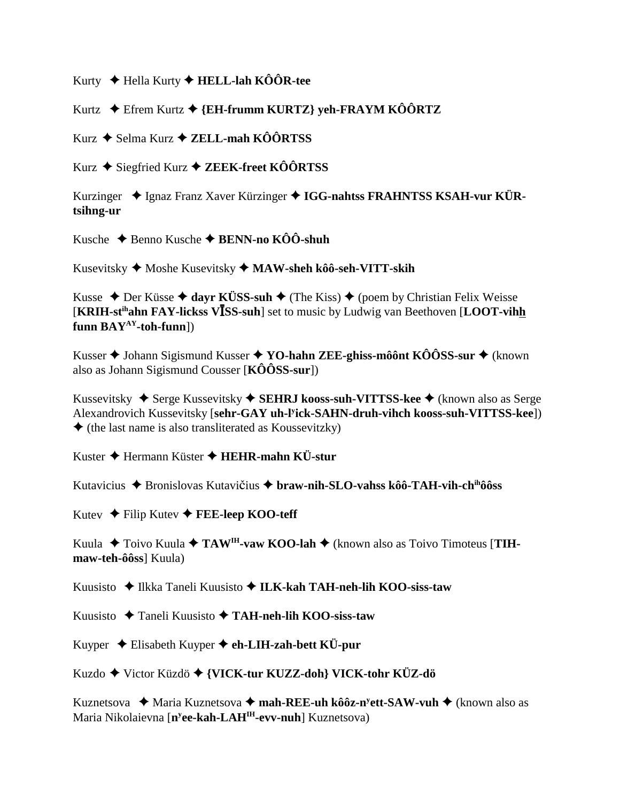Kurty ← Hella Kurty ← HELL-lah KÔÔR-tee

Kurtz ◆ Efrem Kurtz ◆ {EH-frumm KURTZ} veh-FRAYM KÔÔRTZ

Kurz ◆ Selma Kurz ◆ ZELL-mah KÔÔRTSS

Kurz ◆ Siegfried Kurz ◆ ZEEK-freet KÔÔRTSS

Kurzinger  $\triangleleft$  Ignaz Franz Xaver Kürzinger  $\triangleleft$  IGG-nahtss FRAHNTSS KSAH-vur KÜRtsihng-ur

Kusche  $\triangle$  Benno Kusche  $\triangle$  BENN-no KÔÔ-shuh

Kusevitsky  $\blacklozenge$  Moshe Kusevitsky  $\blacklozenge$  MAW-sheh kôô-seh-VITT-skih

Kusse ◆ Der Küsse ◆ dayr KÜSS-suh ◆ (The Kiss) ◆ (poem by Christian Felix Weisse **[KRIH-st<sup>ih</sup>ahn FAY-lickss VISS-suh**] set to music by Ludwig van Beethoven [LOOT-vihh funn  $BAY^{AY}$ -toh-funn])

Kusser  $\blacklozenge$  Johann Sigismund Kusser  $\blacklozenge$  YO-hahn ZEE-ghiss-môônt KÔÔSS-sur  $\blacklozenge$  (known also as Johann Sigismund Cousser  $[K\hat{O}\hat{O}SS\text{-}sur]$ 

Kussevitsky  $\triangle$  Serge Kussevitsky  $\triangle$  SEHRJ kooss-suh-VITTSS-kee  $\triangle$  (known also as Serge Alexandrovich Kussevitsky [sehr-GAY uh-Fick-SAHN-druh-vihch kooss-suh-VITTSS-kee])  $\blacklozenge$  (the last name is also transliterated as Koussevitzky)

Kuster  $\triangle$  Hermann Küster  $\triangle$  HEHR-mahn KÜ-stur

Kutavicius → Bronislovas Kutavičius → braw-nih-SLO-vahss kôô-TAH-vih-ch<sup>ih</sup>ôôss

Kutev ← Filip Kutev ← FEE-leep KOO-teff

Kuula ◆ Toivo Kuula ◆ TAW<sup>IH</sup>-vaw KOO-lah ◆ (known also as Toivo Timoteus [TIHmaw-teh-ôôssl Kuula)

Kuusisto  $\bigstar$  Ilkka Taneli Kuusisto  $\bigstar$  ILK-kah TAH-neh-lih KOO-siss-taw

Kuusisto ◆ Taneli Kuusisto ◆ TAH-neh-lih KOO-siss-taw

Kuyper  $\triangle$  Elisabeth Kuyper  $\triangle$  eh-LIH-zah-bett KÜ-pur

Kuzdo ◆ Victor Küzdö ◆ {VICK-tur KUZZ-doh} VICK-tohr KÜZ-dö

Kuznetsova → Maria Kuznetsova → mah-REE-uh kôôz-n<sup>y</sup>ett-SAW-vuh → (known also as Maria Nikolaievna [n<sup>y</sup>ee-kah-LAH<sup>IH</sup>-evv-nuh] Kuznetsova)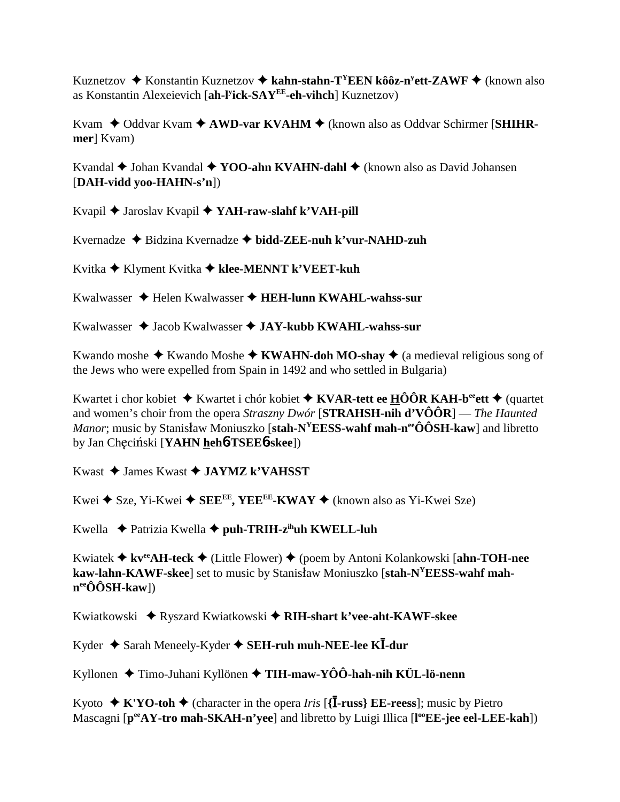Kuznetzov ♦ Konstantin Kuznetzov ♦ kahn-stahn-T<sup>Y</sup>EEN kôôz-n<sup>y</sup>ett-ZAWF ♦ (known also as Konstantin Alexeievich [ah-l<sup>y</sup>ick-SAY<sup>EE</sup>-eh-vihch] Kuznetzov)

Kvam  $\triangle$  Oddvar Kvam  $\triangle$  AWD-var KVAHM  $\triangle$  (known also as Oddvar Schirmer [SHIHRmer] Kvam)

Kvandal  $\blacklozenge$  Johan Kvandal  $\blacklozenge$  YOO-ahn KVAHN-dahl  $\blacklozenge$  (known also as David Johansen [DAH-vidd yoo-HAHN-s'n])

Kvapil ◆ Jaroslav Kvapil ◆ YAH-raw-slahf k'VAH-pill

Kvernadze  $\triangle$  Bidzina Kvernadze  $\triangle$  bidd-ZEE-nuh k'vur-NAHD-zuh

Kvitka ◆ Klyment Kvitka ◆ klee-MENNT k'VEET-kuh

Kwalwasser  $\triangleq$  Helen Kwalwasser  $\triangleq$  HEH-lunn KWAHL-wahss-sur

Kwalwasser  $\triangleleft$  Jacob Kwalwasser  $\triangleleft$  JAY-kubb KWAHL-wahss-sur

Kwando moshe  $\triangle$  Kwando Moshe  $\triangle$  KWAHN-doh MO-shay  $\triangle$  (a medieval religious song of the Jews who were expelled from Spain in 1492 and who settled in Bulgaria)

Kwartet i chor kobiet  $\triangleq$  Kwartet i chór kobiet  $\triangleq$  KVAR-tett ee HÔÔR KAH-b<sup>ee</sup>ett  $\triangleq$  (quartet and women's choir from the opera *Straszny Dwór* [**STRAHSH-nih d'VÔÔR**] — The Haunted *Manor*; music by Stanisław Moniuszko [stah- $N^{\gamma}$ EESS-wahf mah-n<sup>ee</sup>ÔÔSH-kaw] and libretto by Jan Checiński [YAHN heh**6-TSEE6-skee**])

Kwast  $\triangle$  James Kwast  $\triangle$  JAYMZ k'VAHSST

Kwei ◆ Sze, Yi-Kwei ◆ SEE<sup>EE</sup>, YEE<sup>EE</sup>-KWAY ◆ (known also as Yi-Kwei Sze)

Kwella  $\triangle$  Patrizia Kwella  $\triangle$  puh-TRIH-z<sup>ih</sup>uh KWELL-luh

Kwiatek  $\triangleq$  kv<sup>ee</sup>AH-teck  $\triangleq$  (Little Flower)  $\triangleq$  (poem by Antoni Kolankowski [ahn-TOH-nee kaw-lahn-KAWF-skee] set to music by Stanisław Moniuszko [stah-N<sup>Y</sup>EESS-wahf mah $n^{ee}\hat{O} \hat{O} S H$ -kaw])

Kwiatkowski ◆ Ryszard Kwiatkowski ◆ RIH-shart k'vee-aht-KAWF-skee

Kyder  $\triangle$  Sarah Meneely-Kyder  $\triangle$  SEH-ruh muh-NEE-lee KI-dur

Kyllonen  $\triangle$  Timo-Juhani Kyllönen  $\triangle$  TIH-maw-YÔÔ-hah-nih KÜL-lö-nenn

Kyoto  $\star$  K'YO-toh  $\star$  (character in the opera *Iris* [{**I-russ**} **EE-reess**]; music by Pietro Mascagni [per<sub>AY</sub>-tro mah-SKAH-n'yee] and libretto by Luigi Illica [l<sup>oo</sup>EE-jee eel-LEE-kah])